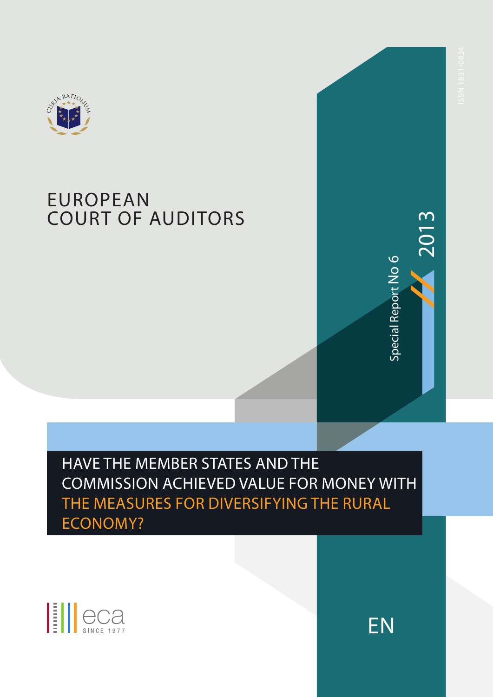

# **EUROPEAN** Court of auditors



**ENSPERENCE** HAVE THE MEMBER STATES AND THE Commission achieved value for money with the measures for diversifying the rural ECONOMY?



EN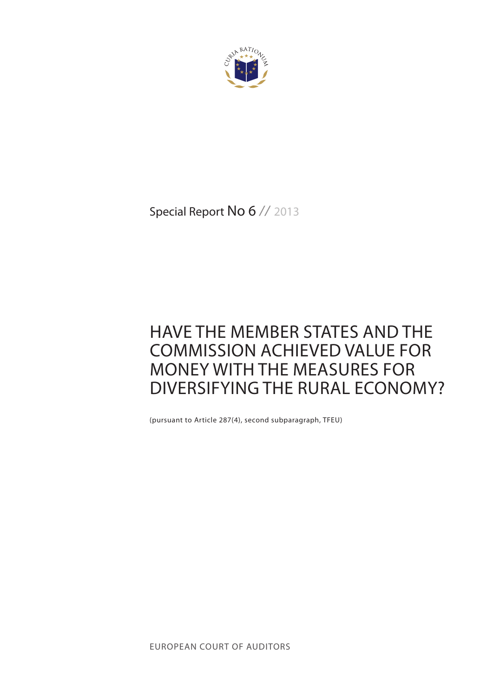

Special Report No 6 // 2013

# Have the Member States and the Commission achieved value for money with the measures for diversifying the rural economy?

(pursuant to Article 287(4), second subparagraph, TFEU)

european court of auditors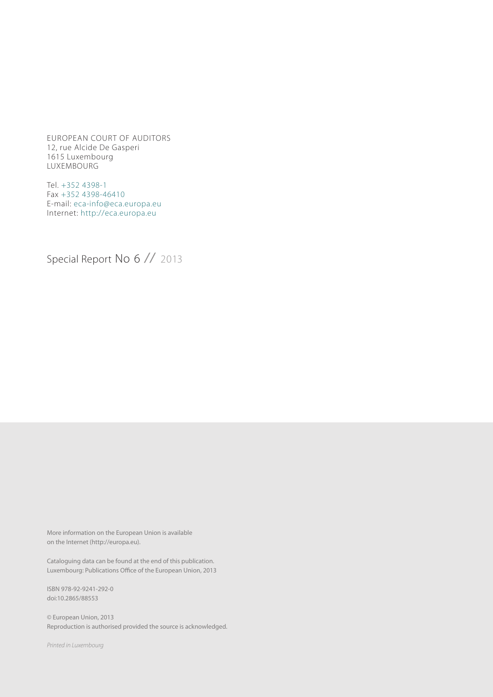European court of auditors 12, rue Alcide De Gasperi 1615 Luxembourg LUXEMBOURG

Tel. +352 4398-1 Fax +352 4398-46410 E-mail: eca-info@eca.europa.eu Internet: http://eca.europa.eu

Special Report No 6 // 2013

More information on the European Union is available on the Internet (http://europa.eu).

Cataloguing data can be found at the end of this publication. Luxembourg: Publications Office of the European Union, 2013

ISBN 978-92-9241-292-0 doi:10.2865/88553

© European Union, 2013 Reproduction is authorised provided the source is acknowledged.

*Printed in Luxembourg*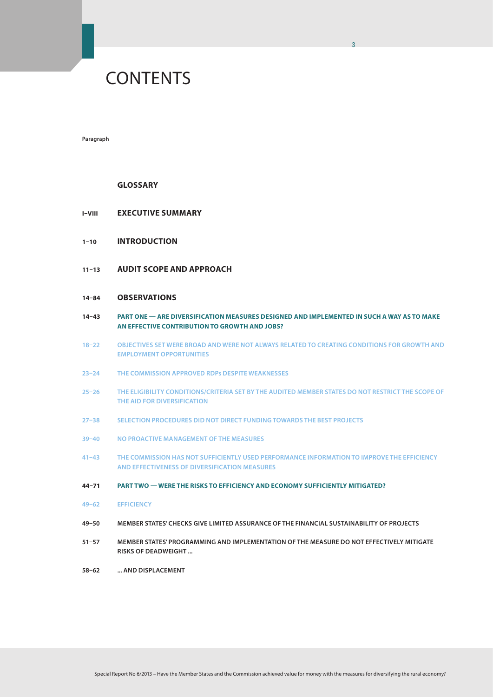# **CONTENTS**

**Paragraph**

#### **Glossary**

- **I–VIII Executive summary**
- **1–10 Introduction**
- **11–13 Audit scope and approach**

### **14–84 Observations**

**14–43 Part one — Are diversification measures designed and implemented in such a way AS to make an effective contribution to growth and jobs?**

3

- **18–22 Objectives set were broad and were not always related to creating conditions for growth and employment opportunities**
- **23–24 The Commission approved RDPs despite weaknesses**
- **25–26 The eligibility conditions/criteria set by the audited Member States do not restrict the scope of the aid for diversification**
- **27–38 Selection procedures did not direct funding towards the best projects**
- **39–40 No proactive management of the measures**
- **41–43 The Commission has not sufficiently used performance information to improve the efficiency and effectiveness of diversification measures**
- **44–71 Part two Were the risks to efficiency and economy sufficiently mitigated?**
- **49–62 Efficiency**
- **49–50 Member States' checks give limited assurance of the financial sustainability of projects**
- **51–57 Member States' programming and implementation of the measure do not effectively mitigate risks of deadweight ...**
- 58–62 ... AND DISPLACEMENT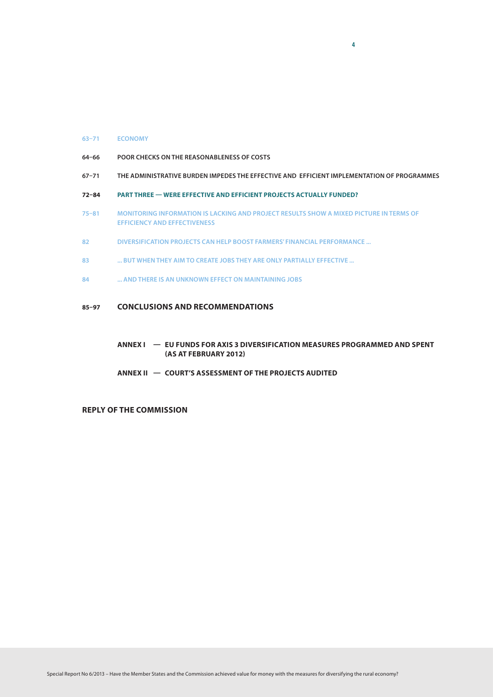#### **63–71 Economy**

- **64–66 Poor checks on the reasonableness of costs**
- **67–71 The administrative burden impedes the effective and efficient implementation of programmes**

4

- **72–84 Part three Were effective and efficient projects actually funded?**
- **75–81 Monitoring information is lacking and project results show a mixed picture in terms of efficiency and effectiveness**
- **82 Diversification projects can help boost farmers' financial performance ...**
- **83 ... but when they aim to create jobs they are only partially effective ...**
- **84 ... and there is an unknown effect on maintaining jobs**

### **85–97 Conclusions and recommendations**

### **Annex I — EU Funds for Axis 3 diversification measures programmed and spent (AS AT FEBRUARY 2012)**

 **Annex II — Court's assessment of the projects audited**

**Reply of the Commission**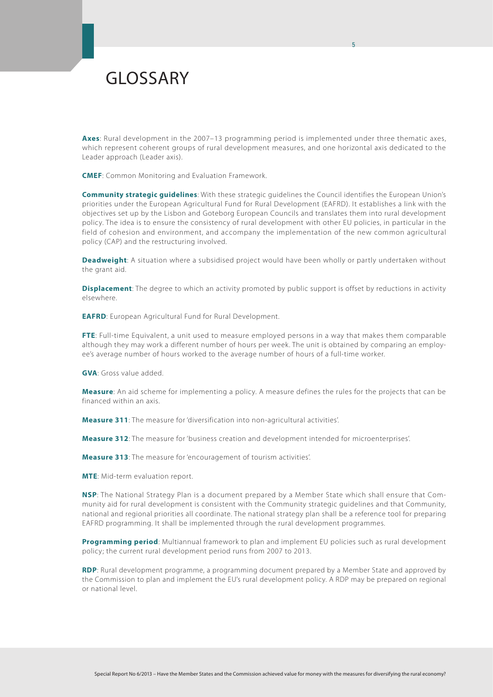# GLOSSARY

**Axes**: Rural development in the 2007–13 programming period is implemented under three thematic axes, which represent coherent groups of rural development measures, and one horizontal axis dedicated to the Leader approach (Leader axis).

5

**CMEF**: Common Monitoring and Evaluation Framework.

**Community strategic guidelines**: With these strategic guidelines the Council identifies the European Union's priorities under the European Agricultural Fund for Rural Development (EAFRD). It establishes a link with the objectives set up by the Lisbon and Goteborg European Councils and translates them into rural development policy. The idea is to ensure the consistency of rural development with other EU policies, in particular in the field of cohesion and environment, and accompany the implementation of the new common agricultural policy (CAP) and the restructuring involved.

**Deadweight**: A situation where a subsidised project would have been wholly or partly undertaken without the grant aid.

**Displacement**: The degree to which an activity promoted by public support is offset by reductions in activity elsewhere.

**EAFRD**: European Agricultural Fund for Rural Development.

**FTE**: Full-time Equivalent, a unit used to measure employed persons in a way that makes them comparable although they may work a different number of hours per week. The unit is obtained by comparing an employee's average number of hours worked to the average number of hours of a full-time worker.

**GVA**: Gross value added.

**Measure**: An aid scheme for implementing a policy. A measure defines the rules for the projects that can be financed within an axis.

**Measure 311**: The measure for 'diversification into non-agricultural activities'.

**Measure 312**: The measure for 'business creation and development intended for microenterprises'.

**Measure 313**: The measure for 'encouragement of tourism activities'.

**MTE**: Mid-term evaluation report.

**NSP**: The National Strategy Plan is a document prepared by a Member State which shall ensure that Community aid for rural development is consistent with the Community strategic guidelines and that Community, national and regional priorities all coordinate. The national strategy plan shall be a reference tool for preparing EAFRD programming. It shall be implemented through the rural development programmes.

**Programming period**: Multiannual framework to plan and implement EU policies such as rural development policy; the current rural development period runs from 2007 to 2013.

**RDP**: Rural development programme, a programming document prepared by a Member State and approved by the Commission to plan and implement the EU's rural development policy. A RDP may be prepared on regional or national level.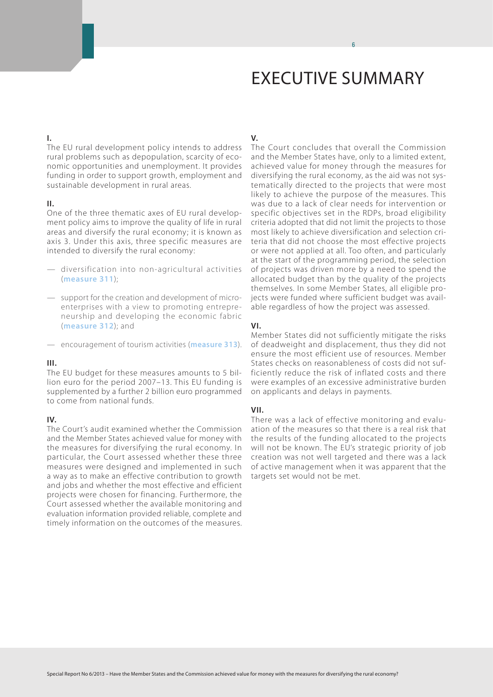# EXECUTIVE SUMMARY

6

## **I.**

The EU rural development policy intends to address rural problems such as depopulation, scarcity of economic opportunities and unemployment. It provides funding in order to support growth, employment and sustainable development in rural areas.

## **II.**

One of the three thematic axes of EU rural development policy aims to improve the quality of life in rural areas and diversify the rural economy; it is known as axis 3. Under this axis, three specific measures are intended to diversify the rural economy:

- diversification into non-agricultural activities (**measure 311**);
- support for the creation and development of microenterprises with a view to promoting entrepreneurship and developing the economic fabric (**measure 312**); and
- encouragement of tourism activities (**measure 313**).

## **III.**

The EU budget for these measures amounts to 5 billion euro for the period 2007–13. This EU funding is supplemented by a further 2 billion euro programmed to come from national funds.

## **IV.**

The Court's audit examined whether the Commission and the Member States achieved value for money with the measures for diversifying the rural economy. In particular, the Court assessed whether these three measures were designed and implemented in such a way as to make an effective contribution to growth and jobs and whether the most effective and efficient projects were chosen for financing. Furthermore, the Court assessed whether the available monitoring and evaluation information provided reliable, complete and timely information on the outcomes of the measures.

# **V.**

The Court concludes that overall the Commission and the Member States have, only to a limited extent, achieved value for money through the measures for diversifying the rural economy, as the aid was not systematically directed to the projects that were most likely to achieve the purpose of the measures. This was due to a lack of clear needs for intervention or specific objectives set in the RDPs, broad eligibility criteria adopted that did not limit the projects to those most likely to achieve diversification and selection criteria that did not choose the most effective projects or were not applied at all. Too often, and particularly at the start of the programming period, the selection of projects was driven more by a need to spend the allocated budget than by the quality of the projects themselves. In some Member States, all eligible projects were funded where sufficient budget was available regardless of how the project was assessed.

## **VI.**

Member States did not sufficiently mitigate the risks of deadweight and displacement, thus they did not ensure the most efficient use of resources. Member States checks on reasonableness of costs did not sufficiently reduce the risk of inflated costs and there were examples of an excessive administrative burden on applicants and delays in payments.

## **VII.**

There was a lack of effective monitoring and evaluation of the measures so that there is a real risk that the results of the funding allocated to the projects will not be known. The EU's strategic priority of job creation was not well targeted and there was a lack of active management when it was apparent that the targets set would not be met.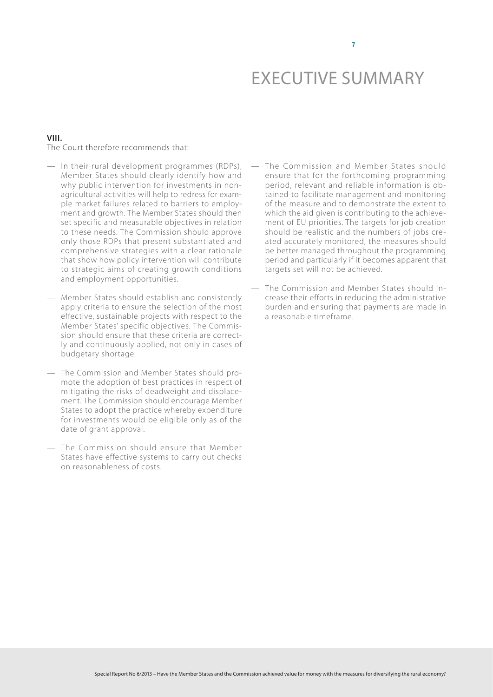7

## **VIII.** The Court therefore recommends that:

- In their rural development programmes (RDPs), Member States should clearly identify how and why public intervention for investments in nonagricultural activities will help to redress for example market failures related to barriers to employment and growth. The Member States should then set specific and measurable objectives in relation to these needs. The Commission should approve only those RDPs that present substantiated and comprehensive strategies with a clear rationale that show how policy intervention will contribute to strategic aims of creating growth conditions and employment opportunities.
- Member States should establish and consistently apply criteria to ensure the selection of the most effective, sustainable projects with respect to the Member States' specific objectives. The Commission should ensure that these criteria are correctly and continuously applied, not only in cases of budgetary shortage.
- The Commission and Member States should promote the adoption of best practices in respect of mitigating the risks of deadweight and displacement. The Commission should encourage Member States to adopt the practice whereby expenditure for investments would be eligible only as of the date of grant approval.
- The Commission should ensure that Member States have effective systems to carry out checks on reasonableness of costs.
- The Commission and Member States should ensure that for the forthcoming programming period, relevant and reliable information is obtained to facilitate management and monitoring of the measure and to demonstrate the extent to which the aid given is contributing to the achievement of EU priorities. The targets for job creation should be realistic and the numbers of jobs created accurately monitored, the measures should be better managed throughout the programming period and particularly if it becomes apparent that targets set will not be achieved.
- The Commission and Member States should increase their efforts in reducing the administrative burden and ensuring that payments are made in a reasonable timeframe.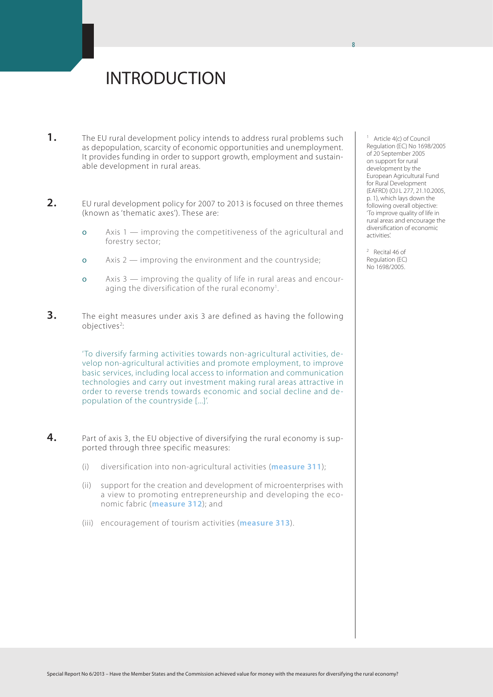# INTRODUCTION

- **1.** The EU rural development policy intends to address rural problems such as depopulation, scarcity of economic opportunities and unemployment. It provides funding in order to support growth, employment and sustainable development in rural areas.
- **2.** EU rural development policy for 2007 to 2013 is focused on three themes (known as 'thematic axes'). These are:
	- ο Axis 1 improving the competitiveness of the agricultural and forestry sector;
	- ο Axis 2 improving the environment and the countryside;
	- ο Axis 3 improving the quality of life in rural areas and encouraging the diversification of the rural economy<sup>1</sup>. .
- **3.** The eight measures under axis 3 are defined as having the following objectives<sup>2</sup>: :

'To diversify farming activities towards non-agricultural activities, develop non-agricultural activities and promote employment, to improve basic services, including local access to information and communication technologies and carry out investment making rural areas attractive in order to reverse trends towards economic and social decline and depopulation of the countryside [...]'.

- **4.** Part of axis 3, the EU objective of diversifying the rural economy is supported through three specific measures:
	- (i) diversification into non-agricultural activities (**measure 311**);
	- (ii) support for the creation and development of microenterprises with a view to promoting entrepreneurship and developing the economic fabric (**measure 312**); and
	- (iii) encouragement of tourism activities (**measure 313**).

<sup>1</sup> Article 4(c) of Council Regulation (EC) No 1698/2005 of 20 September 2005 on support for rural development by the European Agricultural Fund for Rural Development (EAFRD) (OJ L 277, 21.10.2005, p. 1), which lays down the following overall objective: 'To improve quality of life in rural areas and encourage the diversification of economic activities'.

<sup>2</sup> Recital 46 of Regulation (EC) No 1698/2005.

8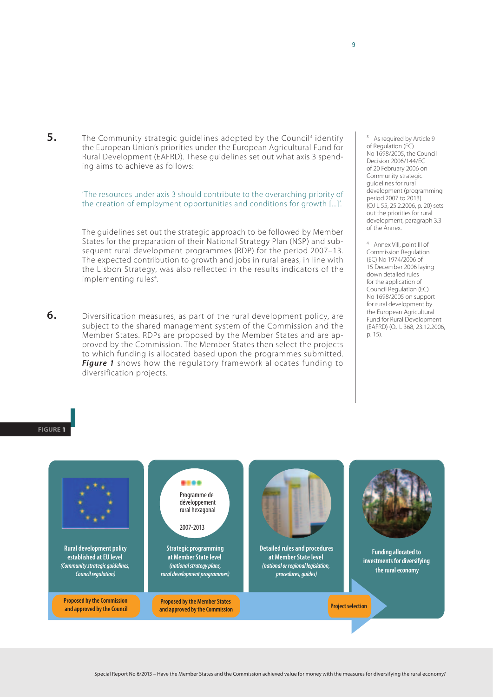**5.** The Community strategic guidelines adopted by the Council<sup>3</sup> identify the European Union's priorities under the European Agricultural Fund for Rural Development (EAFRD). These guidelines set out what axis 3 spending aims to achieve as follows:

> 'The resources under axis 3 should contribute to the overarching priority of the creation of employment opportunities and conditions for growth [...]'.

> The guidelines set out the strategic approach to be followed by Member States for the preparation of their National Strategy Plan (NSP) and subsequent rural development programmes (RDP) for the period 2007–13. The expected contribution to growth and jobs in rural areas, in line with the Lisbon Strategy, was also reflected in the results indicators of the implementing rules<sup>4</sup>. .

**6.** Diversification measures, as part of the rural development policy, are subject to the shared management system of the Commission and the Member States. RDPs are proposed by the Member States and are approved by the Commission. The Member States then select the projects to which funding is allocated based upon the programmes submitted. *Figure 1* shows how the regulatory framework allocates funding to diversification projects.

As required by Article 9 of Regulation (EC) No 1698/2005, the Council Decision 2006/144/EC of 20 February 2006 on Community strategic guidelines for rural development (programming period 2007 to 2013) (OJ L 55, 25.2.2006, p. 20) sets out the priorities for rural development, paragraph 3.3 of the Annex.

<sup>4</sup> Annex VIII, point III of Commission Regulation (EC) No 1974/2006 of 15 December 2006 laying down detailed rules for the application of Council Regulation (EC) No 1698/2005 on support for rural development by the European Agricultural Fund for Rural Development (EAFRD) (OJ L 368, 23.12.2006, p. 15).

**Figure 1**

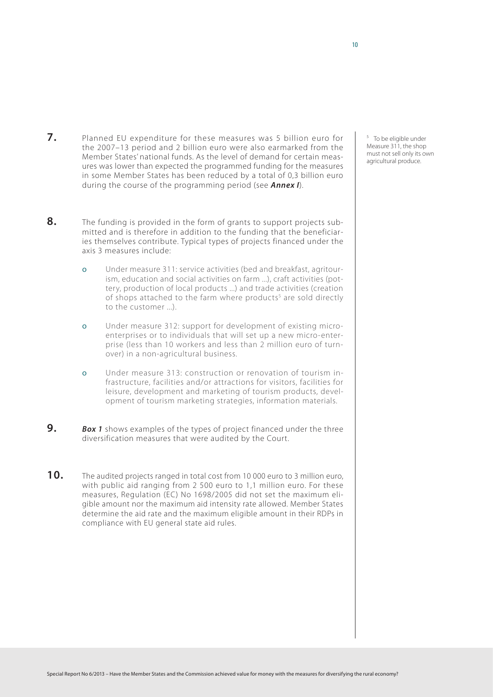- **7.** Planned EU expenditure for these measures was 5 billion euro for the 2007–13 period and 2 billion euro were also earmarked from the Member States' national funds. As the level of demand for certain measures was lower than expected the programmed funding for the measures in some Member States has been reduced by a total of 0,3 billion euro during the course of the programming period (see *Annex I*).
- **8.** The funding is provided in the form of grants to support projects submitted and is therefore in addition to the funding that the beneficiaries themselves contribute. Typical types of projects financed under the axis 3 measures include:
	- ο Under measure 311: service activities (bed and breakfast, agritourism, education and social activities on farm ...), craft activities (pottery, production of local products ...) and trade activities (creation of shops attached to the farm where products<sup>5</sup> are sold directly to the customer ...).
	- ο Under measure 312: support for development of existing microenterprises or to individuals that will set up a new micro-enterprise (less than 10 workers and less than 2 million euro of turnover) in a non-agricultural business.
	- ο Under measure 313: construction or renovation of tourism infrastructure, facilities and/or attractions for visitors, facilities for leisure, development and marketing of tourism products, development of tourism marketing strategies, information materials.
- **9.** *Box 1* shows examples of the types of project financed under the three diversification measures that were audited by the Court.
- **10.** The audited projects ranged in total cost from <sup>10</sup> <sup>000</sup> euro to 3 million euro, with public aid ranging from 2 500 euro to 1,1 million euro. For these measures, Regulation (EC) No 1698/2005 did not set the maximum eligible amount nor the maximum aid intensity rate allowed. Member States determine the aid rate and the maximum eligible amount in their RDPs in compliance with EU general state aid rules.

<sup>5</sup> To be eligible under Measure 311, the shop must not sell only its own agricultural produce.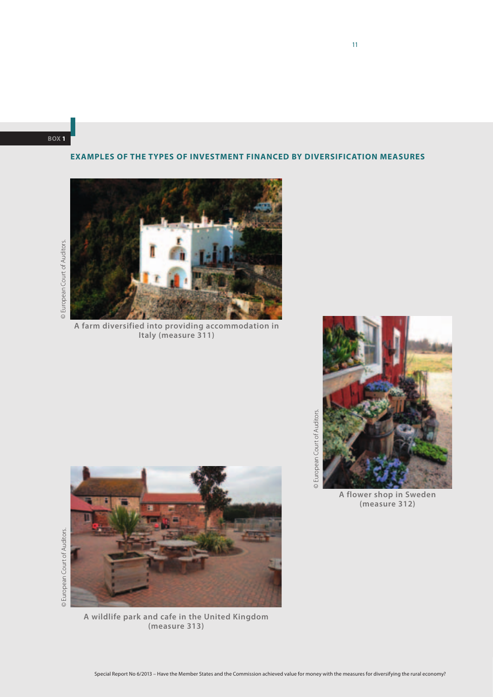**Box 1**

# **Examples of the types of investment financed by diversification measures**

© European Court of Auditors. © European Court of Auditors.

© European Court of Auditors.

© European Court of Auditors.



**A farm diversified into providing accommodation in Italy (measure 311)**



**A wildlife park and cafe in the United Kingdom (measure 313)**



**A flower shop in Sweden (measure 312)**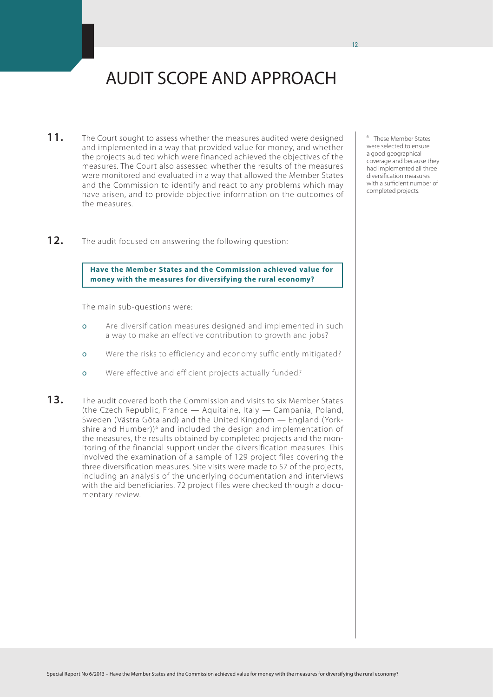# AUDIT SCOPE AND APPROACH

- 11. The Court sought to assess whether the measures audited were designed and implemented in a way that provided value for money, and whether the projects audited which were financed achieved the objectives of the measures. The Court also assessed whether the results of the measures were monitored and evaluated in a way that allowed the Member States and the Commission to identify and react to any problems which may have arisen, and to provide objective information on the outcomes of the measures.
- **12.** The audit focused on answering the following question:

## **Have the Member States and the Commission achieved value for money with the measures for diversifying the rural economy?**

The main sub-questions were:

- ο Are diversification measures designed and implemented in such a way to make an effective contribution to growth and jobs?
- ο Were the risks to efficiency and economy sufficiently mitigated?
- ο Were effective and efficient projects actually funded?
- **13.** The audit covered both the Commission and visits to six Member States (the Czech Republic, France — Aquitaine, Italy — Campania, Poland, Sweden (Västra Götaland) and the United Kingdom — England (Yorkshire and Humber))<sup>6</sup> and included the design and implementation of the measures, the results obtained by completed projects and the monitoring of the financial support under the diversification measures. This involved the examination of a sample of 129 project files covering the three diversification measures. Site visits were made to 57 of the projects, including an analysis of the underlying documentation and interviews with the aid beneficiaries. 72 project files were checked through a documentary review.

<sup>6</sup> These Member States were selected to ensure a good geographical coverage and because they had implemented all three diversification measures with a sufficient number of completed projects.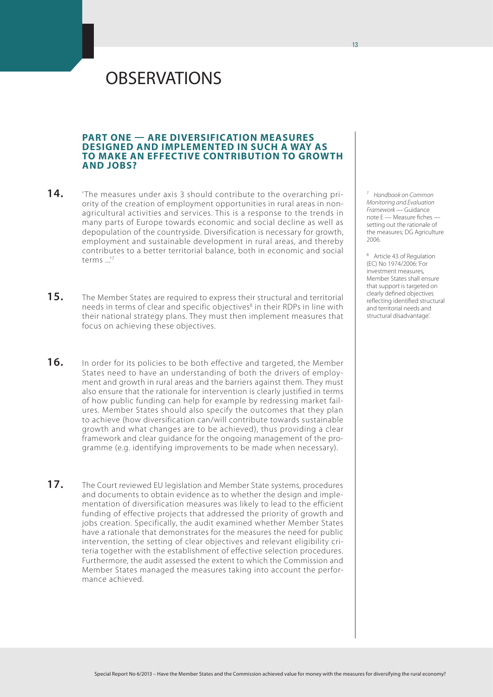# **OBSERVATIONS**

## **Part one — Are diversification measures designed and implemented in such a way AS to make an effective contribution to growth and jobs?**

- 14. The measures under axis 3 should contribute to the overarching priority of the creation of employment opportunities in rural areas in nonagricultural activities and services. This is a response to the trends in many parts of Europe towards economic and social decline as well as depopulation of the countryside. Diversification is necessary for growth, employment and sustainable development in rural areas, and thereby contributes to a better territorial balance, both in economic and social terms ...'7
- **15.** The Member States are required to express their structural and territorial needs in terms of clear and specific objectives<sup>8</sup> in their RDPs in line with their national strategy plans. They must then implement measures that focus on achieving these objectives.
- **16.** In order for its policies to be both effective and targeted, the Member States need to have an understanding of both the drivers of employment and growth in rural areas and the barriers against them. They must also ensure that the rationale for intervention is clearly justified in terms of how public funding can help for example by redressing market failures. Member States should also specify the outcomes that they plan to achieve (how diversification can/will contribute towards sustainable growth and what changes are to be achieved), thus providing a clear framework and clear guidance for the ongoing management of the programme (e.g. identifying improvements to be made when necessary).
- **17.** The Court reviewed EU legislation and Member State systems, procedures and documents to obtain evidence as to whether the design and implementation of diversification measures was likely to lead to the efficient funding of effective projects that addressed the priority of growth and jobs creation. Specifically, the audit examined whether Member States have a rationale that demonstrates for the measures the need for public intervention, the setting of clear objectives and relevant eligibility criteria together with the establishment of effective selection procedures. Furthermore, the audit assessed the extent to which the Commission and Member States managed the measures taking into account the performance achieved.

<sup>7</sup> *Handbook on Common Monitoring and Evaluation Framework* — Guidance note E — Measure fiches setting out the rationale of the measures; DG Agriculture 2006.

<sup>8</sup> Article 43 of Regulation (EC) No 1974/2006: 'For investment measures, Member States shall ensure that support is targeted on clearly defined objectives reflecting identified structural and territorial needs and structural disadvantage'.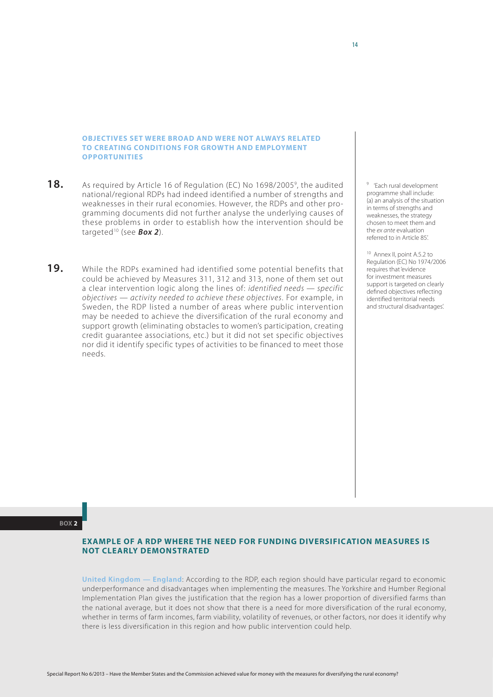## **Objectives set were broad and were not always related to creating conditions for growth and employment opportunities**

- 18. As required by Article 16 of Regulation (EC) No 1698/2005<sup>9</sup>, the audited national/regional RDPs had indeed identified a number of strengths and weaknesses in their rural economies. However, the RDPs and other programming documents did not further analyse the underlying causes of these problems in order to establish how the intervention should be targeted10 (see *Box 2*).
- **19.** While the RDPs examined had identified some potential benefits that could be achieved by Measures 311, 312 and 313, none of them set out a clear intervention logic along the lines of: *identified needs — specific objectives — activity needed to achieve these objectives*. For example, in Sweden, the RDP listed a number of areas where public intervention may be needed to achieve the diversification of the rural economy and support growth (eliminating obstacles to women's participation, creating credit guarantee associations, etc.) but it did not set specific objectives nor did it identify specific types of activities to be financed to meet those needs.

<sup>9</sup> 'Each rural development programme shall include: (a) an analysis of the situation in terms of strengths and weaknesses, the strategy chosen to meet them and the *ex ante* evaluation referred to in Article 85'.

10 Annex II, point A.5.2 to Regulation (EC) No 1974/2006 requires that 'evidence for investment measures support is targeted on clearly defined objectives reflecting identified territorial needs and structural disadvantages'.

**Box 2**

## **Example of a RDP where the need for funding diversification measures is not clearly demonstrated**

**United Kingdom — England**: According to the RDP, each region should have particular regard to economic underperformance and disadvantages when implementing the measures. The Yorkshire and Humber Regional Implementation Plan gives the justification that the region has a lower proportion of diversified farms than the national average, but it does not show that there is a need for more diversification of the rural economy, whether in terms of farm incomes, farm viability, volatility of revenues, or other factors, nor does it identify why there is less diversification in this region and how public intervention could help.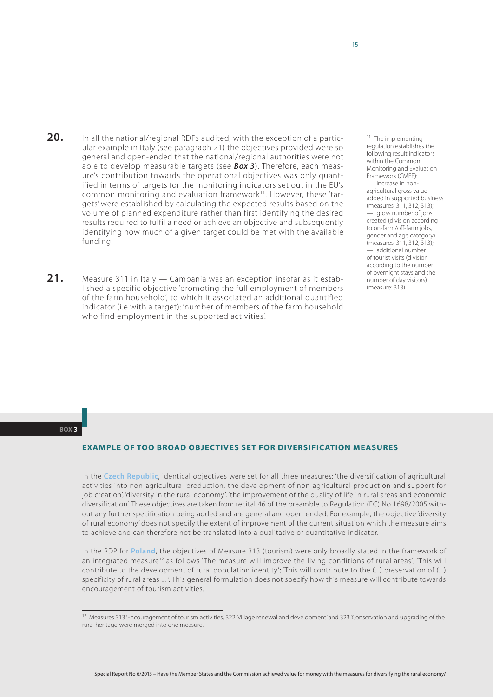- **20.** In all the national/regional RDPs audited, with the exception of a particular example in Italy (see paragraph 21) the objectives provided were so general and open-ended that the national/regional authorities were not able to develop measurable targets (see *Box 3*). Therefore, each measure's contribution towards the operational objectives was only quantified in terms of targets for the monitoring indicators set out in the EU's common monitoring and evaluation framework<sup>11</sup>. However, these 'targets' were established by calculating the expected results based on the volume of planned expenditure rather than first identifying the desired results required to fulfil a need or achieve an objective and subsequently identifying how much of a given target could be met with the available funding.
- **21.** Measure 311 in Italy Campania was an exception insofar as it established a specific objective 'promoting the full employment of members of the farm household', to which it associated an additional quantified indicator (i.e with a target): 'number of members of the farm household who find employment in the supported activities'.

<sup>11</sup> The implementing regulation establishes the following result indicators within the Common Monitoring and Evaluation Framework (CMEF): — increase in nonagricultural gross value added in supported business (measures: 311, 312, 313); — gross number of jobs created (division according to on-farm/off-farm jobs, aender and age category) (measures: 311, 312, 313); — additional number of tourist visits (division according to the number of overnight stays and the number of day visitors)  $(m$ easure: 313)

#### **Box 3**

# **Example of too broad objectives set for diversification measures**

In the **Czech Republic**, identical objectives were set for all three measures: 'the diversification of agricultural activities into non-agricultural production, the development of non-agricultural production and support for job creation', 'diversity in the rural economy', 'the improvement of the quality of life in rural areas and economic diversification'. These objectives are taken from recital 46 of the preamble to Regulation (EC) No 1698/2005 without any further specification being added and are general and open-ended. For example, the objective 'diversity of rural economy' does not specify the extent of improvement of the current situation which the measure aims to achieve and can therefore not be translated into a qualitative or quantitative indicator.

In the RDP for **Poland**, the objectives of Measure 313 (tourism) were only broadly stated in the framework of an integrated measure<sup>12</sup> as follows 'The measure will improve the living conditions of rural areas': 'This will contribute to the development of rural population identity'; 'This will contribute to the (...) preservation of (...) specificity of rural areas ... '. This general formulation does not specify how this measure will contribute towards encouragement of tourism activities.

<sup>12</sup> Measures 313 'Encouragement of tourism activities', 322 'Village renewal and development' and 323 'Conservation and upgrading of the rural heritage' were merged into one measure.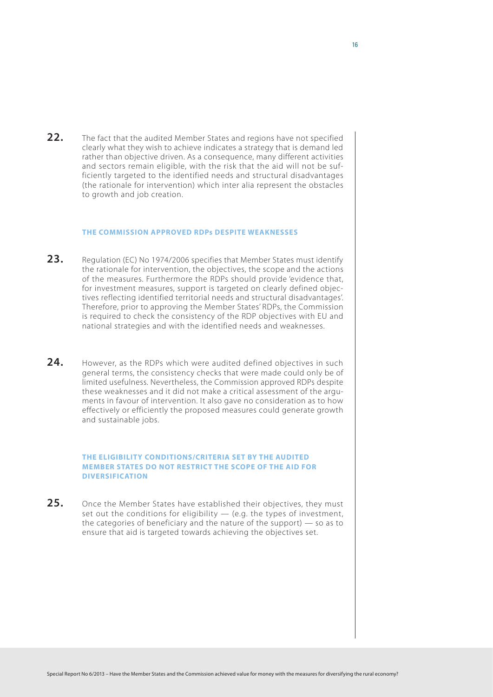**22.** The fact that the audited Member States and regions have not specified clearly what they wish to achieve indicates a strategy that is demand led rather than objective driven. As a consequence, many different activities and sectors remain eligible, with the risk that the aid will not be sufficiently targeted to the identified needs and structural disadvantages (the rationale for intervention) which inter alia represent the obstacles to growth and job creation.

#### **The Commission approved RDPs despite weaknesses**

- 23. Regulation (EC) No 1974/2006 specifies that Member States must identify the rationale for intervention, the objectives, the scope and the actions of the measures. Furthermore the RDPs should provide 'evidence that, for investment measures, support is targeted on clearly defined objectives reflecting identified territorial needs and structural disadvantages'. Therefore, prior to approving the Member States' RDPs, the Commission is required to check the consistency of the RDP objectives with EU and national strategies and with the identified needs and weaknesses.
- **24.** However, as the RDPs which were audited defined objectives in such general terms, the consistency checks that were made could only be of limited usefulness. Nevertheless, the Commission approved RDPs despite these weaknesses and it did not make a critical assessment of the arguments in favour of intervention. It also gave no consideration as to how effectively or efficiently the proposed measures could generate growth and sustainable jobs.

## **The eligibility conditions/criteria set by the audited Member States do not restrict the scope of the aid for diversification**

**25.** Once the Member States have established their objectives, they must set out the conditions for eligibility – (e.g. the types of investment, the categories of beneficiary and the nature of the support) — so as to ensure that aid is targeted towards achieving the objectives set.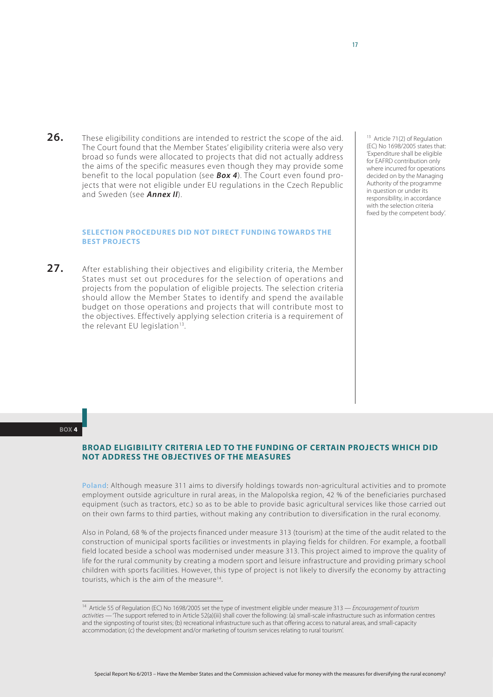**26.** These eligibility conditions are intended to restrict the scope of the aid. The Court found that the Member States' eligibility criteria were also very broad so funds were allocated to projects that did not actually address the aims of the specific measures even though they may provide some benefit to the local population (see *Box 4*). The Court even found projects that were not eligible under EU regulations in the Czech Republic and Sweden (see *Annex II*).

## **Selection procedures did not direct funding towards the best projects**

**27.** After establishing their objectives and eligibility criteria, the Member States must set out procedures for the selection of operations and projects from the population of eligible projects. The selection criteria should allow the Member States to identify and spend the available budget on those operations and projects that will contribute most to the objectives. Effectively applying selection criteria is a requirement of the relevant EU legislation $13$ .

<sup>13</sup> Article 71(2) of Regulation (EC) No 1698/2005 states that: 'Expenditure shall be eligible for EAFRD contribution only where incurred for operations decided on by the Managing Authority of the programme in question or under its responsibility, in accordance with the selection criteria fixed by the competent body'.

#### **Box 4**

# **Broad eligibility criteria led to the funding of certain projects which did not address the objectives of the measures**

**Poland**: Although measure 311 aims to diversify holdings towards non-agricultural activities and to promote employment outside agriculture in rural areas, in the Malopolska region, 42 % of the beneficiaries purchased equipment (such as tractors, etc.) so as to be able to provide basic agricultural services like those carried out on their own farms to third parties, without making any contribution to diversification in the rural economy.

Also in Poland, 68 % of the projects financed under measure 313 (tourism) at the time of the audit related to the construction of municipal sports facilities or investments in playing fields for children. For example, a football field located beside a school was modernised under measure 313. This project aimed to improve the quality of life for the rural community by creating a modern sport and leisure infrastructure and providing primary school children with sports facilities. However, this type of project is not likely to diversify the economy by attracting tourists, which is the aim of the measure<sup>14</sup>.

<sup>14</sup> Article 55 of Regulation (EC) No 1698/2005 set the type of investment eligible under measure 313 — *Encouragement of tourism activities* — 'The support referred to in Article 52(a)(iii) shall cover the following: (a) small-scale infrastructure such as information centres and the signposting of tourist sites; (b) recreational infrastructure such as that offering access to natural areas, and small-capacity accommodation; (c) the development and/or marketing of tourism services relating to rural tourism'.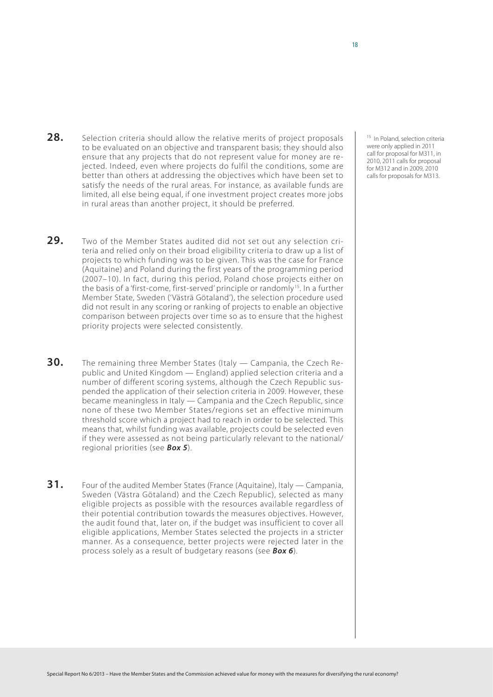- **28.** Selection criteria should allow the relative merits of project proposals to be evaluated on an objective and transparent basis; they should also ensure that any projects that do not represent value for money are rejected. Indeed, even where projects do fulfil the conditions, some are better than others at addressing the objectives which have been set to satisfy the needs of the rural areas. For instance, as available funds are limited, all else being equal, if one investment project creates more jobs in rural areas than another project, it should be preferred.
- **29.** Two of the Member States audited did not set out any selection criteria and relied only on their broad eligibility criteria to draw up a list of projects to which funding was to be given. This was the case for France (Aquitaine) and Poland during the first years of the programming period (2007–10). In fact, during this period, Poland chose projects either on the basis of a 'first-come, first-served' principle or randomly<sup>15</sup>. In a further Member State, Sweden ('Västrä Götaland'), the selection procedure used did not result in any scoring or ranking of projects to enable an objective comparison between projects over time so as to ensure that the highest priority projects were selected consistently.
- **30.** The remaining three Member States (Italy Campania, the Czech Republic and United Kingdom — England) applied selection criteria and a number of different scoring systems, although the Czech Republic suspended the application of their selection criteria in 2009. However, these became meaningless in Italy — Campania and the Czech Republic, since none of these two Member States/regions set an effective minimum threshold score which a project had to reach in order to be selected. This means that, whilst funding was available, projects could be selected even if they were assessed as not being particularly relevant to the national/ regional priorities (see *Box 5*).
- **31.** Four of the audited Member States (France (Aquitaine), Italy Campania, Sweden (Västra Götaland) and the Czech Republic), selected as many eligible projects as possible with the resources available regardless of their potential contribution towards the measures objectives. However, the audit found that, later on, if the budget was insufficient to cover all eligible applications, Member States selected the projects in a stricter manner. As a consequence, better projects were rejected later in the process solely as a result of budgetary reasons (see *Box 6*).

<sup>15</sup> In Poland, selection criteria were only applied in 2011 call for proposal for M311, in 2010, 2011 calls for proposal for M312 and in 2009, 2010 calls for proposals for M313.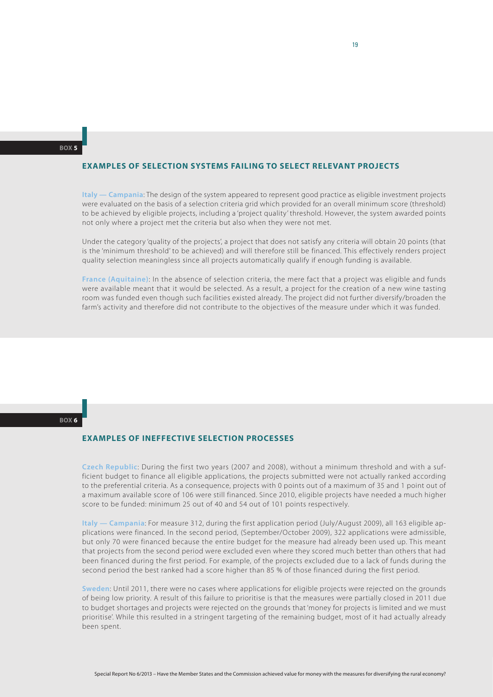## **Examples of selection systems failing to select relevant projects**

**Italy — Campania**: The design of the system appeared to represent good practice as eligible investment projects were evaluated on the basis of a selection criteria grid which provided for an overall minimum score (threshold) to be achieved by eligible projects, including a 'project quality' threshold. However, the system awarded points not only where a project met the criteria but also when they were not met.

Under the category 'quality of the projects', a project that does not satisfy any criteria will obtain 20 points (that is the 'minimum threshold' to be achieved) and will therefore still be financed. This effectively renders project quality selection meaningless since all projects automatically qualify if enough funding is available.

**France (Aquitaine)**: In the absence of selection criteria, the mere fact that a project was eligible and funds were available meant that it would be selected. As a result, a project for the creation of a new wine tasting room was funded even though such facilities existed already. The project did not further diversify/broaden the farm's activity and therefore did not contribute to the objectives of the measure under which it was funded.

#### **Box 6**

### **Examples of ineffective selection processes**

**Czech Republic**: During the first two years (2007 and 2008), without a minimum threshold and with a sufficient budget to finance all eligible applications, the projects submitted were not actually ranked according to the preferential criteria. As a consequence, projects with 0 points out of a maximum of 35 and 1 point out of a maximum available score of 106 were still financed. Since 2010, eligible projects have needed a much higher score to be funded: minimum 25 out of 40 and 54 out of 101 points respectively.

**Italy — Campania**: For measure 312, during the first application period (July/August 2009), all 163 eligible applications were financed. In the second period, (September/October 2009), 322 applications were admissible, but only 70 were financed because the entire budget for the measure had already been used up. This meant that projects from the second period were excluded even where they scored much better than others that had been financed during the first period. For example, of the projects excluded due to a lack of funds during the second period the best ranked had a score higher than 85 % of those financed during the first period.

**Sweden**: Until 2011, there were no cases where applications for eligible projects were rejected on the grounds of being low priority. A result of this failure to prioritise is that the measures were partially closed in 2011 due to budget shortages and projects were rejected on the grounds that 'money for projects is limited and we must prioritise'. While this resulted in a stringent targeting of the remaining budget, most of it had actually already been spent.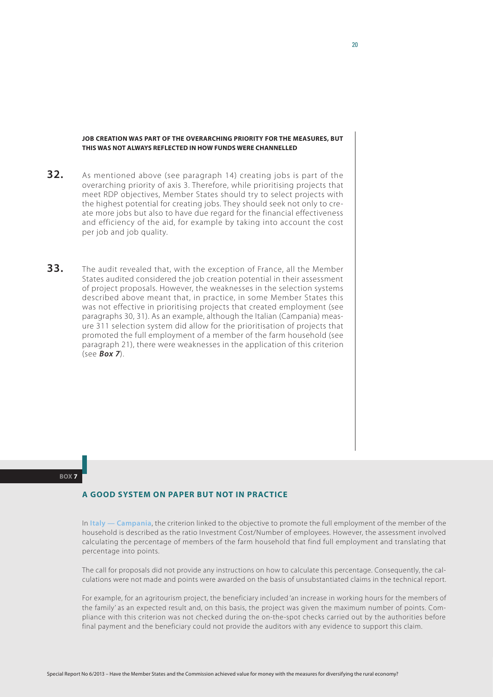### **Job creation was part of the overarching priority for the measures, but this was not always reflected in how funds were channelled**

- **32.** As mentioned above (see paragraph 14) creating jobs is part of the overarching priority of axis 3. Therefore, while prioritising projects that meet RDP objectives, Member States should try to select projects with the highest potential for creating jobs. They should seek not only to create more jobs but also to have due regard for the financial effectiveness and efficiency of the aid, for example by taking into account the cost per job and job quality.
- **33.** The audit revealed that, with the exception of France, all the Member States audited considered the job creation potential in their assessment of project proposals. However, the weaknesses in the selection systems described above meant that, in practice, in some Member States this was not effective in prioritising projects that created employment (see paragraphs 30, 31). As an example, although the Italian (Campania) measure 311 selection system did allow for the prioritisation of projects that promoted the full employment of a member of the farm household (see paragraph 21), there were weaknesses in the application of this criterion (see *Box 7*).

#### **Box 7**

## **A good system on paper but not in practice**

In **Italy — Campania**, the criterion linked to the objective to promote the full employment of the member of the household is described as the ratio Investment Cost/Number of employees. However, the assessment involved calculating the percentage of members of the farm household that find full employment and translating that percentage into points.

The call for proposals did not provide any instructions on how to calculate this percentage. Consequently, the calculations were not made and points were awarded on the basis of unsubstantiated claims in the technical report.

For example, for an agritourism project, the beneficiary included 'an increase in working hours for the members of the family' as an expected result and, on this basis, the project was given the maximum number of points. Compliance with this criterion was not checked during the on-the-spot checks carried out by the authorities before final payment and the beneficiary could not provide the auditors with any evidence to support this claim.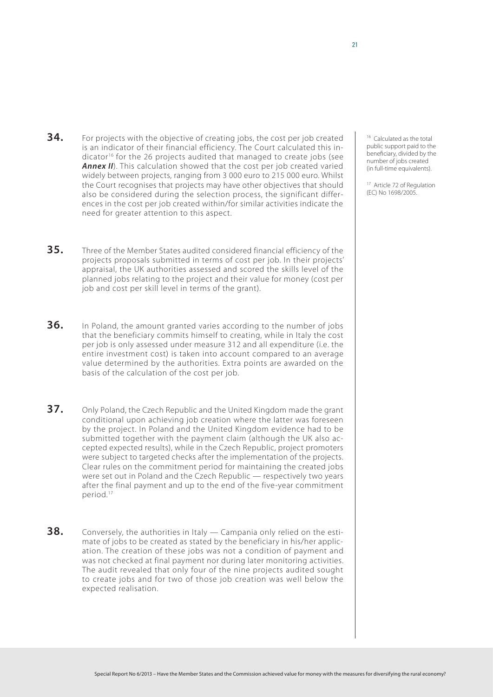- **34.** For projects with the objective of creating jobs, the cost per job created is an indicator of their financial efficiency. The Court calculated this indicator<sup>16</sup> for the 26 projects audited that managed to create jobs (see **Annex II**). This calculation showed that the cost per job created varied widely between projects, ranging from 3 000 euro to 215 000 euro. Whilst the Court recognises that projects may have other objectives that should also be considered during the selection process, the significant differences in the cost per job created within/for similar activities indicate the need for greater attention to this aspect.
- <sup>16</sup> Calculated as the total public support paid to the beneficiary, divided by the number of jobs created (in full-time equivalents).

<sup>17</sup> Article 72 of Regulation (EC) No 1698/2005.

projects proposals submitted in terms of cost per job. In their projects' appraisal, the UK authorities assessed and scored the skills level of the planned jobs relating to the project and their value for money (cost per job and cost per skill level in terms of the grant).

**35.** Three of the Member States audited considered financial efficiency of the

- **36.** In Poland, the amount granted varies according to the number of jobs that the beneficiary commits himself to creating, while in Italy the cost per job is only assessed under measure 312 and all expenditure (i.e. the entire investment cost) is taken into account compared to an average value determined by the authorities. Extra points are awarded on the basis of the calculation of the cost per job.
- **37.** Only Poland, the Czech Republic and the United Kingdom made the grant conditional upon achieving job creation where the latter was foreseen by the project. In Poland and the United Kingdom evidence had to be submitted together with the payment claim (although the UK also accepted expected results), while in the Czech Republic, project promoters were subject to targeted checks after the implementation of the projects. Clear rules on the commitment period for maintaining the created jobs were set out in Poland and the Czech Republic — respectively two years after the final payment and up to the end of the five-year commitment period.17
- **38.** Conversely, the authorities in Italy Campania only relied on the estimate of jobs to be created as stated by the beneficiary in his/her application. The creation of these jobs was not a condition of payment and was not checked at final payment nor during later monitoring activities. The audit revealed that only four of the nine projects audited sought to create jobs and for two of those job creation was well below the expected realisation.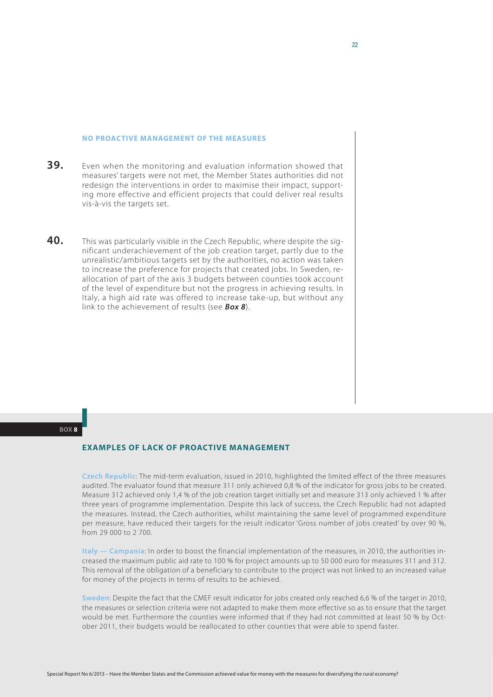#### **No proactive management of the measures**

- **39.** Even when the monitoring and evaluation information showed that measures' targets were not met, the Member States authorities did not redesign the interventions in order to maximise their impact, supporting more effective and efficient projects that could deliver real results vis-à-vis the targets set.
- **40.** This was particularly visible in the Czech Republic, where despite the significant underachievement of the job creation target, partly due to the unrealistic/ambitious targets set by the authorities, no action was taken to increase the preference for projects that created jobs. In Sweden, reallocation of part of the axis 3 budgets between counties took account of the level of expenditure but not the progress in achieving results. In Italy, a high aid rate was offered to increase take-up, but without any link to the achievement of results (see *Box 8*).

#### **Box 8**

# **Examples of lack of proactive management**

**Czech Republic**: The mid-term evaluation, issued in 2010, highlighted the limited effect of the three measures audited. The evaluator found that measure 311 only achieved 0,8 % of the indicator for gross jobs to be created. Measure 312 achieved only 1,4 % of the job creation target initially set and measure 313 only achieved 1 % after three years of programme implementation. Despite this lack of success, the Czech Republic had not adapted the measures. Instead, the Czech authorities, whilst maintaining the same level of programmed expenditure per measure, have reduced their targets for the result indicator 'Gross number of jobs created' by over 90 %, from 29 000 to 2 700.

**Italy — Campania**: In order to boost the financial implementation of the measures, in 2010, the authorities increased the maximum public aid rate to 100 % for project amounts up to 50 000 euro for measures 311 and 312. This removal of the obligation of a beneficiary to contribute to the project was not linked to an increased value for money of the projects in terms of results to be achieved.

**Sweden**: Despite the fact that the CMEF result indicator for jobs created only reached 6,6 % of the target in 2010, the measures or selection criteria were not adapted to make them more effective so as to ensure that the target would be met. Furthermore the counties were informed that if they had not committed at least 50 % by October 2011, their budgets would be reallocated to other counties that were able to spend faster.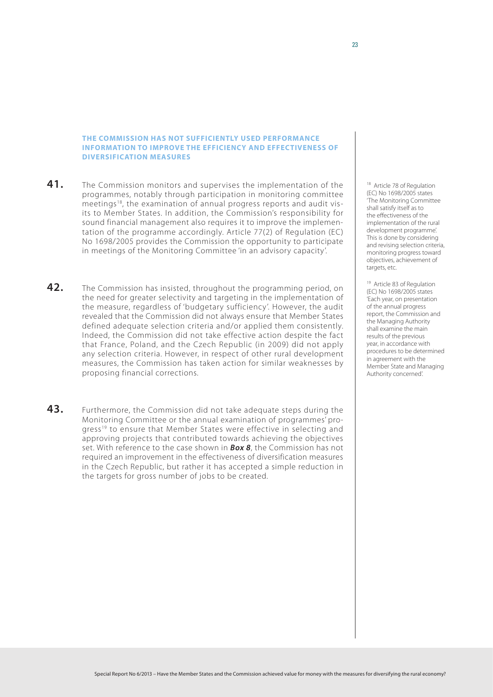## **The Commission has not sufficiently used performance information to improve the efficiency and effectiveness of diversification measures**

- **41.** The Commission monitors and supervises the implementation of the programmes, notably through participation in monitoring committee meetings18, the examination of annual progress reports and audit visits to Member States. In addition, the Commission's responsibility for sound financial management also requires it to improve the implementation of the programme accordingly. Article 77(2) of Regulation (EC) No 1698/2005 provides the Commission the opportunity to participate in meetings of the Monitoring Committee 'in an advisory capacity'.
- **42.** The Commission has insisted, throughout the programming period, on the need for greater selectivity and targeting in the implementation of the measure, regardless of 'budgetary sufficiency'. However, the audit revealed that the Commission did not always ensure that Member States defined adequate selection criteria and/or applied them consistently. Indeed, the Commission did not take effective action despite the fact that France, Poland, and the Czech Republic (in 2009) did not apply any selection criteria. However, in respect of other rural development measures, the Commission has taken action for similar weaknesses by proposing financial corrections.
- **43.** Furthermore, the Commission did not take adequate steps during the Monitoring Committee or the annual examination of programmes' progress<sup>19</sup> to ensure that Member States were effective in selecting and approving projects that contributed towards achieving the objectives set. With reference to the case shown in *Box 8*, the Commission has not required an improvement in the effectiveness of diversification measures in the Czech Republic, but rather it has accepted a simple reduction in the targets for gross number of jobs to be created.

<sup>18</sup> Article 78 of Regulation (EC) No 1698/2005 states 'The Monitoring Committee shall satisfy itself as to the effectiveness of the implementation of the rural development programme'. This is done by considering and revising selection criteria, monitoring progress toward objectives, achievement of targets, etc.

<sup>19</sup> Article 83 of Regulation (EC) No 1698/2005 states 'Each year, on presentation of the annual progress report, the Commission and the Managing Authority shall examine the main results of the previous year, in accordance with procedures to be determined in agreement with the Member State and Managing Authority concerned'.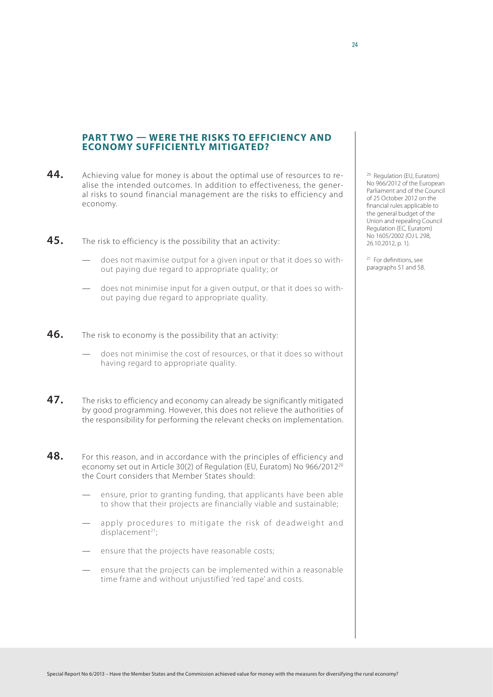## **Part two — Were the risks to efficiency and economy sufficiently mitigated?**

- **44.** Achieving value for money is about the optimal use of resources to realise the intended outcomes. In addition to effectiveness, the general risks to sound financial management are the risks to efficiency and economy.
- **45.** The risk to efficiency is the possibility that an activity:
	- does not maximise output for a given input or that it does so without paying due regard to appropriate quality; or
	- does not minimise input for a given output, or that it does so without paying due regard to appropriate quality.
- **46.** The risk to economy is the possibility that an activity:
	- does not minimise the cost of resources, or that it does so without having regard to appropriate quality.
- **47.** The risks to efficiency and economy can already be significantly mitigated by good programming. However, this does not relieve the authorities of the responsibility for performing the relevant checks on implementation.
- **48.** For this reason, and in accordance with the principles of efficiency and economy set out in Article 30(2) of Regulation (EU, Euratom) No 966/201220 the Court considers that Member States should:
	- ensure, prior to granting funding, that applicants have been able to show that their projects are financially viable and sustainable;
	- apply procedures to mitigate the risk of deadweight and displacement<sup>21</sup>:
	- ensure that the projects have reasonable costs;
	- ensure that the projects can be implemented within a reasonable time frame and without unjustified 'red tape' and costs.

<sup>20</sup> Regulation (EU, Euratom) No 966/2012 of the European Parliament and of the Council of 25 October 2012 on the financial rules applicable to the general budget of the Union and repealing Council Regulation (EC, Euratom) No 1605/2002 *(*OJ L 298, 26.10.2012, p. 1).

<sup>21</sup> For definitions, see paragraphs 51 and 58.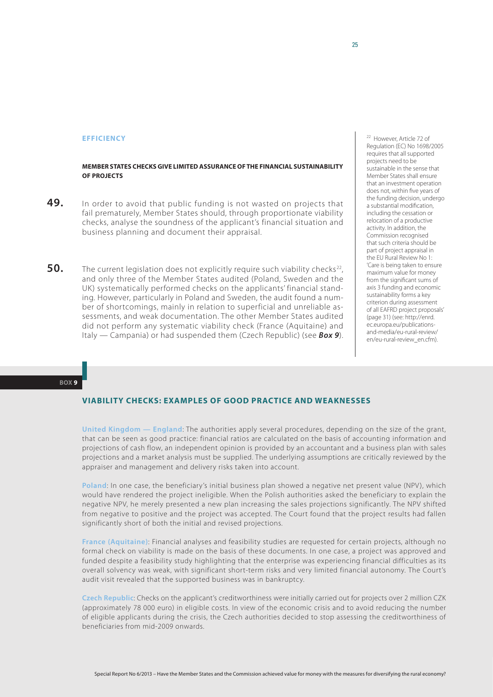#### **Efficiency**

### **Member States checks give limited assurance of the financial sustainability of projects**

- **49.** In order to avoid that public funding is not wasted on projects that fail prematurely, Member States should, through proportionate viability checks, analyse the soundness of the applicant's financial situation and business planning and document their appraisal.
- **50.** The current legislation does not explicitly require such viability checks<sup>22</sup>, and only three of the Member States audited (Poland, Sweden and the UK) systematically performed checks on the applicants' financial standing. However, particularly in Poland and Sweden, the audit found a number of shortcomings, mainly in relation to superficial and unreliable assessments, and weak documentation. The other Member States audited did not perform any systematic viability check (France (Aquitaine) and Italy — Campania) or had suspended them (Czech Republic) (see *Box 9*).

<sup>22</sup> However, Article 72 of Regulation (EC) No 1698/2005 requires that all supported projects need to be sustainable in the sense that Member States shall ensure that an investment operation does not, within five years of the funding decision, undergo a substantial modification, including the cessation or relocation of a productive activity. In addition, the Commission recognised that such criteria should be part of project appraisal in the EU Rural Review No 1: 'Care is being taken to ensure maximum value for money from the significant sums of axis 3 funding and economic sustainability forms a key criterion during assessment of all EAFRD project proposals' (page 31) (see: [http://enrd.](http://enrd.ec.europa.eu/publications-and-media/eu-rural-review/en/eu-rural-review_en.cfm) [ec.europa.eu/publications](http://enrd.ec.europa.eu/publications-and-media/eu-rural-review/en/eu-rural-review_en.cfm)[and-media/eu-rural-review/](http://enrd.ec.europa.eu/publications-and-media/eu-rural-review/en/eu-rural-review_en.cfm) [en/eu-rural-review\\_en.cfm](http://enrd.ec.europa.eu/publications-and-media/eu-rural-review/en/eu-rural-review_en.cfm)).

#### **Box 9**

## **Viability checks: examples of good practice and weaknesses**

**United Kingdom — England**: The authorities apply several procedures, depending on the size of the grant, that can be seen as good practice: financial ratios are calculated on the basis of accounting information and projections of cash flow, an independent opinion is provided by an accountant and a business plan with sales projections and a market analysis must be supplied. The underlying assumptions are critically reviewed by the appraiser and management and delivery risks taken into account.

Poland: In one case, the beneficiary's initial business plan showed a negative net present value (NPV), which would have rendered the project ineligible. When the Polish authorities asked the beneficiary to explain the negative NPV, he merely presented a new plan increasing the sales projections significantly. The NPV shifted from negative to positive and the project was accepted. The Court found that the project results had fallen significantly short of both the initial and revised projections.

**France (Aquitaine)**: Financial analyses and feasibility studies are requested for certain projects, although no formal check on viability is made on the basis of these documents. In one case, a project was approved and funded despite a feasibility study highlighting that the enterprise was experiencing financial difficulties as its overall solvency was weak, with significant short-term risks and very limited financial autonomy. The Court's audit visit revealed that the supported business was in bankruptcy.

**Czech Republic**: Checks on the applicant's creditworthiness were initially carried out for projects over 2 million CZK (approximately 78 000 euro) in eligible costs. In view of the economic crisis and to avoid reducing the number of eligible applicants during the crisis, the Czech authorities decided to stop assessing the creditworthiness of beneficiaries from mid-2009 onwards.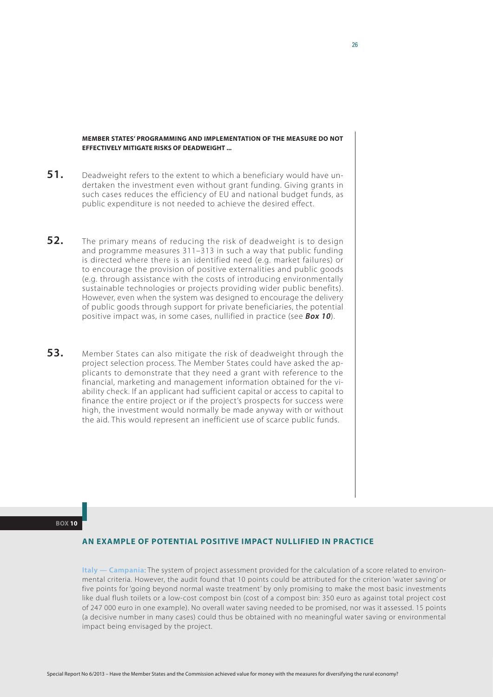### **Member States' programming and implementation of the measure do not effectively mitigate risks of deadweight ...**

- **51.** Deadweight refers to the extent to which a beneficiary would have undertaken the investment even without grant funding. Giving grants in such cases reduces the efficiency of EU and national budget funds, as public expenditure is not needed to achieve the desired effect.
- **52.** The primary means of reducing the risk of deadweight is to design and programme measures 311–313 in such a way that public funding is directed where there is an identified need (e.g. market failures) or to encourage the provision of positive externalities and public goods (e.g. through assistance with the costs of introducing environmentally sustainable technologies or projects providing wider public benefits). However, even when the system was designed to encourage the delivery of public goods through support for private beneficiaries, the potential positive impact was, in some cases, nullified in practice (see *Box 10*).
- **53.** Member States can also mitigate the risk of deadweight through the project selection process. The Member States could have asked the applicants to demonstrate that they need a grant with reference to the financial, marketing and management information obtained for the viability check. If an applicant had sufficient capital or access to capital to finance the entire project or if the project's prospects for success were high, the investment would normally be made anyway with or without the aid. This would represent an inefficient use of scarce public funds.

#### **Box 10**

## **An example of potential positive impact nullified in practice**

**Italy — Campania**: The system of project assessment provided for the calculation of a score related to environmental criteria. However, the audit found that 10 points could be attributed for the criterion 'water saving' or five points for 'going beyond normal waste treatment' by only promising to make the most basic investments like dual flush toilets or a low-cost compost bin (cost of a compost bin: 350 euro as against total project cost of 247 000 euro in one example). No overall water saving needed to be promised, nor was it assessed. 15 points (a decisive number in many cases) could thus be obtained with no meaningful water saving or environmental impact being envisaged by the project.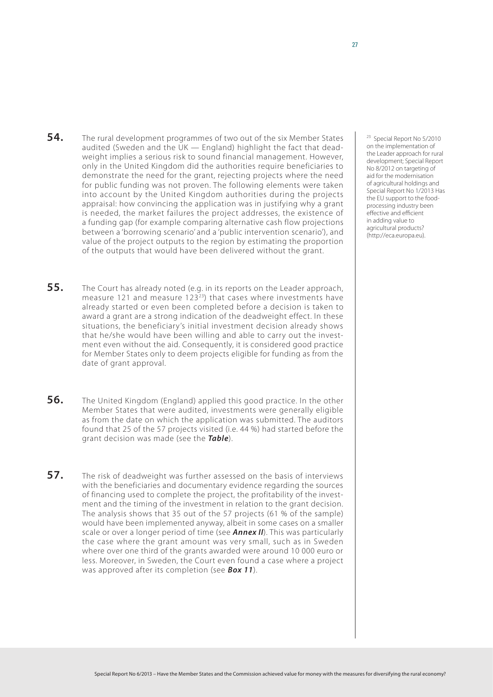- **54.** The rural development programmes of two out of the six Member States audited (Sweden and the UK — England) highlight the fact that deadweight implies a serious risk to sound financial management. However, only in the United Kingdom did the authorities require beneficiaries to demonstrate the need for the grant, rejecting projects where the need for public funding was not proven. The following elements were taken into account by the United Kingdom authorities during the projects appraisal: how convincing the application was in justifying why a grant is needed, the market failures the project addresses, the existence of a funding gap (for example comparing alternative cash flow projections between a 'borrowing scenario' and a 'public intervention scenario'), and value of the project outputs to the region by estimating the proportion of the outputs that would have been delivered without the grant.
- **55.** The Court has already noted (e.g. in its reports on the Leader approach, measure 121 and measure  $123^{23}$ ) that cases where investments have already started or even been completed before a decision is taken to award a grant are a strong indication of the deadweight effect. In these situations, the beneficiary's initial investment decision already shows that he/she would have been willing and able to carry out the investment even without the aid. Consequently, it is considered good practice for Member States only to deem projects eligible for funding as from the date of grant approval.
- **56.** The United Kingdom (England) applied this good practice. In the other Member States that were audited, investments were generally eligible as from the date on which the application was submitted. The auditors found that 25 of the 57 projects visited (i.e. 44 %) had started before the grant decision was made (see the *Table*).
- **57.** The risk of deadweight was further assessed on the basis of interviews with the beneficiaries and documentary evidence regarding the sources of financing used to complete the project, the profitability of the investment and the timing of the investment in relation to the grant decision. The analysis shows that 35 out of the 57 projects (61 % of the sample) would have been implemented anyway, albeit in some cases on a smaller scale or over a longer period of time (see *Annex II*). This was particularly the case where the grant amount was very small, such as in Sweden where over one third of the grants awarded were around 10 000 euro or less. Moreover, in Sweden, the Court even found a case where a project was approved after its completion (see *Box 11*).

23 Special Report No 5/2010 on the implementation of the Leader approach for rural development; Special Report No 8/2012 on targeting of aid for the modernisation of agricultural holdings and Special Report No 1/2013 Has the EU support to the foodprocessing industry been effective and efficient in adding value to agricultural products? [\(http://eca.europa.eu](http://eca.europa.eu)).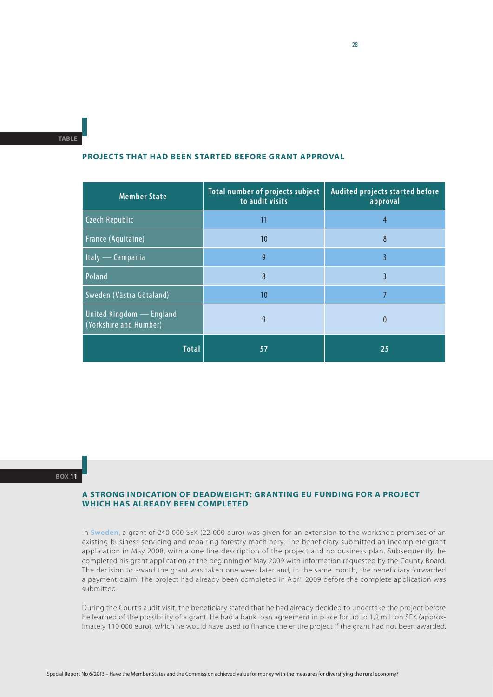**Table**

## **Projects that had been started before grant approval**

| <b>Member State</b>                                | Total number of projects subject<br>to audit visits | Audited projects started before<br>approval |
|----------------------------------------------------|-----------------------------------------------------|---------------------------------------------|
| <b>Czech Republic</b>                              | 11                                                  | $\overline{4}$                              |
| <b>France (Aquitaine)</b>                          | 10 <sup>°</sup>                                     | 8                                           |
| Italy — Campania                                   | 9                                                   | 3                                           |
| Poland                                             | 8                                                   | 3                                           |
| Sweden (Västra Götaland)                           | 10 <sup>°</sup>                                     | 7                                           |
| United Kingdom — England<br>(Yorkshire and Humber) | 9                                                   | $\theta$                                    |
| <b>Total</b>                                       | 57                                                  | 25                                          |

#### **Box 11**

## **A strong indication of deadweight: granting EU funding for a project which has already been completed**

In **Sweden**, a grant of 240 000 SEK (22 000 euro) was given for an extension to the workshop premises of an existing business servicing and repairing forestry machinery. The beneficiary submitted an incomplete grant application in May 2008, with a one line description of the project and no business plan. Subsequently, he completed his grant application at the beginning of May 2009 with information requested by the County Board. The decision to award the grant was taken one week later and, in the same month, the beneficiary forwarded a payment claim. The project had already been completed in April 2009 before the complete application was submitted.

During the Court's audit visit, the beneficiary stated that he had already decided to undertake the project before he learned of the possibility of a grant. He had a bank loan agreement in place for up to 1,2 million SEK (approximately 110 000 euro), which he would have used to finance the entire project if the grant had not been awarded.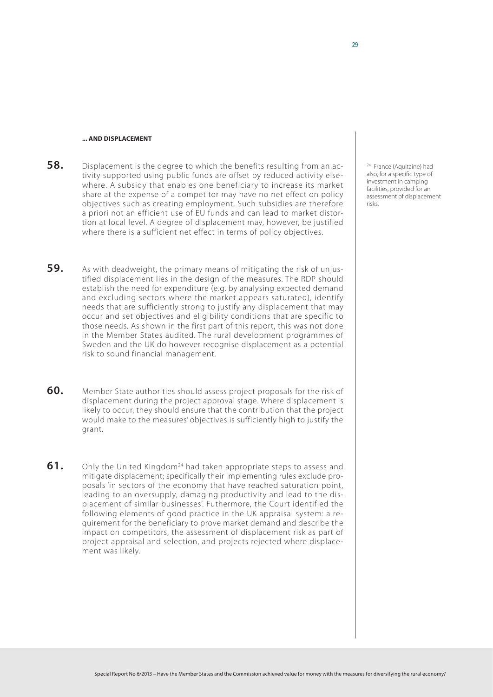#### **... and displacement**

**58.** Displacement is the degree to which the benefits resulting from an activity supported using public funds are offset by reduced activity elsewhere. A subsidy that enables one beneficiary to increase its market share at the expense of a competitor may have no net effect on policy objectives such as creating employment. Such subsidies are therefore a priori not an efficient use of EU funds and can lead to market distortion at local level. A degree of displacement may, however, be justified where there is a sufficient net effect in terms of policy objectives.

24 France (Aquitaine) had also, for a specific type of investment in camping facilities, provided for an assessment of displacement risks.

- **59.** As with deadweight, the primary means of mitigating the risk of unjustified displacement lies in the design of the measures. The RDP should establish the need for expenditure (e.g. by analysing expected demand and excluding sectors where the market appears saturated), identify needs that are sufficiently strong to justify any displacement that may occur and set objectives and eligibility conditions that are specific to those needs. As shown in the first part of this report, this was not done in the Member States audited. The rural development programmes of Sweden and the UK do however recognise displacement as a potential risk to sound financial management.
- **60.** Member State authorities should assess project proposals for the risk of displacement during the project approval stage. Where displacement is likely to occur, they should ensure that the contribution that the project would make to the measures' objectives is sufficiently high to justify the grant.
- **61.** Only the United Kingdom<sup>24</sup> had taken appropriate steps to assess and mitigate displacement; specifically their implementing rules exclude proposals 'in sectors of the economy that have reached saturation point, leading to an oversupply, damaging productivity and lead to the displacement of similar businesses'. Futhermore, the Court identified the following elements of good practice in the UK appraisal system: a requirement for the beneficiary to prove market demand and describe the impact on competitors, the assessment of displacement risk as part of project appraisal and selection, and projects rejected where displacement was likely.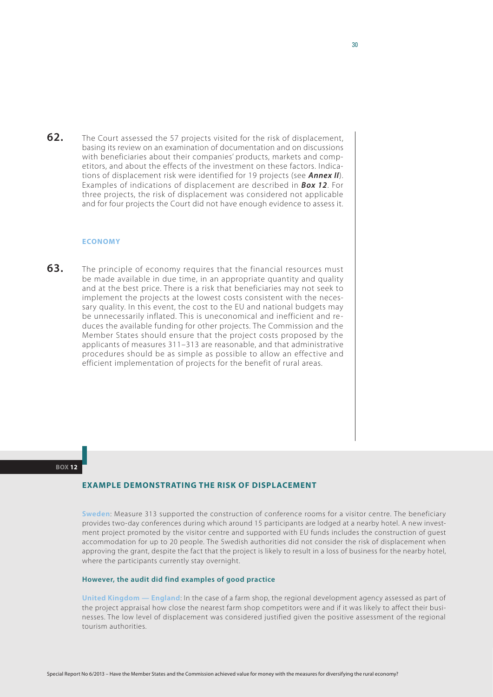**62.** The Court assessed the 57 projects visited for the risk of displacement, basing its review on an examination of documentation and on discussions with beneficiaries about their companies' products, markets and competitors, and about the effects of the investment on these factors. Indications of displacement risk were identified for 19 projects (see *Annex II*). Examples of indications of displacement are described in *Box 12*. For three projects, the risk of displacement was considered not applicable and for four projects the Court did not have enough evidence to assess it.

## **Economy**

**63.** The principle of economy requires that the financial resources must be made available in due time, in an appropriate quantity and quality and at the best price. There is a risk that beneficiaries may not seek to implement the projects at the lowest costs consistent with the necessary quality. In this event, the cost to the EU and national budgets may be unnecessarily inflated. This is uneconomical and inefficient and reduces the available funding for other projects. The Commission and the Member States should ensure that the project costs proposed by the applicants of measures 311–313 are reasonable, and that administrative procedures should be as simple as possible to allow an effective and efficient implementation of projects for the benefit of rural areas.

#### **Box 12**

#### **Example demonstrating the risk of displacement**

**Sweden**: Measure 313 supported the construction of conference rooms for a visitor centre. The beneficiary provides two-day conferences during which around 15 participants are lodged at a nearby hotel. A new investment project promoted by the visitor centre and supported with EU funds includes the construction of guest accommodation for up to 20 people. The Swedish authorities did not consider the risk of displacement when approving the grant, despite the fact that the project is likely to result in a loss of business for the nearby hotel, where the participants currently stay overnight.

#### **However, the audit did find examples of good practice**

**United Kingdom — England**: In the case of a farm shop, the regional development agency assessed as part of the project appraisal how close the nearest farm shop competitors were and if it was likely to affect their businesses. The low level of displacement was considered justified given the positive assessment of the regional tourism authorities.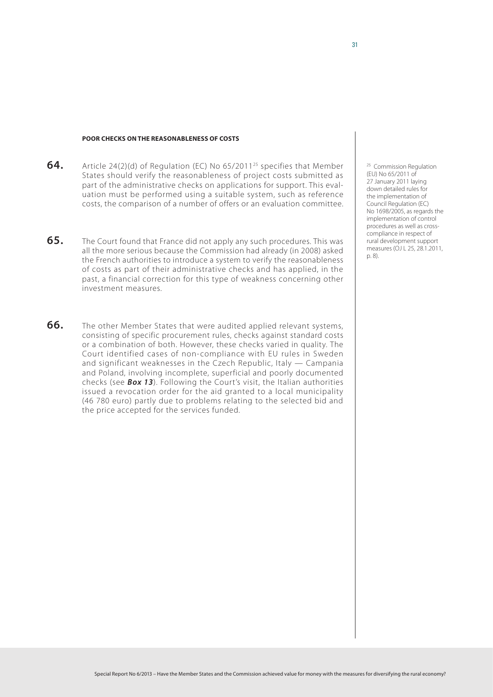#### **Poor checks on the reasonableness of costs**

- **64.** Article 24(2)(d) of Regulation (EC) No 65/201125 specifies that Member States should verify the reasonableness of project costs submitted as part of the administrative checks on applications for support. This evaluation must be performed using a suitable system, such as reference costs, the comparison of a number of offers or an evaluation committee.
- **65.** The Court found that France did not apply any such procedures. This was all the more serious because the Commission had already (in 2008) asked the French authorities to introduce a system to verify the reasonableness of costs as part of their administrative checks and has applied, in the past, a financial correction for this type of weakness concerning other investment measures.
- **66.** The other Member States that were audited applied relevant systems, consisting of specific procurement rules, checks against standard costs or a combination of both. However, these checks varied in quality. The Court identified cases of non-compliance with EU rules in Sweden and significant weaknesses in the Czech Republic, Italy — Campania and Poland, involving incomplete, superficial and poorly documented checks (see *Box 13*). Following the Court's visit, the Italian authorities issued a revocation order for the aid granted to a local municipality (46 780 euro) partly due to problems relating to the selected bid and the price accepted for the services funded.

<sup>25</sup> Commission Regulation (EU) No 65/2011 of 27 January 2011 laying down detailed rules for the implementation of Council Regulation (EC) No 1698/2005, as regards the implementation of control procedures as well as crosscompliance in respect of rural development support measures (OJ L 25, 28.1.2011, p. 8).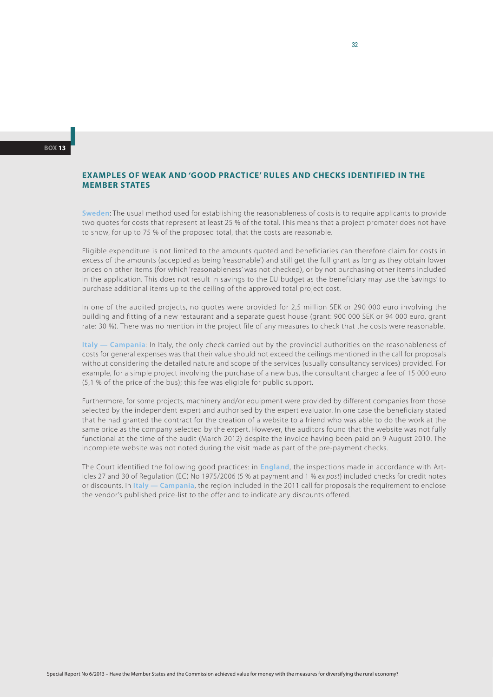## **Examples of weak and 'good practice' rules and checks identified in the Member States**

**Sweden**: The usual method used for establishing the reasonableness of costs is to require applicants to provide two quotes for costs that represent at least 25 % of the total. This means that a project promoter does not have to show, for up to 75 % of the proposed total, that the costs are reasonable.

Eligible expenditure is not limited to the amounts quoted and beneficiaries can therefore claim for costs in excess of the amounts (accepted as being 'reasonable') and still get the full grant as long as they obtain lower prices on other items (for which 'reasonableness' was not checked), or by not purchasing other items included in the application. This does not result in savings to the EU budget as the beneficiary may use the 'savings' to purchase additional items up to the ceiling of the approved total project cost.

In one of the audited projects, no quotes were provided for 2,5 million SEK or 290 000 euro involving the building and fitting of a new restaurant and a separate guest house (grant: 900 000 SEK or 94 000 euro, grant rate: 30 %). There was no mention in the project file of any measures to check that the costs were reasonable.

**Italy — Campania**: In Italy, the only check carried out by the provincial authorities on the reasonableness of costs for general expenses was that their value should not exceed the ceilings mentioned in the call for proposals without considering the detailed nature and scope of the services (usually consultancy services) provided. For example, for a simple project involving the purchase of a new bus, the consultant charged a fee of 15 000 euro (5,1 % of the price of the bus); this fee was eligible for public support.

Furthermore, for some projects, machinery and/or equipment were provided by different companies from those selected by the independent expert and authorised by the expert evaluator. In one case the beneficiary stated that he had granted the contract for the creation of a website to a friend who was able to do the work at the same price as the company selected by the expert. However, the auditors found that the website was not fully functional at the time of the audit (March 2012) despite the invoice having been paid on 9 August 2010. The incomplete website was not noted during the visit made as part of the pre-payment checks.

The Court identified the following good practices: in **England**, the inspections made in accordance with Articles 27 and 30 of Regulation (EC) No 1975/2006 (5 % at payment and 1 % *ex post*) included checks for credit notes or discounts. In **Italy — Campania**, the region included in the 2011 call for proposals the requirement to enclose the vendor's published price-list to the offer and to indicate any discounts offered.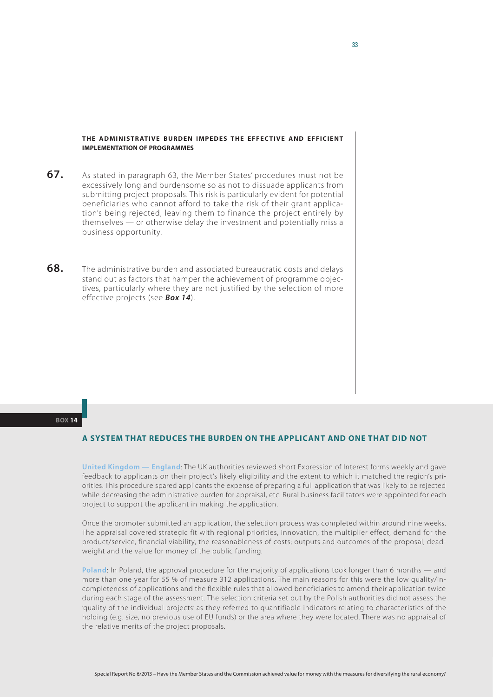### **THE ADMINISTRATIVE BURDEN IMPEDES THE EFFECTIVE AND EFFICIENT implementation of programmes**

- **67.** As stated in paragraph 63, the Member States' procedures must not be excessively long and burdensome so as not to dissuade applicants from submitting project proposals. This risk is particularly evident for potential beneficiaries who cannot afford to take the risk of their grant application's being rejected, leaving them to finance the project entirely by themselves — or otherwise delay the investment and potentially miss a business opportunity.
- **68.** The administrative burden and associated bureaucratic costs and delays stand out as factors that hamper the achievement of programme objectives, particularly where they are not justified by the selection of more effective projects (see *Box 14*).

#### **Box 14**

### **A system that reduces the burden on the applicant and one that did not**

**United Kingdom — England**: The UK authorities reviewed short Expression of Interest forms weekly and gave feedback to applicants on their project's likely eligibility and the extent to which it matched the region's priorities. This procedure spared applicants the expense of preparing a full application that was likely to be rejected while decreasing the administrative burden for appraisal, etc. Rural business facilitators were appointed for each project to support the applicant in making the application.

Once the promoter submitted an application, the selection process was completed within around nine weeks. The appraisal covered strategic fit with regional priorities, innovation, the multiplier effect, demand for the product/service, financial viability, the reasonableness of costs; outputs and outcomes of the proposal, deadweight and the value for money of the public funding.

**Poland**: In Poland, the approval procedure for the majority of applications took longer than 6 months — and more than one year for 55 % of measure 312 applications. The main reasons for this were the low quality/incompleteness of applications and the flexible rules that allowed beneficiaries to amend their application twice during each stage of the assessment. The selection criteria set out by the Polish authorities did not assess the 'quality of the individual projects' as they referred to quantifiable indicators relating to characteristics of the holding (e.g. size, no previous use of EU funds) or the area where they were located. There was no appraisal of the relative merits of the project proposals.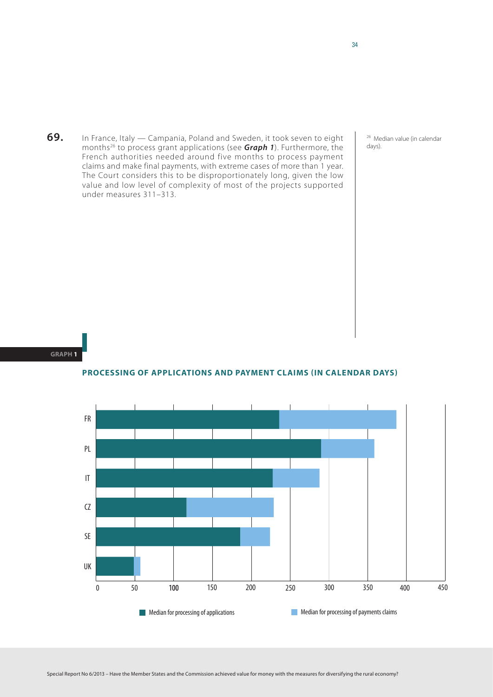**69.** In France, Italy — Campania, Poland and Sweden, it took seven to eight months26 to process grant applications (see *Graph 1*). Furthermore, the French authorities needed around five months to process payment claims and make final payments, with extreme cases of more than 1 year. The Court considers this to be disproportionately long, given the low value and low level of complexity of most of the projects supported under measures 311–313.

<sup>26</sup> Median value (in calendar days).

#### **Graph 1**

**Processing of applications and payment claims (in calendar days)**

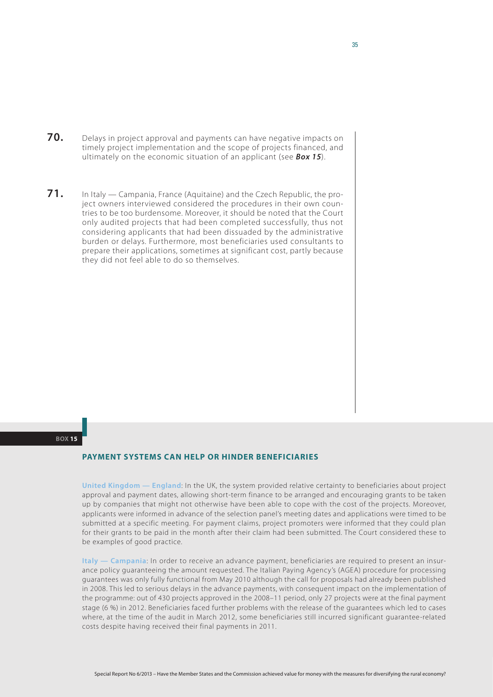- **70.** Delays in project approval and payments can have negative impacts on timely project implementation and the scope of projects financed, and ultimately on the economic situation of an applicant (see *Box 15*).
- **71.** In Italy Campania, France (Aquitaine) and the Czech Republic, the project owners interviewed considered the procedures in their own countries to be too burdensome. Moreover, it should be noted that the Court only audited projects that had been completed successfully, thus not considering applicants that had been dissuaded by the administrative burden or delays. Furthermore, most beneficiaries used consultants to prepare their applications, sometimes at significant cost, partly because they did not feel able to do so themselves.

#### **Box 15**

### **Payment systems can help or hinder beneficiaries**

**United Kingdom — England**: In the UK, the system provided relative certainty to beneficiaries about project approval and payment dates, allowing short-term finance to be arranged and encouraging grants to be taken up by companies that might not otherwise have been able to cope with the cost of the projects. Moreover, applicants were informed in advance of the selection panel's meeting dates and applications were timed to be submitted at a specific meeting. For payment claims, project promoters were informed that they could plan for their grants to be paid in the month after their claim had been submitted. The Court considered these to be examples of good practice.

**Italy — Campania**: In order to receive an advance payment, beneficiaries are required to present an insurance policy guaranteeing the amount requested. The Italian Paying Agency's (AGEA) procedure for processing guarantees was only fully functional from May 2010 although the call for proposals had already been published in 2008. This led to serious delays in the advance payments, with consequent impact on the implementation of the programme: out of 430 projects approved in the 2008–11 period, only 27 projects were at the final payment stage (6 %) in 2012. Beneficiaries faced further problems with the release of the guarantees which led to cases where, at the time of the audit in March 2012, some beneficiaries still incurred significant guarantee-related costs despite having received their final payments in 2011.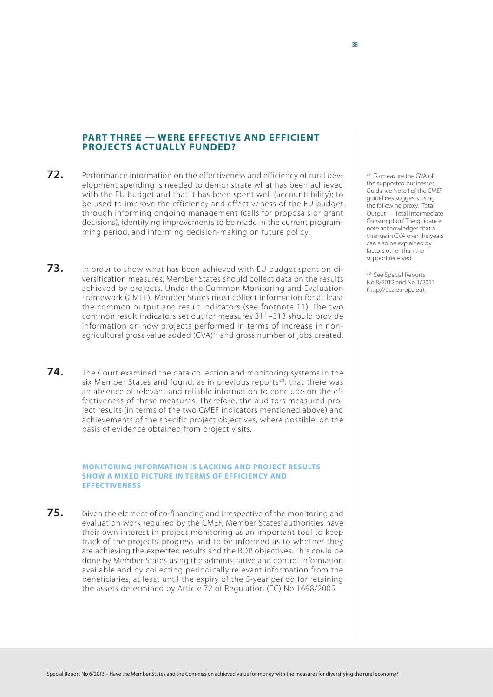## **Part three — Were effective and efficient projects actually funded?**

- **72.** Performance information on the effectiveness and efficiency of rural development spending is needed to demonstrate what has been achieved with the EU budget and that it has been spent well (accountability); to be used to improve the efficiency and effectiveness of the EU budget through informing ongoing management (calls for proposals or grant decisions), identifying improvements to be made in the current programming period, and informing decision-making on future policy.
- **73.** In order to show what has been achieved with EU budget spent on diversification measures, Member States should collect data on the results achieved by projects. Under the Common Monitoring and Evaluation Framework (CMEF), Member States must collect information for at least the common output and result indicators (see footnote 11). The two common result indicators set out for measures 311–313 should provide information on how projects performed in terms of increase in nonagricultural gross value added (GVA) 27 and gross number of jobs created.
- **74.** The Court examined the data collection and monitoring systems in the six Member States and found, as in previous reports<sup>28</sup>, that there was an absence of relevant and reliable information to conclude on the effectiveness of these measures. Therefore, the auditors measured project results (in terms of the two CMEF indicators mentioned above) and achievements of the specific project objectives, where possible, on the basis of evidence obtained from project visits.

#### **Monitoring information is lacking and project results show a mixed picture in terms of efficiency and effectiveness**

**75.** Given the element of co-financing and irrespective of the monitoring and evaluation work required by the CMEF, Member States' authorities have their own interest in project monitoring as an important tool to keep track of the projects' progress and to be informed as to whether they are achieving the expected results and the RDP objectives. This could be done by Member States using the administrative and control information available and by collecting periodically relevant information from the beneficiaries, at least until the expiry of the 5-year period for retaining the assets determined by Article 72 of Regulation (EC) No 1698/2005.

<sup>27</sup> To measure the GVA of the supported businesses, Guidance Note I of the CMEF guidelines suggests using the following proxy: 'Total Output — Total Intermediate Consumption'. The guidance note acknowledges that a change in GVA over the years can also be explained by factors other than the support received.

28 See Special Reports No 8/2012 and No 1/2013 (http://eca.europa.eu).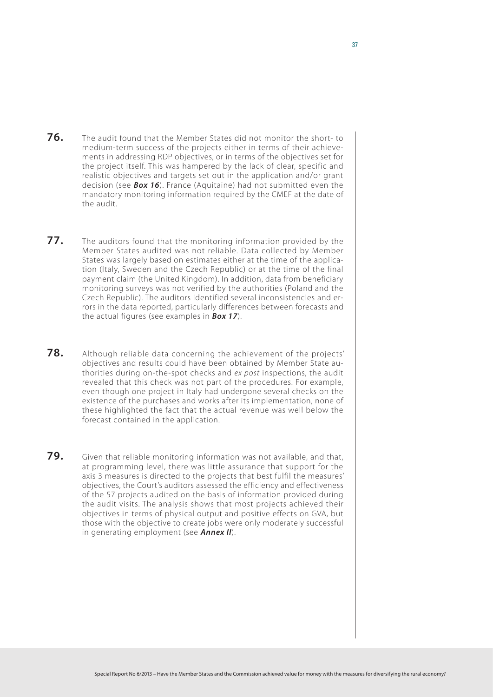- **76.** The audit found that the Member States did not monitor the short- to medium-term success of the projects either in terms of their achievements in addressing RDP objectives, or in terms of the objectives set for the project itself. This was hampered by the lack of clear, specific and realistic objectives and targets set out in the application and/or grant decision (see *Box 16*). France (Aquitaine) had not submitted even the mandatory monitoring information required by the CMEF at the date of the audit.
- **77.** The auditors found that the monitoring information provided by the Member States audited was not reliable. Data collected by Member States was largely based on estimates either at the time of the application (Italy, Sweden and the Czech Republic) or at the time of the final payment claim (the United Kingdom). In addition, data from beneficiary monitoring surveys was not verified by the authorities (Poland and the Czech Republic). The auditors identified several inconsistencies and errors in the data reported, particularly differences between forecasts and the actual figures (see examples in *Box 17*).
- **78.** Although reliable data concerning the achievement of the projects' objectives and results could have been obtained by Member State authorities during on-the-spot checks and *ex post* inspections, the audit revealed that this check was not part of the procedures. For example, even though one project in Italy had undergone several checks on the existence of the purchases and works after its implementation, none of these highlighted the fact that the actual revenue was well below the forecast contained in the application.
- **79.** Given that reliable monitoring information was not available, and that, at programming level, there was little assurance that support for the axis 3 measures is directed to the projects that best fulfil the measures' objectives, the Court's auditors assessed the efficiency and effectiveness of the 57 projects audited on the basis of information provided during the audit visits. The analysis shows that most projects achieved their objectives in terms of physical output and positive effects on GVA, but those with the objective to create jobs were only moderately successful in generating employment (see *Annex II*).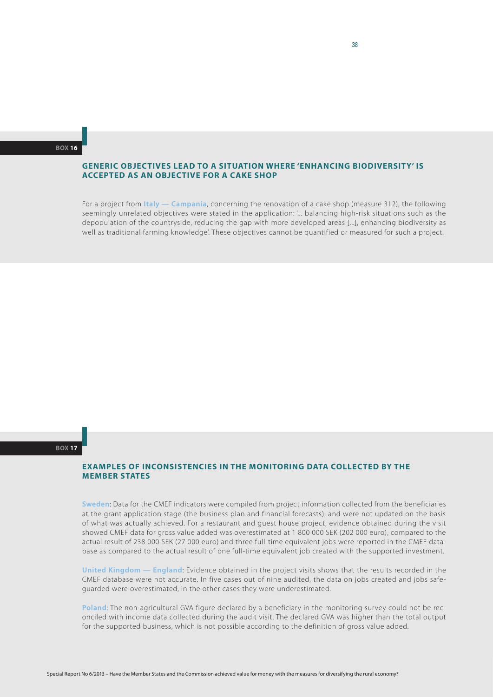#### **Generic objectives lead to a situation where 'enhancing biodiversity' is accepted as an objective for a cake shop**

For a project from **Italy — Campania**, concerning the renovation of a cake shop (measure 312), the following seemingly unrelated objectives were stated in the application: '... balancing high-risk situations such as the depopulation of the countryside, reducing the gap with more developed areas [...], enhancing biodiversity as well as traditional farming knowledge'. These objectives cannot be quantified or measured for such a project.

#### **Box 17**

## **Examples of inconsistencies in the monitoring data collected by the Member States**

**Sweden**: Data for the CMEF indicators were compiled from project information collected from the beneficiaries at the grant application stage (the business plan and financial forecasts), and were not updated on the basis of what was actually achieved. For a restaurant and guest house project, evidence obtained during the visit showed CMEF data for gross value added was overestimated at 1 800 000 SEK (202 000 euro), compared to the actual result of 238 000 SEK (27 000 euro) and three full-time equivalent jobs were reported in the CMEF database as compared to the actual result of one full-time equivalent job created with the supported investment.

**United Kingdom — England**: Evidence obtained in the project visits shows that the results recorded in the CMEF database were not accurate. In five cases out of nine audited, the data on jobs created and jobs safeguarded were overestimated, in the other cases they were underestimated.

**Poland**: The non-agricultural GVA figure declared by a beneficiary in the monitoring survey could not be reconciled with income data collected during the audit visit. The declared GVA was higher than the total output for the supported business, which is not possible according to the definition of gross value added.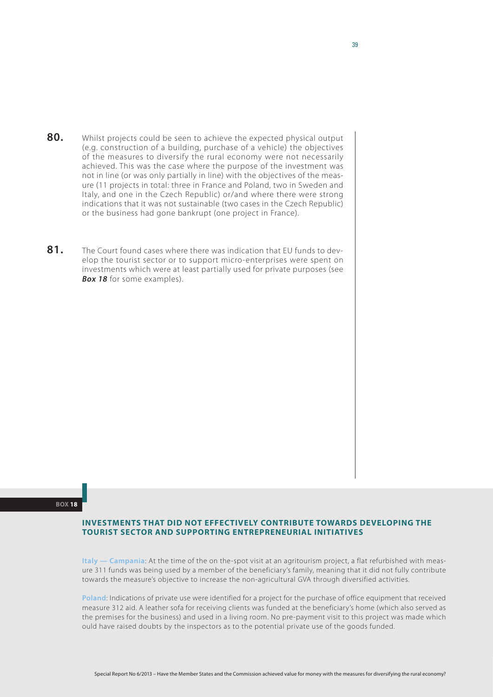- **80.** Whilst projects could be seen to achieve the expected physical output (e.g. construction of a building, purchase of a vehicle) the objectives of the measures to diversify the rural economy were not necessarily achieved. This was the case where the purpose of the investment was not in line (or was only partially in line) with the objectives of the measure (11 projects in total: three in France and Poland, two in Sweden and Italy, and one in the Czech Republic) or/and where there were strong indications that it was not sustainable (two cases in the Czech Republic) or the business had gone bankrupt (one project in France).
- **81.** The Court found cases where there was indication that EU funds to develop the tourist sector or to support micro-enterprises were spent on investments which were at least partially used for private purposes (see *Box 18* for some examples).

**Box 18**

## **Investments that did not effectively contribute towards developing the tourist sector and supporting entrepreneurial initiatives**

**Italy — Campania**: At the time of the on the-spot visit at an agritourism project, a flat refurbished with measure 311 funds was being used by a member of the beneficiary's family, meaning that it did not fully contribute towards the measure's objective to increase the non-agricultural GVA through diversified activities.

**Poland**: Indications of private use were identified for a project for the purchase of office equipment that received measure 312 aid. A leather sofa for receiving clients was funded at the beneficiary's home (which also served as the premises for the business) and used in a living room. No pre-payment visit to this project was made which ould have raised doubts by the inspectors as to the potential private use of the goods funded.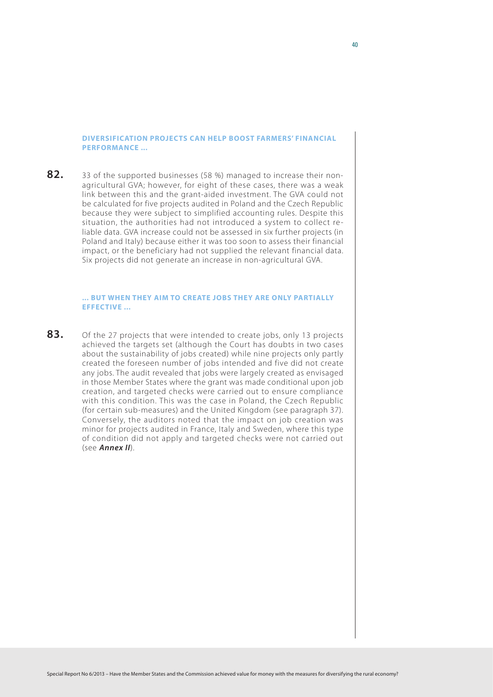### **Diversification projects can help boost farmers' financial performance ...**

**82.** 33 of the supported businesses (58 %) managed to increase their nonagricultural GVA; however, for eight of these cases, there was a weak link between this and the grant-aided investment. The GVA could not be calculated for five projects audited in Poland and the Czech Republic because they were subject to simplified accounting rules. Despite this situation, the authorities had not introduced a system to collect reliable data. GVA increase could not be assessed in six further projects (in Poland and Italy) because either it was too soon to assess their financial impact, or the beneficiary had not supplied the relevant financial data. Six projects did not generate an increase in non-agricultural GVA.

## **... but when they aim to create jobs they are only partially effective ...**

**83.** Of the 27 projects that were intended to create jobs, only 13 projects achieved the targets set (although the Court has doubts in two cases about the sustainability of jobs created) while nine projects only partly created the foreseen number of jobs intended and five did not create any jobs. The audit revealed that jobs were largely created as envisaged in those Member States where the grant was made conditional upon job creation, and targeted checks were carried out to ensure compliance with this condition. This was the case in Poland, the Czech Republic (for certain sub-measures) and the United Kingdom (see paragraph 37). Conversely, the auditors noted that the impact on job creation was minor for projects audited in France, Italy and Sweden, where this type of condition did not apply and targeted checks were not carried out (see *Annex II*).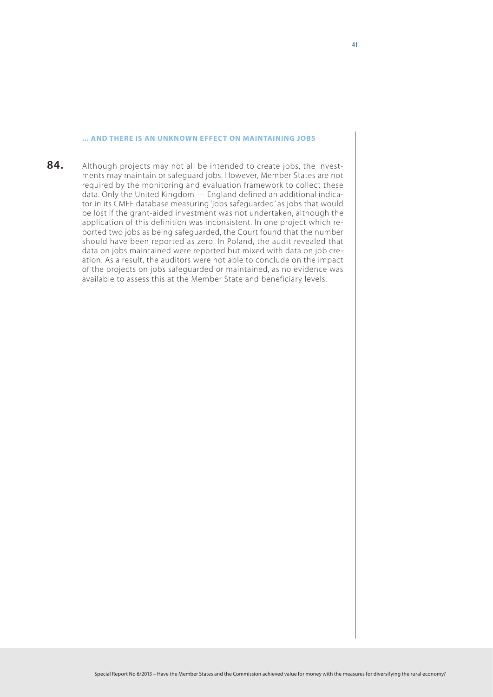### **... and there is an unknown effect on maintaining jobs**

84. Although projects may not all be intended to create jobs, the investments may maintain or safeguard jobs. However, Member States are not required by the monitoring and evaluation framework to collect these data. Only the United Kingdom — England defined an additional indicator in its CMEF database measuring 'jobs safeguarded' as jobs that would be lost if the grant-aided investment was not undertaken, although the application of this definition was inconsistent. In one project which reported two jobs as being safeguarded, the Court found that the number should have been reported as zero. In Poland, the audit revealed that data on jobs maintained were reported but mixed with data on job creation. As a result, the auditors were not able to conclude on the impact of the projects on jobs safeguarded or maintained, as no evidence was available to assess this at the Member State and beneficiary levels.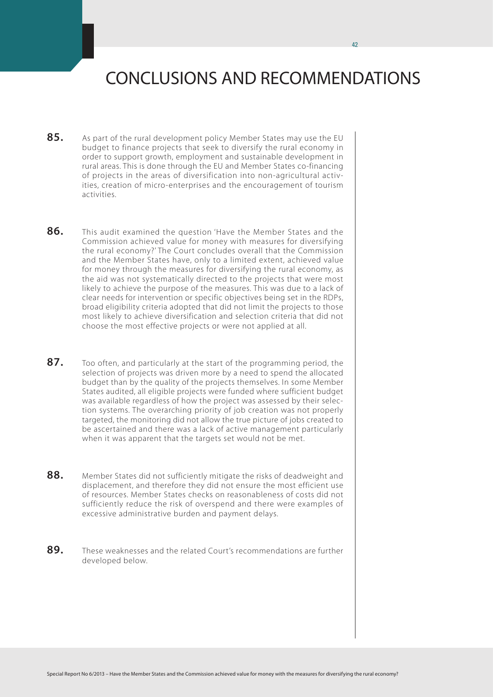# CONCLUSIONS AND RECOMMENDATIONS

- **85.** As part of the rural development policy Member States may use the EU budget to finance projects that seek to diversify the rural economy in order to support growth, employment and sustainable development in rural areas. This is done through the EU and Member States co-financing of projects in the areas of diversification into non-agricultural activities, creation of micro-enterprises and the encouragement of tourism activities.
- **86.** This audit examined the question 'Have the Member States and the Commission achieved value for money with measures for diversifying the rural economy?' The Court concludes overall that the Commission and the Member States have, only to a limited extent, achieved value for money through the measures for diversifying the rural economy, as the aid was not systematically directed to the projects that were most likely to achieve the purpose of the measures. This was due to a lack of clear needs for intervention or specific objectives being set in the RDPs, broad eligibility criteria adopted that did not limit the projects to those most likely to achieve diversification and selection criteria that did not choose the most effective projects or were not applied at all.
- **87.** Too often, and particularly at the start of the programming period, the selection of projects was driven more by a need to spend the allocated budget than by the quality of the projects themselves. In some Member States audited, all eligible projects were funded where sufficient budget was available regardless of how the project was assessed by their selection systems. The overarching priority of job creation was not properly targeted, the monitoring did not allow the true picture of jobs created to be ascertained and there was a lack of active management particularly when it was apparent that the targets set would not be met.
- **88.** Member States did not sufficiently mitigate the risks of deadweight and displacement, and therefore they did not ensure the most efficient use of resources. Member States checks on reasonableness of costs did not sufficiently reduce the risk of overspend and there were examples of excessive administrative burden and payment delays.
- **89.** These weaknesses and the related Court's recommendations are further developed below.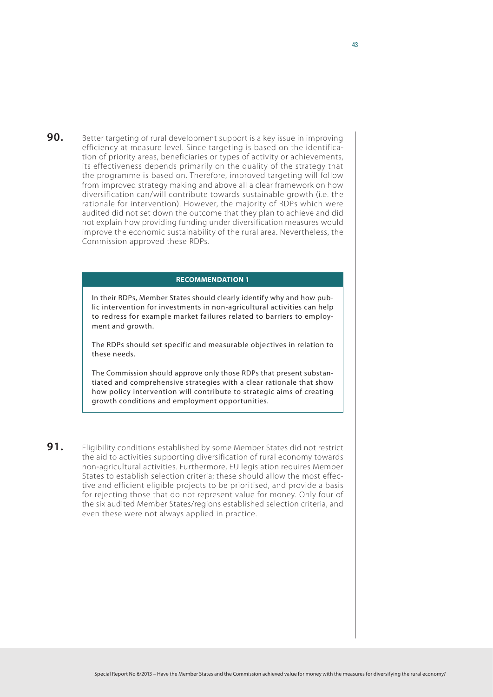**90.** Better targeting of rural development support is a key issue in improving efficiency at measure level. Since targeting is based on the identification of priority areas, beneficiaries or types of activity or achievements, its effectiveness depends primarily on the quality of the strategy that the programme is based on. Therefore, improved targeting will follow from improved strategy making and above all a clear framework on how diversification can/will contribute towards sustainable growth (i.e. the rationale for intervention). However, the majority of RDPs which were audited did not set down the outcome that they plan to achieve and did not explain how providing funding under diversification measures would improve the economic sustainability of the rural area. Nevertheless, the Commission approved these RDPs.

## **Recommendation 1**

In their RDPs, Member States should clearly identify why and how public intervention for investments in non-agricultural activities can help to redress for example market failures related to barriers to employment and growth.

The RDPs should set specific and measurable objectives in relation to these needs.

The Commission should approve only those RDPs that present substantiated and comprehensive strategies with a clear rationale that show how policy intervention will contribute to strategic aims of creating growth conditions and employment opportunities.

**91.** Eligibility conditions established by some Member States did not restrict the aid to activities supporting diversification of rural economy towards non-agricultural activities. Furthermore, EU legislation requires Member States to establish selection criteria; these should allow the most effective and efficient eligible projects to be prioritised, and provide a basis for rejecting those that do not represent value for money. Only four of the six audited Member States/regions established selection criteria, and even these were not always applied in practice.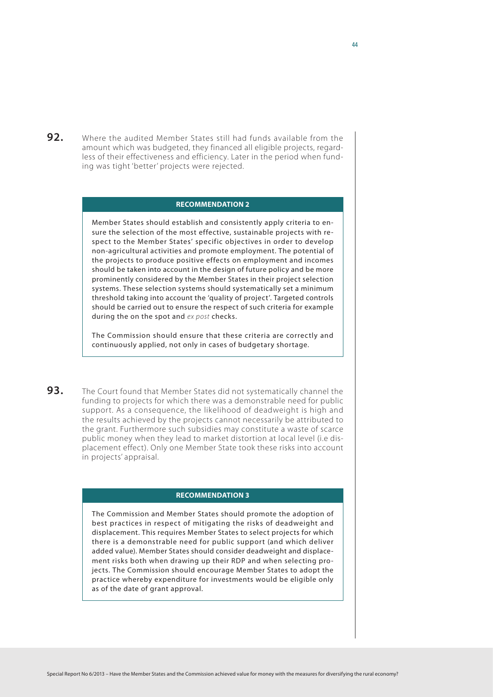**92.** Where the audited Member States still had funds available from the amount which was budgeted, they financed all eligible projects, regardless of their effectiveness and efficiency. Later in the period when funding was tight 'better' projects were rejected.

#### **Recommendation 2**

Member States should establish and consistently apply criteria to ensure the selection of the most effective, sustainable projects with respect to the Member States' specific objectives in order to develop non-agricultural activities and promote employment. The potential of the projects to produce positive effects on employment and incomes should be taken into account in the design of future policy and be more prominently considered by the Member States in their project selection systems. These selection systems should systematically set a minimum threshold taking into account the 'quality of project'. Targeted controls should be carried out to ensure the respect of such criteria for example during the on the spot and *ex post* checks.

The Commission should ensure that these criteria are correctly and continuously applied, not only in cases of budgetary shortage.

**93.** The Court found that Member States did not systematically channel the funding to projects for which there was a demonstrable need for public support. As a consequence, the likelihood of deadweight is high and the results achieved by the projects cannot necessarily be attributed to the grant. Furthermore such subsidies may constitute a waste of scarce public money when they lead to market distortion at local level (i.e displacement effect). Only one Member State took these risks into account in projects' appraisal.

## **Recommendation 3**

The Commission and Member States should promote the adoption of best practices in respect of mitigating the risks of deadweight and displacement. This requires Member States to select projects for which there is a demonstrable need for public support (and which deliver added value). Member States should consider deadweight and displacement risks both when drawing up their RDP and when selecting projects. The Commission should encourage Member States to adopt the practice whereby expenditure for investments would be eligible only as of the date of grant approval.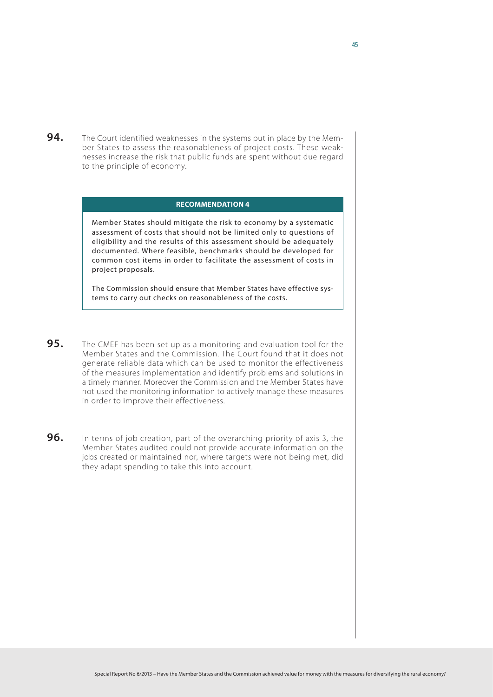**94.** The Court identified weaknesses in the systems put in place by the Member States to assess the reasonableness of project costs. These weaknesses increase the risk that public funds are spent without due regard to the principle of economy.

#### **Recommendation 4**

Member States should mitigate the risk to economy by a systematic assessment of costs that should not be limited only to questions of eligibility and the results of this assessment should be adequately documented. Where feasible, benchmarks should be developed for common cost items in order to facilitate the assessment of costs in project proposals.

The Commission should ensure that Member States have effective systems to carry out checks on reasonableness of the costs.

- **95.** The CMEF has been set up as a monitoring and evaluation tool for the Member States and the Commission. The Court found that it does not generate reliable data which can be used to monitor the effectiveness of the measures implementation and identify problems and solutions in a timely manner. Moreover the Commission and the Member States have not used the monitoring information to actively manage these measures in order to improve their effectiveness.
- **96.** In terms of job creation, part of the overarching priority of axis 3, the Member States audited could not provide accurate information on the jobs created or maintained nor, where targets were not being met, did they adapt spending to take this into account.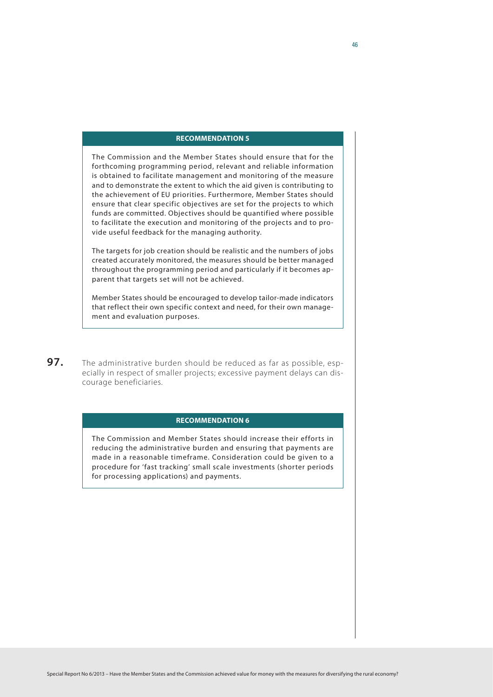## **Recommendation 5**

The Commission and the Member States should ensure that for the forthcoming programming period, relevant and reliable information is obtained to facilitate management and monitoring of the measure and to demonstrate the extent to which the aid given is contributing to the achievement of EU priorities. Furthermore, Member States should ensure that clear specific objectives are set for the projects to which funds are committed. Objectives should be quantified where possible to facilitate the execution and monitoring of the projects and to provide useful feedback for the managing authority.

The targets for job creation should be realistic and the numbers of jobs created accurately monitored, the measures should be better managed throughout the programming period and particularly if it becomes apparent that targets set will not be achieved.

Member States should be encouraged to develop tailor-made indicators that reflect their own specific context and need, for their own management and evaluation purposes.

**97.** The administrative burden should be reduced as far as possible, especially in respect of smaller projects; excessive payment delays can discourage beneficiaries.

#### **Recommendation 6**

The Commission and Member States should increase their efforts in reducing the administrative burden and ensuring that payments are made in a reasonable timeframe. Consideration could be given to a procedure for 'fast tracking' small scale investments (shorter periods for processing applications) and payments.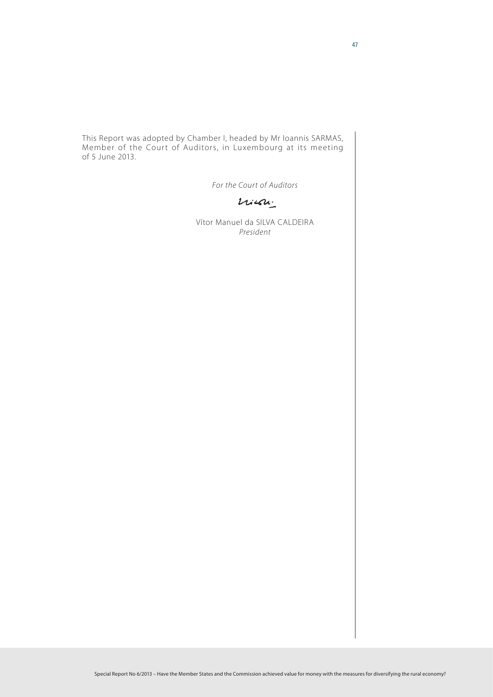This Report was adopted by Chamber I, headed by Mr Ioannis SARMAS, Member of the Court of Auditors, in Luxembourg at its meeting of 5 June 2013.

*For the Court of Auditors*

 $l$ 

Vítor Manuel da SILVA CALDEIRA *President*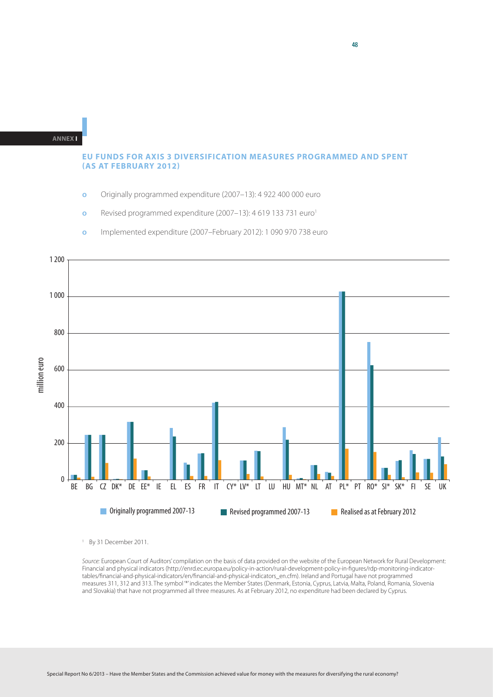## **EU FUNDS FOR AXIS 3 DIVERSIFICATION MEASURES PROGRAMMED AND SPENT (AS AT FEBRUARY 2012)**

- **ο** Originally programmed expenditure (2007–13): 4 922 400 000 euro
- **o** Revised programmed expenditure (2007–13): 4 619 133 731 euro<sup>1</sup>



**ο** Implemented expenditure (2007–February 2012): 1 090 970 738 euro

<sup>1</sup> By 31 December 2011.

*Source:* European Court of Auditors' compilation on the basis of data provided on the website of the European Network for Rural Development: Financial and physical indicators [\(http://enrd.ec.europa.eu/policy-in-action/rural-development-policy-in-figures/rdp-monitoring-indicator](http://enrd.ec.europa.eu/policy-in-action/rural-development-policy-in-figures/rdp-monitoring-indicator-tables/financial-and-physical-indicators/en/financial-and-physical-indicators_en.cfm)[tables/financial-and-physical-indicators/en/financial-and-physical-indicators\\_en.cfm\)](http://enrd.ec.europa.eu/policy-in-action/rural-development-policy-in-figures/rdp-monitoring-indicator-tables/financial-and-physical-indicators/en/financial-and-physical-indicators_en.cfm). Ireland and Portugal have not programmed measures 311, 312 and 313. The symbol '\*' indicates the Member States (Denmark, Estonia, Cyprus, Latvia, Malta, Poland, Romania, Slovenia and Slovakia) that have not programmed all three measures. As at February 2012, no expenditure had been declared by Cyprus.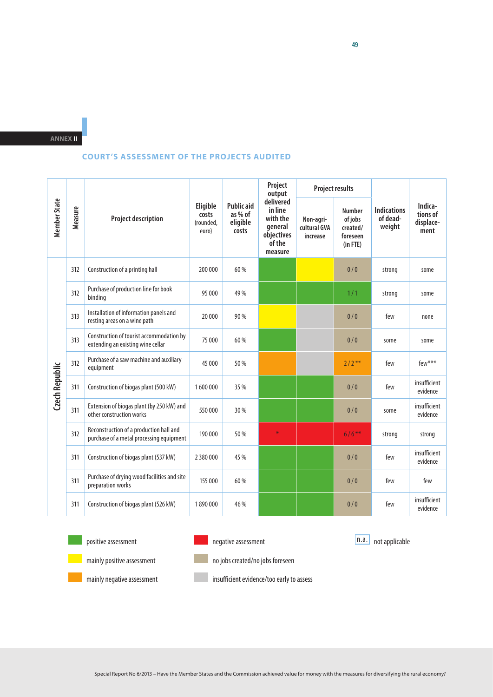## **COURT'S ASSESSMENT OF THE PROJECTS AUDITED**

| <b>Member State</b>   |         | <b>Project description</b>                                                          | Eligible<br>costs<br>(rounded,<br>euro) | <b>Public aid</b><br>as % of<br>eligible<br>costs | Project<br>output<br>delivered<br>in line<br>with the<br>qeneral<br>objectives<br>of the<br>measure | <b>Project results</b>                |                                                                   |                                          |                                          |
|-----------------------|---------|-------------------------------------------------------------------------------------|-----------------------------------------|---------------------------------------------------|-----------------------------------------------------------------------------------------------------|---------------------------------------|-------------------------------------------------------------------|------------------------------------------|------------------------------------------|
|                       | Measure |                                                                                     |                                         |                                                   |                                                                                                     | Non-agri-<br>cultural GVA<br>increase | <b>Number</b><br>of jobs<br>created/<br>foreseen<br>$(in$ FTE $)$ | <b>Indications</b><br>of dead-<br>weight | Indica-<br>tions of<br>displace-<br>ment |
|                       | 312     | Construction of a printing hall                                                     | 200 000                                 | 60 %                                              |                                                                                                     |                                       | 0/0                                                               | strong                                   | some                                     |
|                       | 312     | Purchase of production line for book<br>binding                                     | 95 000                                  | 49 %                                              |                                                                                                     |                                       | 1/1                                                               | strong                                   | some                                     |
|                       | 313     | Installation of information panels and<br>resting areas on a wine path              | 20 000                                  | 90 %                                              |                                                                                                     |                                       | 0/0                                                               | few                                      | none                                     |
|                       | 313     | Construction of tourist accommodation by<br>extending an existing wine cellar       | 75 000                                  | 60 %                                              |                                                                                                     |                                       | 0/0                                                               | some                                     | some                                     |
|                       | 312     | Purchase of a saw machine and auxiliary<br>equipment                                | 45 000                                  | 50 %                                              |                                                                                                     |                                       | $2/2$ <sup>**</sup>                                               | few                                      | few***                                   |
| <b>Czech Republic</b> | 311     | Construction of biogas plant (500 kW)                                               | 1600000                                 | 35 %                                              |                                                                                                     |                                       | 0/0                                                               | few                                      | insufficient<br>evidence                 |
|                       | 311     | Extension of biogas plant (by 250 kW) and<br>other construction works               | 550000                                  | 30 %                                              |                                                                                                     |                                       | 0/0                                                               | some                                     | insufficient<br>evidence                 |
|                       | 312     | Reconstruction of a production hall and<br>purchase of a metal processing equipment | 190 000                                 | 50 %                                              | *                                                                                                   |                                       | $6/6***$                                                          | strong                                   | strong                                   |
|                       | 311     | Construction of biogas plant (537 kW)                                               | 2 3 8 0 0 0 0                           | 45 %                                              |                                                                                                     |                                       | 0/0                                                               | few                                      | insufficient<br>evidence                 |
|                       | 311     | Purchase of drying wood facilities and site<br>preparation works                    | 155 000                                 | 60 %                                              |                                                                                                     |                                       | 0/0                                                               | few                                      | few                                      |
|                       | 311     | Construction of biogas plant (526 kW)                                               | 1890000                                 | 46 %                                              |                                                                                                     |                                       | 0/0                                                               | few                                      | insufficient<br>evidence                 |

positive assessment

negative assessment

n.a. not applicable



mainly positive assessment



no jobs created/no jobs foreseen

mainly negative assessment

insufficient evidence/too early to assess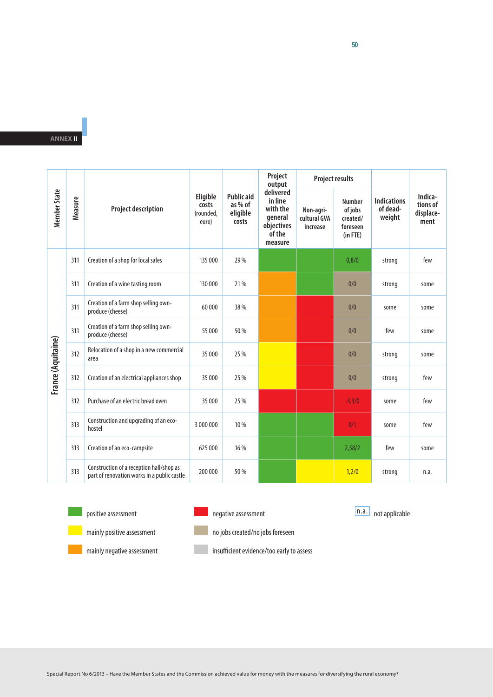|                     |         | <b>Project description</b>                                                              | Eligible<br>costs<br>(rounded,<br>euro) | <b>Public aid</b><br>as % of<br>eligible<br>costs | Project<br>output<br>delivered<br>in line<br>with the<br>general<br>objectives<br>of the<br>measure | <b>Project results</b>                |                                                                   |                                          |                                          |
|---------------------|---------|-----------------------------------------------------------------------------------------|-----------------------------------------|---------------------------------------------------|-----------------------------------------------------------------------------------------------------|---------------------------------------|-------------------------------------------------------------------|------------------------------------------|------------------------------------------|
| <b>Member State</b> | Measure |                                                                                         |                                         |                                                   |                                                                                                     | Non-agri-<br>cultural GVA<br>increase | <b>Number</b><br>of jobs<br>created/<br>foreseen<br>$(in$ FTE $)$ | <b>Indications</b><br>of dead-<br>weight | Indica-<br>tions of<br>displace-<br>ment |
|                     | 311     | Creation of a shop for local sales                                                      | 135 000                                 | 29 %                                              |                                                                                                     |                                       | 0,8/0                                                             | strong                                   | few                                      |
|                     | 311     | Creation of a wine tasting room                                                         | 130 000                                 | 21 %                                              |                                                                                                     |                                       | 0/0                                                               | strong                                   | some                                     |
|                     | 311     | Creation of a farm shop selling own-<br>produce (cheese)                                | 60000                                   | 38 %                                              |                                                                                                     |                                       | 0/0                                                               | some                                     | some                                     |
|                     | 311     | Creation of a farm shop selling own-<br>produce (cheese)                                | 55 000                                  | 50 %                                              |                                                                                                     |                                       | 0/0                                                               | few                                      | some                                     |
|                     | 312     | Relocation of a shop in a new commercial<br>area                                        | 35 000                                  | 25 %                                              |                                                                                                     |                                       | 0/0                                                               | strong                                   | some                                     |
| France (Aquitaine)  | 312     | Creation of an electrical appliances shop                                               | 35 000                                  | 25 %                                              |                                                                                                     |                                       | 0/0                                                               | strong                                   | few                                      |
|                     | 312     | Purchase of an electric bread oven                                                      | 35 000                                  | 25 %                                              |                                                                                                     |                                       | $-3,3/0$                                                          | some                                     | few                                      |
|                     | 313     | Construction and upgrading of an eco-<br>hostel                                         | 3 000 000                               | 10 %                                              |                                                                                                     |                                       | 0/1                                                               | some                                     | few                                      |
|                     | 313     | Creation of an eco-campsite                                                             | 625 000                                 | 16 %                                              |                                                                                                     |                                       | 2,58/2                                                            | few                                      | some                                     |
|                     | 313     | Construction of a reception hall/shop as<br>part of renovation works in a public castle | 200 000                                 | 50 %                                              |                                                                                                     |                                       | 1,2/0                                                             | strong                                   | n.a.                                     |



positive assessment



negative assessment

n.a. not applicable

mainly positive assessment mainly negative assessment



no jobs created/no jobs foreseen

insufficient evidence/too early to assess

50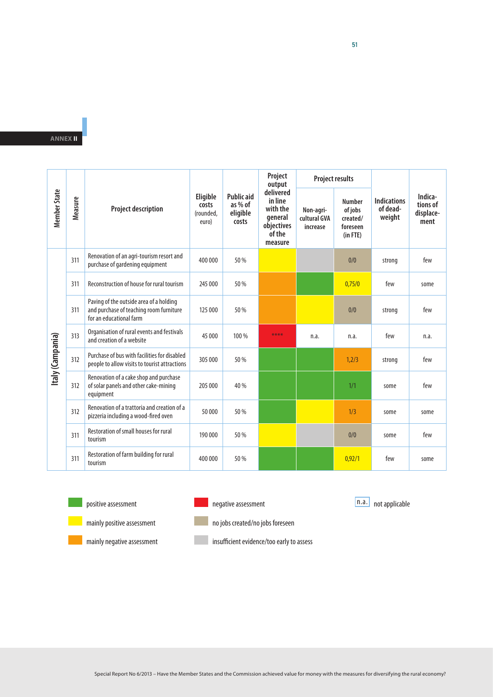|                     |         | <b>Project description</b>                                                                                    | Eligible<br>costs<br>(rounded,<br>euro) | <b>Public aid</b><br>as % of<br>eligible<br>costs | Project<br>output<br>delivered<br>in line<br>with the<br>qeneral<br>objectives<br>of the<br>measure | <b>Project results</b>                |                                                                   |                                          |                                          |
|---------------------|---------|---------------------------------------------------------------------------------------------------------------|-----------------------------------------|---------------------------------------------------|-----------------------------------------------------------------------------------------------------|---------------------------------------|-------------------------------------------------------------------|------------------------------------------|------------------------------------------|
| <b>Member State</b> | Measure |                                                                                                               |                                         |                                                   |                                                                                                     | Non-agri-<br>cultural GVA<br>increase | <b>Number</b><br>of jobs<br>created/<br>foreseen<br>$(in$ FTE $)$ | <b>Indications</b><br>of dead-<br>weight | Indica-<br>tions of<br>displace-<br>ment |
|                     | 311     | Renovation of an agri-tourism resort and<br>purchase of gardening equipment                                   | 400 000                                 | 50 %                                              |                                                                                                     |                                       | 0/0                                                               | strong                                   | few                                      |
|                     | 311     | Reconstruction of house for rural tourism                                                                     | 245 000                                 | 50 %                                              |                                                                                                     |                                       | 0,75/0                                                            | few                                      | some                                     |
|                     | 311     | Paving of the outside area of a holding<br>and purchase of teaching room furniture<br>for an educational farm | 125 000                                 | 50 %                                              |                                                                                                     |                                       | 0/0                                                               | strong                                   | few                                      |
|                     | 313     | Organisation of rural events and festivals<br>and creation of a website                                       | 45 000                                  | 100 %                                             | ****                                                                                                | n.a.                                  | n.a.                                                              | few                                      | n.a.                                     |
| Italy (Campania)    | 312     | Purchase of bus with facilities for disabled<br>people to allow visits to tourist attractions                 | 305 000                                 | 50 %                                              |                                                                                                     |                                       | 1,2/3                                                             | strong                                   | few                                      |
|                     | 312     | Renovation of a cake shop and purchase<br>of solar panels and other cake-mining<br>equipment                  | 205 000                                 | 40 %                                              |                                                                                                     |                                       | 1/1                                                               | some                                     | few                                      |
|                     | 312     | Renovation of a trattoria and creation of a<br>pizzeria including a wood-fired oven                           | 50000                                   | 50 %                                              |                                                                                                     |                                       | 1/3                                                               | some                                     | some                                     |
|                     | 311     | Restoration of small houses for rural<br>tourism                                                              | 190 000                                 | 50 %                                              |                                                                                                     |                                       | 0/0                                                               | some                                     | few                                      |
|                     | 311     | Restoration of farm building for rural<br>tourism                                                             | 400 000                                 | 50 %                                              |                                                                                                     |                                       | 0.92/1                                                            | few                                      | some                                     |



positive assessment



negative assessment

n.a. not applicable

mainly negative assessment

mainly positive assessment



insufficient evidence/too early to assess

51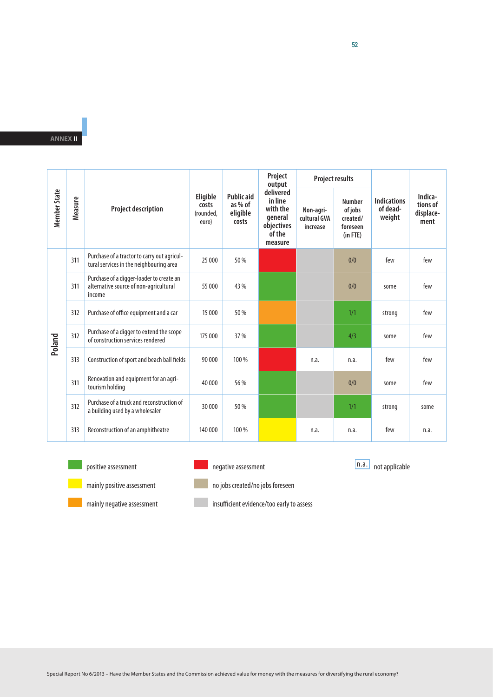| <b>Member State</b> |         | <b>Project description</b>                                                                   | Eligible<br>costs<br>(rounded,<br>euro) | <b>Public aid</b><br>as $%$ of<br>eligible<br>costs | Project<br>output<br>delivered<br>in line<br>with the<br>general<br>objectives<br>of the<br>measure | <b>Project results</b>                |                                                                   |                                          |                                          |
|---------------------|---------|----------------------------------------------------------------------------------------------|-----------------------------------------|-----------------------------------------------------|-----------------------------------------------------------------------------------------------------|---------------------------------------|-------------------------------------------------------------------|------------------------------------------|------------------------------------------|
|                     | Measure |                                                                                              |                                         |                                                     |                                                                                                     | Non-agri-<br>cultural GVA<br>increase | <b>Number</b><br>of jobs<br>created/<br>foreseen<br>$(in$ FTE $)$ | <b>Indications</b><br>of dead-<br>weight | Indica-<br>tions of<br>displace-<br>ment |
|                     | 311     | Purchase of a tractor to carry out agricul-<br>tural services in the neighbouring area       | 25 000                                  | 50 %                                                |                                                                                                     |                                       | 0/0                                                               | few                                      | few                                      |
|                     | 311     | Purchase of a digger-loader to create an<br>alternative source of non-agricultural<br>income | 55 000                                  | 43 %                                                |                                                                                                     |                                       | 0/0                                                               | some                                     | few                                      |
|                     | 312     | Purchase of office equipment and a car                                                       | 15 000                                  | 50 %                                                |                                                                                                     |                                       | 1/1                                                               | strong                                   | few                                      |
| Poland              | 312     | Purchase of a digger to extend the scope<br>of construction services rendered                | 175 000                                 | 37 %                                                |                                                                                                     |                                       | 4/3                                                               | some                                     | few                                      |
|                     | 313     | Construction of sport and beach ball fields                                                  | 90 000                                  | 100 %                                               |                                                                                                     | n.a.                                  | n.a.                                                              | few                                      | few                                      |
|                     | 311     | Renovation and equipment for an agri-<br>tourism holding                                     | 40 000                                  | 56 %                                                |                                                                                                     |                                       | 0/0                                                               | some                                     | few                                      |
|                     | 312     | Purchase of a truck and reconstruction of<br>a building used by a wholesaler                 | 30 000                                  | 50 %                                                |                                                                                                     |                                       | 1/1                                                               | strong                                   | some                                     |
|                     | 313     | Reconstruction of an amphitheatre                                                            | 140 000                                 | 100 %                                               |                                                                                                     | n.a.                                  | n.a.                                                              | few                                      | n.a.                                     |



positive assessment



I

negative assessment

n.a. not applicable



mainly negative assessment



insufficient evidence/too early to assess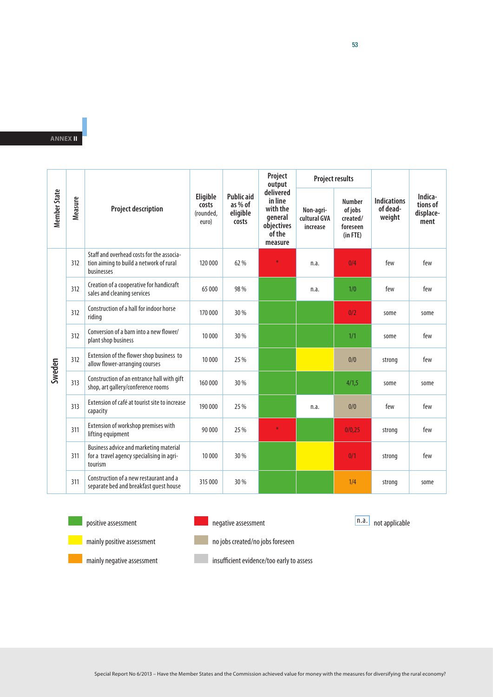|                     |         | <b>Project description</b>                                                                         | Eligible<br>costs<br>(rounded,<br>euro) | <b>Public aid</b><br>as % of<br>eligible<br>costs | Project<br>output<br>delivered<br>in line<br>with the<br>general<br>objectives<br>of the<br>measure | <b>Project results</b>                |                                                                   |                                          |                                          |
|---------------------|---------|----------------------------------------------------------------------------------------------------|-----------------------------------------|---------------------------------------------------|-----------------------------------------------------------------------------------------------------|---------------------------------------|-------------------------------------------------------------------|------------------------------------------|------------------------------------------|
| <b>Member State</b> | Measure |                                                                                                    |                                         |                                                   |                                                                                                     | Non-agri-<br>cultural GVA<br>increase | <b>Number</b><br>of jobs<br>created/<br>foreseen<br>$(in$ FTE $)$ | <b>Indications</b><br>of dead-<br>weight | Indica-<br>tions of<br>displace-<br>ment |
|                     | 312     | Staff and overhead costs for the associa-<br>tion aiming to build a network of rural<br>businesses | 120 000                                 | 62 %                                              | ×                                                                                                   | n.a.                                  | 0/4                                                               | few                                      | few                                      |
|                     | 312     | Creation of a cooperative for handicraft<br>sales and cleaning services                            | 65 000                                  | 98 %                                              |                                                                                                     | n.a.                                  | 1/0                                                               | few                                      | few                                      |
|                     | 312     | Construction of a hall for indoor horse<br>riding                                                  | 170 000                                 | 30 %                                              |                                                                                                     |                                       | 0/2                                                               | some                                     | some                                     |
|                     | 312     | Conversion of a barn into a new flower/<br>plant shop business                                     | 10 000                                  | 30 %                                              |                                                                                                     |                                       | 1/1                                                               | some                                     | few                                      |
| Sweden              | 312     | Extension of the flower shop business to<br>allow flower-arranging courses                         | 10 000                                  | 25 %                                              |                                                                                                     |                                       | 0/0                                                               | strong                                   | few                                      |
|                     | 313     | Construction of an entrance hall with gift<br>shop, art gallery/conference rooms                   | 160 000                                 | 30 %                                              |                                                                                                     |                                       | 4/1,5                                                             | some                                     | some                                     |
|                     | 313     | Extension of café at tourist site to increase<br>capacity                                          | 190 000                                 | 25 %                                              |                                                                                                     | n.a.                                  | 0/0                                                               | few                                      | few                                      |
|                     | 311     | Extension of workshop premises with<br>lifting equipment                                           | 90 000                                  | 25 %                                              | $\divideontimes$                                                                                    |                                       | 0/0,25                                                            | strong                                   | few                                      |
|                     | 311     | Business advice and marketing material<br>for a travel agency specialising in agri-<br>tourism     | 10 000                                  | 30 %                                              |                                                                                                     |                                       | 0/1                                                               | strong                                   | few                                      |
|                     | 311     | Construction of a new restaurant and a<br>separate bed and breakfast quest house                   | 315 000                                 | 30 %                                              |                                                                                                     |                                       | 1/4                                                               | strong                                   | some                                     |



positive assessment



negative assessment

n.a. not applicable

mainly positive assessment

no jobs created/no jobs foreseen

insufficient evidence/too early to assess

53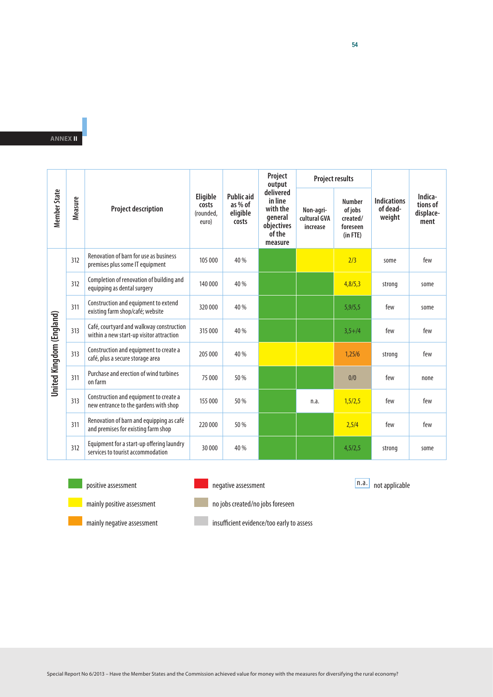|                          |         | <b>Project description</b>                                                           | Eligible<br>costs<br>(rounded,<br>euro) | <b>Public aid</b><br>as % of<br>eligible<br>costs | Project<br>output<br>delivered<br>in line<br>with the<br>general<br>objectives<br>of the<br>measure | <b>Project results</b>                |                                                                   |                                          |                                          |
|--------------------------|---------|--------------------------------------------------------------------------------------|-----------------------------------------|---------------------------------------------------|-----------------------------------------------------------------------------------------------------|---------------------------------------|-------------------------------------------------------------------|------------------------------------------|------------------------------------------|
| <b>Member State</b>      | Measure |                                                                                      |                                         |                                                   |                                                                                                     | Non-agri-<br>cultural GVA<br>increase | <b>Number</b><br>of jobs<br>created/<br>foreseen<br>$(in$ FTE $)$ | <b>Indications</b><br>of dead-<br>weight | Indica-<br>tions of<br>displace-<br>ment |
|                          | 312     | Renovation of barn for use as business<br>premises plus some IT equipment            | 105 000                                 | 40 %                                              |                                                                                                     |                                       | 2/3                                                               | some                                     | few                                      |
|                          | 312     | Completion of renovation of building and<br>equipping as dental surgery              | 140 000                                 | 40 %                                              |                                                                                                     |                                       | 4,8/5,3                                                           | strong                                   | some                                     |
|                          | 311     | Construction and equipment to extend<br>existing farm shop/café; website             | 320 000                                 | 40 %                                              |                                                                                                     |                                       | 5,9/5,5                                                           | few                                      | some                                     |
|                          | 313     | Café, courtyard and walkway construction<br>within a new start-up visitor attraction | 315 000                                 | 40 %                                              |                                                                                                     |                                       | $3,5+/4$                                                          | few                                      | few                                      |
|                          | 313     | Construction and equipment to create a<br>café, plus a secure storage area           | 205 000                                 | 40 %                                              |                                                                                                     |                                       | 1,25/6                                                            | strong                                   | few                                      |
| United Kingdom (England) | 311     | Purchase and erection of wind turbines<br>on farm                                    | 75 000                                  | 50 %                                              |                                                                                                     |                                       | 0/0                                                               | few                                      | none                                     |
|                          | 313     | Construction and equipment to create a<br>new entrance to the gardens with shop      | 155 000                                 | 50 %                                              |                                                                                                     | n.a.                                  | 1,5/2,5                                                           | few                                      | few                                      |
|                          | 311     | Renovation of barn and equipping as café<br>and premises for existing farm shop      | 220 000                                 | 50 %                                              |                                                                                                     |                                       | 2,5/4                                                             | few                                      | few                                      |
|                          | 312     | Equipment for a start-up offering laundry<br>services to tourist accommodation       | 30 000                                  | 40 %                                              |                                                                                                     |                                       | 4,5/2,5                                                           | strong                                   | some                                     |



positive assessment



n.a. not applicable



mainly positive assessment

mainly negative assessment

I no jobs created/no jobs foreseen

I

insufficient evidence/too early to assess

Special Report No 6/2013 – Have the Member States and the Commission achieved value for money with the measures for diversifying the rural economy?

54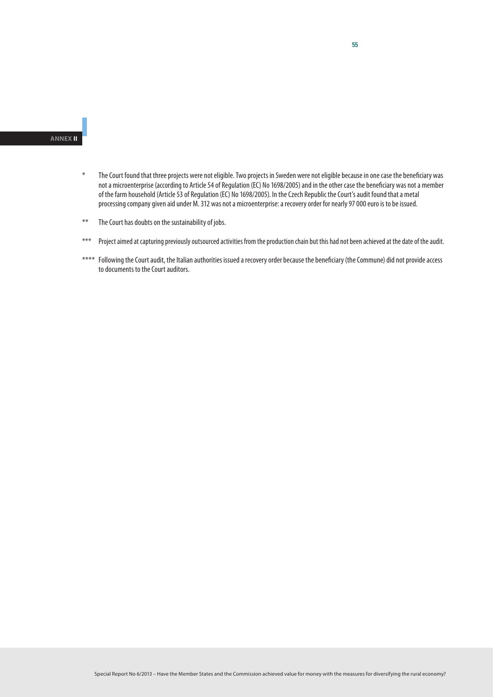- \* The Court found that three projects were not eligible. Two projects in Sweden were not eligible because in one case the beneficiary was not a microenterprise (according to Article 54 of Regulation (EC) No 1698/2005) and in the other case the beneficiary was not a member of the farm household (Article 53 of Regulation (EC) No 1698/2005). In the Czech Republic the Court's audit found that a metal processing company given aid under M. 312 was not a microenterprise: a recovery order for nearly 97 000 euro is to be issued.
- \*\* The Court has doubts on the sustainability of jobs.
- \*\*\* Project aimed at capturing previously outsourced activities from the production chain but this had not been achieved at the date of the audit.
- \*\*\*\* Following the Court audit, the Italian authorities issued a recovery order because the beneficiary (the Commune) did not provide access to documents to the Court auditors.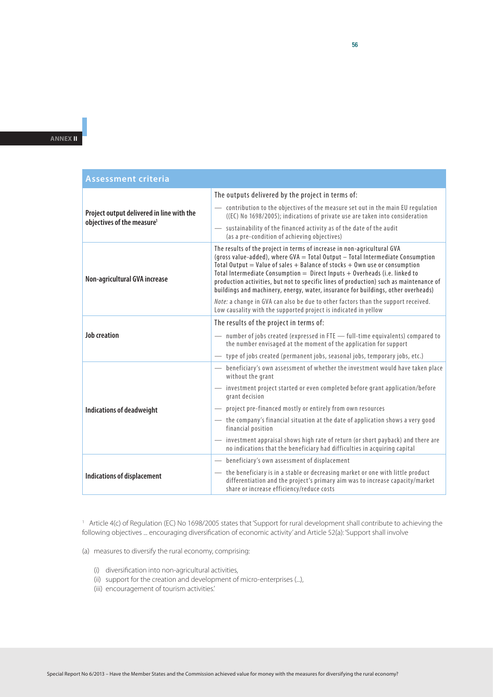| <b>Assessment criteria</b>                                                          |                                                                                                                                                                                                                                                                                                                                                                                                                                                                                                      |  |  |  |  |  |
|-------------------------------------------------------------------------------------|------------------------------------------------------------------------------------------------------------------------------------------------------------------------------------------------------------------------------------------------------------------------------------------------------------------------------------------------------------------------------------------------------------------------------------------------------------------------------------------------------|--|--|--|--|--|
|                                                                                     | The outputs delivered by the project in terms of:                                                                                                                                                                                                                                                                                                                                                                                                                                                    |  |  |  |  |  |
| Project output delivered in line with the<br>objectives of the measure <sup>1</sup> | - contribution to the objectives of the measure set out in the main EU regulation<br>((EC) No 1698/2005); indications of private use are taken into consideration                                                                                                                                                                                                                                                                                                                                    |  |  |  |  |  |
|                                                                                     | - sustainability of the financed activity as of the date of the audit<br>(as a pre-condition of achieving objectives)                                                                                                                                                                                                                                                                                                                                                                                |  |  |  |  |  |
| Non-agricultural GVA increase                                                       | The results of the project in terms of increase in non-agricultural GVA<br>(gross value-added), where GVA = Total Output - Total Intermediate Consumption<br>Total Output = Value of sales + Balance of stocks + Own use or consumption<br>Total Intermediate Consumption = Direct Inputs + Overheads (i.e. linked to<br>production activities, but not to specific lines of production) such as maintenance of<br>buildings and machinery, energy, water, insurance for buildings, other overheads) |  |  |  |  |  |
|                                                                                     | Note: a change in GVA can also be due to other factors than the support received.<br>Low causality with the supported project is indicated in yellow                                                                                                                                                                                                                                                                                                                                                 |  |  |  |  |  |
|                                                                                     | The results of the project in terms of:                                                                                                                                                                                                                                                                                                                                                                                                                                                              |  |  |  |  |  |
| <b>Job creation</b>                                                                 | - number of jobs created (expressed in FTE - full-time equivalents) compared to<br>the number envisaged at the moment of the application for support                                                                                                                                                                                                                                                                                                                                                 |  |  |  |  |  |
|                                                                                     | type of jobs created (permanent jobs, seasonal jobs, temporary jobs, etc.)<br>$\overline{\phantom{a}}$                                                                                                                                                                                                                                                                                                                                                                                               |  |  |  |  |  |
|                                                                                     | - beneficiary's own assessment of whether the investment would have taken place<br>without the grant                                                                                                                                                                                                                                                                                                                                                                                                 |  |  |  |  |  |
|                                                                                     | - investment project started or even completed before grant application/before<br>grant decision                                                                                                                                                                                                                                                                                                                                                                                                     |  |  |  |  |  |
| <b>Indications of deadweight</b>                                                    | - project pre-financed mostly or entirely from own resources                                                                                                                                                                                                                                                                                                                                                                                                                                         |  |  |  |  |  |
|                                                                                     | — the company's financial situation at the date of application shows a very good<br>financial position                                                                                                                                                                                                                                                                                                                                                                                               |  |  |  |  |  |
|                                                                                     | - investment appraisal shows high rate of return (or short payback) and there are<br>no indications that the beneficiary had difficulties in acquiring capital                                                                                                                                                                                                                                                                                                                                       |  |  |  |  |  |
|                                                                                     | - beneficiary's own assessment of displacement                                                                                                                                                                                                                                                                                                                                                                                                                                                       |  |  |  |  |  |
| <b>Indications of displacement</b>                                                  | - the beneficiary is in a stable or decreasing market or one with little product<br>differentiation and the project's primary aim was to increase capacity/market<br>share or increase efficiency/reduce costs                                                                                                                                                                                                                                                                                       |  |  |  |  |  |

<sup>1</sup> Article 4(c) of Regulation (EC) No 1698/2005 states that 'Support for rural development shall contribute to achieving the following objectives ... encouraging diversification of economic activity' and Article 52(a): 'Support shall involve

(a) measures to diversify the rural economy, comprising:

- (i) diversification into non-agricultural activities,
- (ii) support for the creation and development of micro-enterprises (...),
- (iii) encouragement of tourism activities.'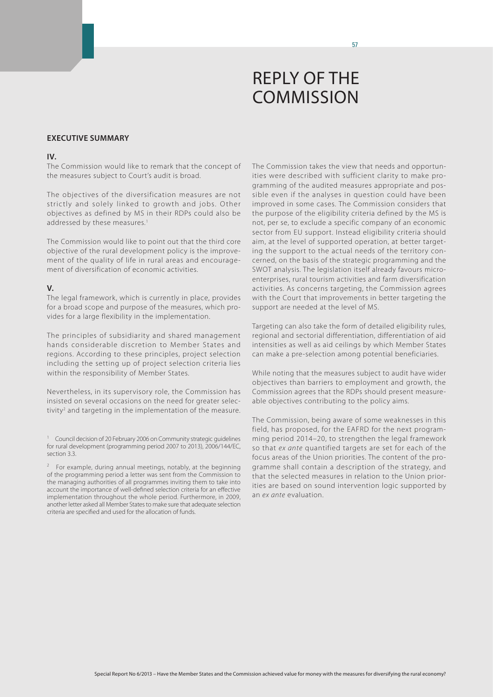#### **Executive summary**

#### **IV.**

The Commission would like to remark that the concept of the measures subject to Court's audit is broad.

The objectives of the diversification measures are not strictly and solely linked to growth and jobs. Other objectives as defined by MS in their RDPs could also be addressed by these measures.<sup>1</sup>

The Commission would like to point out that the third core objective of the rural development policy is the improvement of the quality of life in rural areas and encouragement of diversification of economic activities.

#### **V.**

The legal framework, which is currently in place, provides for a broad scope and purpose of the measures, which provides for a large flexibility in the implementation.

The principles of subsidiarity and shared management hands considerable discretion to Member States and regions. According to these principles, project selection including the setting up of project selection criteria lies within the responsibility of Member States.

Nevertheless, in its supervisory role, the Commission has insisted on several occasions on the need for greater selectivity<sup>2</sup> and targeting in the implementation of the measure.

The Commission takes the view that needs and opportunities were described with sufficient clarity to make programming of the audited measures appropriate and possible even if the analyses in question could have been improved in some cases. The Commission considers that the purpose of the eligibility criteria defined by the MS is not, per se, to exclude a specific company of an economic sector from EU support. Instead eligibility criteria should aim, at the level of supported operation, at better targeting the support to the actual needs of the territory concerned, on the basis of the strategic programming and the SWOT analysis. The legislation itself already favours microenterprises, rural tourism activities and farm diversification activities. As concerns targeting, the Commission agrees with the Court that improvements in better targeting the support are needed at the level of MS.

Targeting can also take the form of detailed eligibility rules, regional and sectorial differentiation, differentiation of aid intensities as well as aid ceilings by which Member States can make a pre-selection among potential beneficiaries.

While noting that the measures subject to audit have wider objectives than barriers to employment and growth, the Commission agrees that the RDPs should present measureable objectives contributing to the policy aims.

The Commission, being aware of some weaknesses in this field, has proposed, for the EAFRD for the next programming period 2014–20, to strengthen the legal framework so that *ex ante* quantified targets are set for each of the focus areas of the Union priorities. The content of the programme shall contain a description of the strategy, and that the selected measures in relation to the Union priorities are based on sound intervention logic supported by an *ex ante* evaluation.

<sup>&</sup>lt;sup>1</sup> Council decision of 20 February 2006 on Community strategic guidelines for rural development (programming period 2007 to 2013), 2006/144/EC, section 3.3.

For example, during annual meetings, notably, at the beginning of the programming period a letter was sent from the Commission to the managing authorities of all programmes inviting them to take into account the importance of well-defined selection criteria for an effective implementation throughout the whole period. Furthermore, in 2009, another letter asked all Member States to make sure that adequate selection criteria are specified and used for the allocation of funds.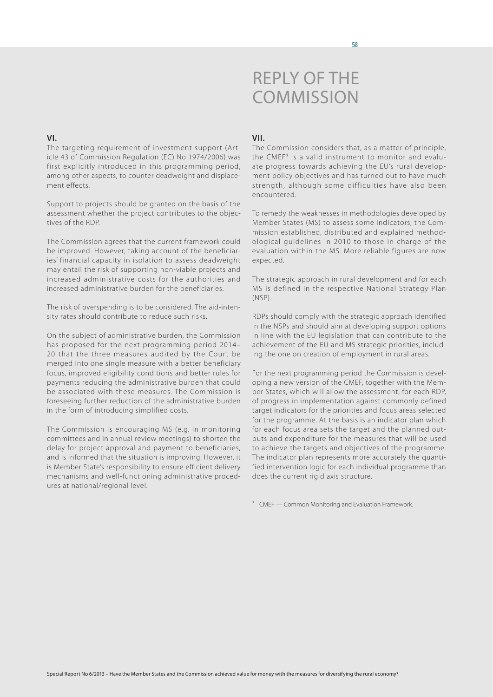### **VI.**

The targeting requirement of investment support (Article 43 of Commission Regulation (EC) No 1974/2006) was first explicitly introduced in this programming period, among other aspects, to counter deadweight and displacement effects.

Support to projects should be granted on the basis of the assessment whether the project contributes to the objectives of the RDP.

The Commission agrees that the current framework could be improved. However, taking account of the beneficiaries' financial capacity in isolation to assess deadweight may entail the risk of supporting non-viable projects and increased administrative costs for the authorities and increased administrative burden for the beneficiaries.

The risk of overspending is to be considered. The aid-intensity rates should contribute to reduce such risks.

On the subject of administrative burden, the Commission has proposed for the next programming period 2014– 20 that the three measures audited by the Court be merged into one single measure with a better beneficiary focus, improved eligibility conditions and better rules for payments reducing the administrative burden that could be associated with these measures. The Commission is foreseeing further reduction of the administrative burden in the form of introducing simplified costs.

The Commission is encouraging MS (e.g. in monitoring committees and in annual review meetings) to shorten the delay for project approval and payment to beneficiaries, and is informed that the situation is improving. However, it is Member State's responsibility to ensure efficient delivery mechanisms and well-functioning administrative procedures at national/regional level.

### **VII.**

The Commission considers that, as a matter of principle, the CMEF<sup>3</sup> is a valid instrument to monitor and evaluate progress towards achieving the EU's rural development policy objectives and has turned out to have much strength, although some difficulties have also been encountered.

To remedy the weaknesses in methodologies developed by Member States (MS) to assess some indicators, the Commission established, distributed and explained methodological guidelines in 2010 to those in charge of the evaluation within the MS. More reliable figures are now expected.

The strategic approach in rural development and for each MS is defined in the respective National Strategy Plan (NSP).

RDPs should comply with the strategic approach identified in the NSPs and should aim at developing support options in line with the EU legislation that can contribute to the achievement of the EU and MS strategic priorities, including the one on creation of employment in rural areas.

For the next programming period the Commission is developing a new version of the CMEF, together with the Member States, which will allow the assessment, for each RDP, of progress in implementation against commonly defined target indicators for the priorities and focus areas selected for the programme. At the basis is an indicator plan which for each focus area sets the target and the planned outputs and expenditure for the measures that will be used to achieve the targets and objectives of the programme. The indicator plan represents more accurately the quantified intervention logic for each individual programme than does the current rigid axis structure.

<sup>3</sup> CMEF — Common Monitoring and Evaluation Framework.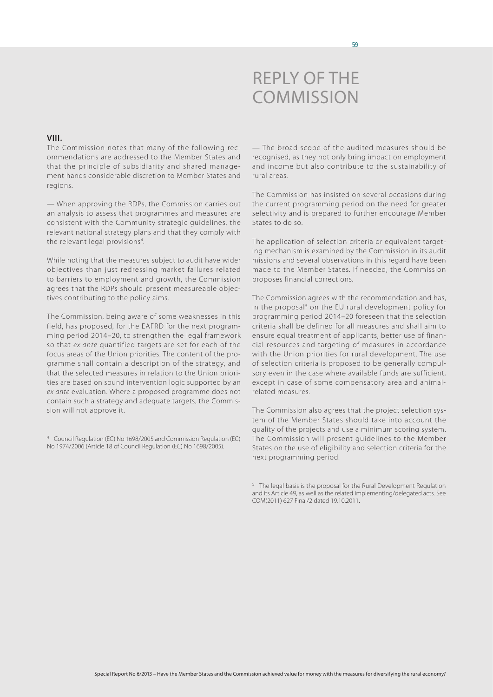

### **VIII.**

The Commission notes that many of the following recommendations are addressed to the Member States and that the principle of subsidiarity and shared management hands considerable discretion to Member States and regions.

— When approving the RDPs, the Commission carries out an analysis to assess that programmes and measures are consistent with the Community strategic guidelines, the relevant national strategy plans and that they comply with the relevant legal provisions<sup>4</sup>. .

While noting that the measures subject to audit have wider objectives than just redressing market failures related to barriers to employment and growth, the Commission agrees that the RDPs should present measureable objectives contributing to the policy aims.

The Commission, being aware of some weaknesses in this field, has proposed, for the EAFRD for the next programming period 2014–20, to strengthen the legal framework so that *ex ante* quantified targets are set for each of the focus areas of the Union priorities. The content of the programme shall contain a description of the strategy, and that the selected measures in relation to the Union priorities are based on sound intervention logic supported by an *ex ante* evaluation. Where a proposed programme does not contain such a strategy and adequate targets, the Commission will not approve it.

<sup>4</sup> Council Regulation (EC) No 1698/2005 and Commission Regulation (EC) No 1974/2006 (Article 18 of Council Regulation (EC) No 1698/2005).

— The broad scope of the audited measures should be recognised, as they not only bring impact on employment and income but also contribute to the sustainability of rural areas.

The Commission has insisted on several occasions during the current programming period on the need for greater selectivity and is prepared to further encourage Member States to do so.

The application of selection criteria or equivalent targeting mechanism is examined by the Commission in its audit missions and several observations in this regard have been made to the Member States. If needed, the Commission proposes financial corrections.

The Commission agrees with the recommendation and has, in the proposal<sup>5</sup> on the EU rural development policy for programming period 2014–20 foreseen that the selection criteria shall be defined for all measures and shall aim to ensure equal treatment of applicants, better use of financial resources and targeting of measures in accordance with the Union priorities for rural development. The use of selection criteria is proposed to be generally compulsory even in the case where available funds are sufficient, except in case of some compensatory area and animalrelated measures.

The Commission also agrees that the project selection system of the Member States should take into account the quality of the projects and use a minimum scoring system. The Commission will present guidelines to the Member States on the use of eligibility and selection criteria for the next programming period.

 $5$  The legal basis is the proposal for the Rural Development Regulation and its Article 49, as well as the related implementing/delegated acts. See COM(2011) 627 Final/2 dated 19.10.2011.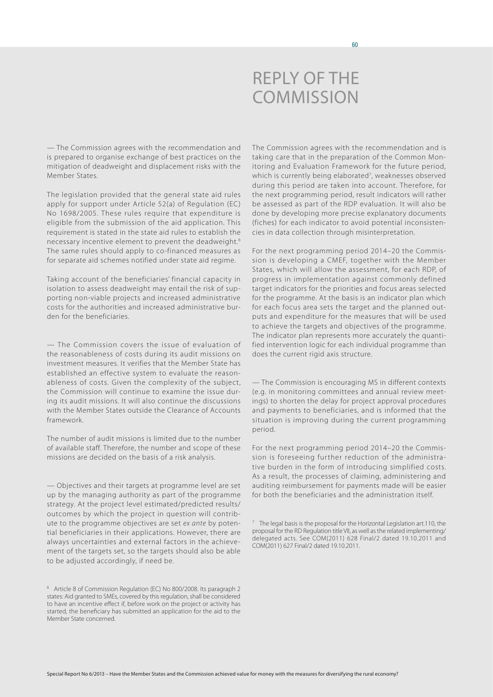— The Commission agrees with the recommendation and is prepared to organise exchange of best practices on the mitigation of deadweight and displacement risks with the Member States.

The legislation provided that the general state aid rules apply for support under Article 52(a) of Regulation (EC) No 1698/2005. These rules require that expenditure is eligible from the submission of the aid application. This requirement is stated in the state aid rules to establish the necessary incentive element to prevent the deadweight.6 The same rules should apply to co-financed measures as for separate aid schemes notified under state aid regime.

Taking account of the beneficiaries' financial capacity in isolation to assess deadweight may entail the risk of supporting non-viable projects and increased administrative costs for the authorities and increased administrative burden for the beneficiaries.

— The Commission covers the issue of evaluation of the reasonableness of costs during its audit missions on investment measures. It verifies that the Member State has established an effective system to evaluate the reasonableness of costs. Given the complexity of the subject, the Commission will continue to examine the issue during its audit missions. It will also continue the discussions with the Member States outside the Clearance of Accounts framework.

The number of audit missions is limited due to the number of available staff. Therefore, the number and scope of these missions are decided on the basis of a risk analysis.

— Objectives and their targets at programme level are set up by the managing authority as part of the programme strategy. At the project level estimated/predicted results/ outcomes by which the project in question will contribute to the programme objectives are set *ex ante* by potential beneficiaries in their applications. However, there are always uncertainties and external factors in the achievement of the targets set, so the targets should also be able to be adjusted accordingly, if need be.

The Commission agrees with the recommendation and is taking care that in the preparation of the Common Monitoring and Evaluation Framework for the future period, which is currently being elaborated<sup>7</sup>, weaknesses observed during this period are taken into account. Therefore, for the next programming period, result indicators will rather be assessed as part of the RDP evaluation. It will also be done by developing more precise explanatory documents (fiches) for each indicator to avoid potential inconsistencies in data collection through misinterpretation.

For the next programming period 2014–20 the Commission is developing a CMEF, together with the Member States, which will allow the assessment, for each RDP, of progress in implementation against commonly defined target indicators for the priorities and focus areas selected for the programme. At the basis is an indicator plan which for each focus area sets the target and the planned outputs and expenditure for the measures that will be used to achieve the targets and objectives of the programme. The indicator plan represents more accurately the quantified intervention logic for each individual programme than does the current rigid axis structure.

— The Commission is encouraging MS in different contexts (e.g. in monitoring committees and annual review meetings) to shorten the delay for project approval procedures and payments to beneficiaries, and is informed that the situation is improving during the current programming period.

For the next programming period 2014–20 the Commission is foreseeing further reduction of the administrative burden in the form of introducing simplified costs. As a result, the processes of claiming, administering and auditing reimbursement for payments made will be easier for both the beneficiaries and the administration itself.

<sup>6</sup> Article 8 of Commission Regulation (EC) No 800/2008. Its paragraph 2 states: Aid granted to SMEs, covered by this regulation, shall be considered to have an incentive effect if, before work on the project or activity has started, the beneficiary has submitted an application for the aid to the Member State concerned.

 $7$  The legal basis is the proposal for the Horizontal Legislation art.110, the proposal for the RD Regulation title VII, as well as the related implementing/ delegated acts. See COM(2011) 628 Final/2 dated 19.10.2011 and COM(2011) 627 Final/2 dated 19.10.2011.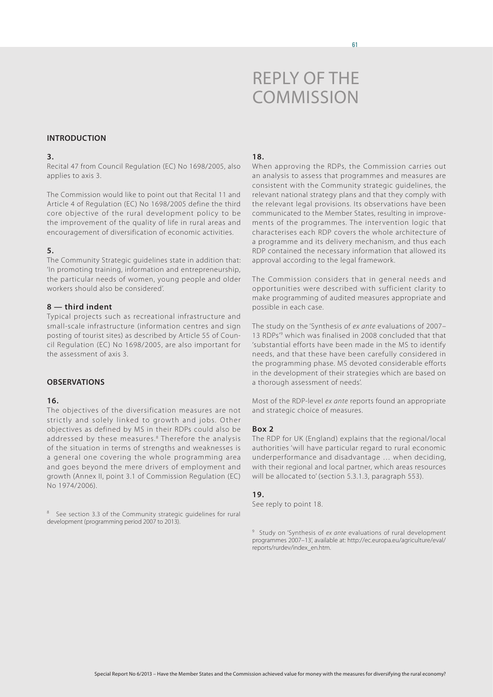#### **Introduction**

#### **3.**

Recital 47 from Council Regulation (EC) No 1698/2005, also applies to axis 3.

The Commission would like to point out that Recital 11 and Article 4 of Regulation (EC) No 1698/2005 define the third core objective of the rural development policy to be the improvement of the quality of life in rural areas and encouragement of diversification of economic activities.

#### **5.**

The Community Strategic guidelines state in addition that: 'In promoting training, information and entrepreneurship, the particular needs of women, young people and older workers should also be considered'.

## **8 — third indent**

Typical projects such as recreational infrastructure and small-scale infrastructure (information centres and sign posting of tourist sites) as described by Article 55 of Council Regulation (EC) No 1698/2005, are also important for the assessment of axis 3.

## **Observations**

#### **16.**

The objectives of the diversification measures are not strictly and solely linked to growth and jobs. Other objectives as defined by MS in their RDPs could also be addressed by these measures.<sup>8</sup> Therefore the analysis of the situation in terms of strengths and weaknesses is a general one covering the whole programming area and goes beyond the mere drivers of employment and growth (Annex II, point 3.1 of Commission Regulation (EC) No 1974/2006).

<sup>8</sup> See section 3.3 of the Community strategic guidelines for rural development (programming period 2007 to 2013).

## **18.**

When approving the RDPs, the Commission carries out an analysis to assess that programmes and measures are consistent with the Community strategic guidelines, the relevant national strategy plans and that they comply with the relevant legal provisions. Its observations have been communicated to the Member States, resulting in improvements of the programmes. The intervention logic that characterises each RDP covers the whole architecture of a programme and its delivery mechanism, and thus each RDP contained the necessary information that allowed its approval according to the legal framework.

The Commission considers that in general needs and opportunities were described with sufficient clarity to make programming of audited measures appropriate and possible in each case.

The study on the 'Synthesis of *ex ante* evaluations of 2007– 13 RDPs'9 which was finalised in 2008 concluded that that 'substantial efforts have been made in the MS to identify needs, and that these have been carefully considered in the programming phase. MS devoted considerable efforts in the development of their strategies which are based on a thorough assessment of needs'.

Most of the RDP-level *ex ante* reports found an appropriate and strategic choice of measures.

#### **Box 2**

The RDP for UK (England) explains that the regional/local authorities 'will have particular regard to rural economic underperformance and disadvantage … when deciding, with their regional and local partner, which areas resources will be allocated to' (section 5.3.1.3, paragraph 553).

#### **19.**

See reply to point 18.

<sup>9</sup> Study on 'Synthesis of *ex ante* evaluations of rural development programmes 2007–13', available at: [http://ec.europa.eu/agriculture/eval/](http://ec.europa.eu/agriculture/eval/reports/rurdev/index_en.htm) [reports/rurdev/index\\_en.htm](http://ec.europa.eu/agriculture/eval/reports/rurdev/index_en.htm).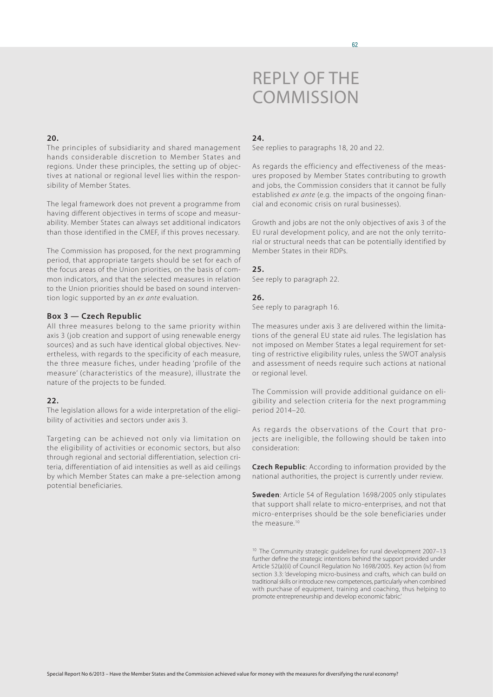### **20.**

The principles of subsidiarity and shared management hands considerable discretion to Member States and regions. Under these principles, the setting up of objectives at national or regional level lies within the responsibility of Member States.

The legal framework does not prevent a programme from having different objectives in terms of scope and measurability. Member States can always set additional indicators than those identified in the CMEF, if this proves necessary.

The Commission has proposed, for the next programming period, that appropriate targets should be set for each of the focus areas of the Union priorities, on the basis of common indicators, and that the selected measures in relation to the Union priorities should be based on sound intervention logic supported by an *ex ante* evaluation.

### **Box 3 — Czech Republic**

All three measures belong to the same priority within axis 3 (job creation and support of using renewable energy sources) and as such have identical global objectives. Nevertheless, with regards to the specificity of each measure, the three measure fiches, under heading 'profile of the measure' (characteristics of the measure), illustrate the nature of the projects to be funded.

## **22.**

The legislation allows for a wide interpretation of the eligibility of activities and sectors under axis 3.

Targeting can be achieved not only via limitation on the eligibility of activities or economic sectors, but also through regional and sectorial differentiation, selection criteria, differentiation of aid intensities as well as aid ceilings by which Member States can make a pre-selection among potential beneficiaries.

## **24.**

See replies to paragraphs 18, 20 and 22.

As regards the efficiency and effectiveness of the measures proposed by Member States contributing to growth and jobs, the Commission considers that it cannot be fully established *ex ante* (e.g. the impacts of the ongoing financial and economic crisis on rural businesses).

Growth and jobs are not the only objectives of axis 3 of the EU rural development policy, and are not the only territorial or structural needs that can be potentially identified by Member States in their RDPs.

#### **25.**

See reply to paragraph 22.

#### **26.**

See reply to paragraph 16.

The measures under axis 3 are delivered within the limitations of the general EU state aid rules. The legislation has not imposed on Member States a legal requirement for setting of restrictive eligibility rules, unless the SWOT analysis and assessment of needs require such actions at national or regional level.

The Commission will provide additional guidance on eligibility and selection criteria for the next programming period 2014–20.

As regards the observations of the Court that projects are ineligible, the following should be taken into consideration:

**Czech Republic**: According to information provided by the national authorities, the project is currently under review.

**Sweden**: Article 54 of Regulation 1698/2005 only stipulates that support shall relate to micro-enterprises, and not that micro-enterprises should be the sole beneficiaries under the measure.<sup>10</sup>

<sup>10</sup> The Community strategic guidelines for rural development 2007-13 further define the strategic intentions behind the support provided under Article 52(a)(ii) of Council Regulation No 1698/2005. Key action (iv) from section 3.3: 'developing micro-business and crafts, which can build on traditional skills or introduce new competences, particularly when combined with purchase of equipment, training and coaching, thus helping to promote entrepreneurship and develop economic fabric.'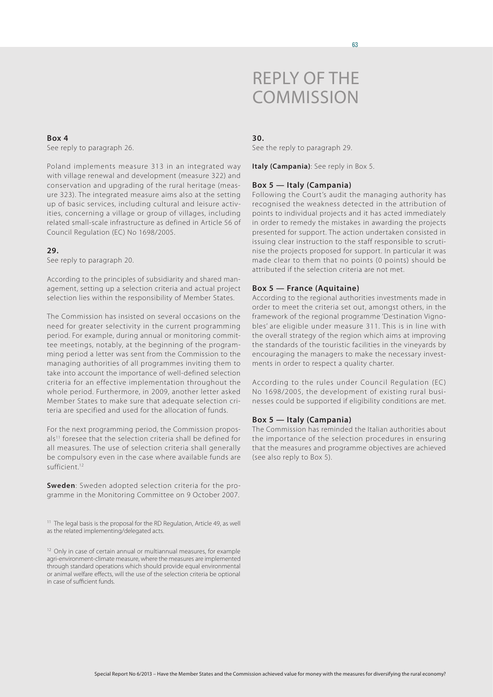## **Box 4**

See reply to paragraph 26.

Poland implements measure 313 in an integrated way with village renewal and development (measure 322) and conservation and upgrading of the rural heritage (measure 323). The integrated measure aims also at the setting up of basic services, including cultural and leisure activities, concerning a village or group of villages, including related small-scale infrastructure as defined in Article 56 of Council Regulation (EC) No 1698/2005.

## **29.**

See reply to paragraph 20.

According to the principles of subsidiarity and shared management, setting up a selection criteria and actual project selection lies within the responsibility of Member States.

The Commission has insisted on several occasions on the need for greater selectivity in the current programming period. For example, during annual or monitoring committee meetings, notably, at the beginning of the programming period a letter was sent from the Commission to the managing authorities of all programmes inviting them to take into account the importance of well-defined selection criteria for an effective implementation throughout the whole period. Furthermore, in 2009, another letter asked Member States to make sure that adequate selection criteria are specified and used for the allocation of funds.

For the next programming period, the Commission proposals<sup>11</sup> foresee that the selection criteria shall be defined for all measures. The use of selection criteria shall generally be compulsory even in the case where available funds are sufficient.<sup>12</sup>

**Sweden**: Sweden adopted selection criteria for the programme in the Monitoring Committee on 9 October 2007.

<sup>11</sup> The legal basis is the proposal for the RD Regulation, Article 49, as well as the related implementing/delegated acts.

<sup>12</sup> Only in case of certain annual or multiannual measures, for example agri-environment-climate measure, where the measures are implemented through standard operations which should provide equal environmental or animal welfare effects, will the use of the selection criteria be optional in case of sufficient funds.

#### **30.**

See the reply to paragraph 29.

**Italy (Campania)**: See reply in Box 5.

#### **Box 5 — Italy (Campania)**

Following the Court's audit the managing authority has recognised the weakness detected in the attribution of points to individual projects and it has acted immediately in order to remedy the mistakes in awarding the projects presented for support. The action undertaken consisted in issuing clear instruction to the staff responsible to scrutinise the projects proposed for support. In particular it was made clear to them that no points (0 points) should be attributed if the selection criteria are not met.

#### **Box 5 — France (Aquitaine)**

According to the regional authorities investments made in order to meet the criteria set out, amongst others, in the framework of the regional programme 'Destination Vignobles' are eligible under measure 311. This is in line with the overall strategy of the region which aims at improving the standards of the touristic facilities in the vineyards by encouraging the managers to make the necessary investments in order to respect a quality charter.

According to the rules under Council Regulation (EC) No 1698/2005, the development of existing rural businesses could be supported if eligibility conditions are met.

#### **Box 5 — Italy (Campania)**

The Commission has reminded the Italian authorities about the importance of the selection procedures in ensuring that the measures and programme objectives are achieved (see also reply to Box 5).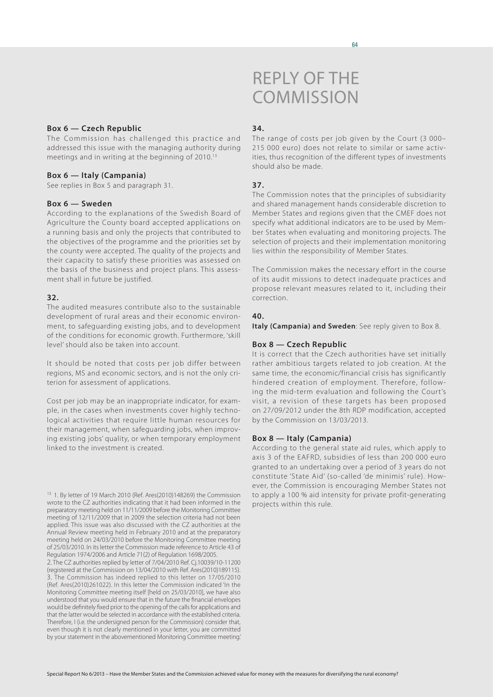#### **Box 6 — Czech Republic**

The Commission has challenged this practice and addressed this issue with the managing authority during meetings and in writing at the beginning of 2010.<sup>13</sup>

#### **Box 6 — Italy (Campania)**

See replies in Box 5 and paragraph 31.

#### **Box 6 — Sweden**

According to the explanations of the Swedish Board of Agriculture the County board accepted applications on a running basis and only the projects that contributed to the objectives of the programme and the priorities set by the county were accepted. The quality of the projects and their capacity to satisfy these priorities was assessed on the basis of the business and project plans. This assessment shall in future be justified.

#### **32.**

The audited measures contribute also to the sustainable development of rural areas and their economic environment, to safeguarding existing jobs, and to development of the conditions for economic growth. Furthermore, 'skill level' should also be taken into account.

It should be noted that costs per job differ between regions, MS and economic sectors, and is not the only criterion for assessment of applications.

Cost per job may be an inappropriate indicator, for example, in the cases when investments cover highly technological activities that require little human resources for their management, when safeguarding jobs, when improving existing jobs' quality, or when temporary employment linked to the investment is created.

<sup>13</sup> 1. By letter of 19 March 2010 (Ref. Ares(2010)148269) the Commission wrote to the CZ authorities indicating that it had been informed in the preparatory meeting held on 11/11/2009 before the Monitoring Committee meeting of 12/11/2009 that in 2009 the selection criteria had not been applied. This issue was also discussed with the CZ authorities at the Annual Review meeting held in February 2010 and at the preparatory meeting held on 24/03/2010 before the Monitoring Committee meeting of 25/03/2010. In its letter the Commission made reference to Article 43 of Regulation 1974/2006 and Article 71(2) of Regulation 1698/2005.

2. The CZ authorities replied by letter of 7/04/2010 Ref. Cj.10039/10-11200 (registered at the Commission on 13/04/2010 with Ref. Ares(2010)189115). 3. The Commission has indeed replied to this letter on 17/05/2010 (Ref. Ares(2010)261022). In this letter the Commission indicated 'In the Monitoring Committee meeting itself [held on 25/03/2010], we have also understood that you would ensure that in the future the financial envelopes would be definitely fixed prior to the opening of the calls for applications and that the latter would be selected in accordance with the established criteria. Therefore, I (i.e. the undersigned person for the Commission) consider that, even though it is not clearly mentioned in your letter, you are committed by your statement in the abovementioned Monitoring Committee meeting.'

# Reply of the **COMMISSION**

#### **34.**

The range of costs per job given by the Court (3 000– 215 000 euro) does not relate to similar or same activities, thus recognition of the different types of investments should also be made.

### **37.**

The Commission notes that the principles of subsidiarity and shared management hands considerable discretion to Member States and regions given that the CMEF does not specify what additional indicators are to be used by Member States when evaluating and monitoring projects. The selection of projects and their implementation monitoring lies within the responsibility of Member States.

The Commission makes the necessary effort in the course of its audit missions to detect inadequate practices and propose relevant measures related to it, including their correction.

#### **40.**

**Italy (Campania) and Sweden**: See reply given to Box 8.

#### **Box 8 — Czech Republic**

It is correct that the Czech authorities have set initially rather ambitious targets related to job creation. At the same time, the economic/financial crisis has significantly hindered creation of employment. Therefore, following the mid-term evaluation and following the Court's visit, a revision of these targets has been proposed on 27/09/2012 under the 8th RDP modification, accepted by the Commission on 13/03/2013.

#### **Box 8 — Italy (Campania)**

According to the general state aid rules, which apply to axis 3 of the EAFRD, subsidies of less than 200 000 euro granted to an undertaking over a period of 3 years do not constitute 'State Aid' (so-called 'de minimis' rule). However, the Commission is encouraging Member States not to apply a 100 % aid intensity for private profit-generating projects within this rule.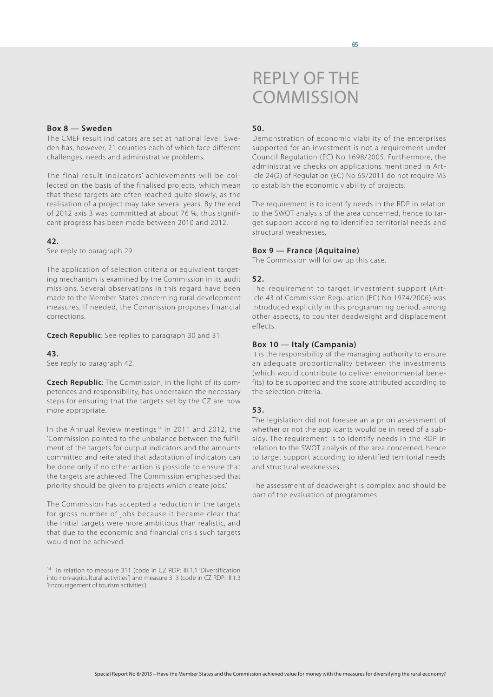#### 65

## Reply of the **COMMISSION**

## **Box 8 — Sweden**

The CMEF result indicators are set at national level. Sweden has, however, 21 counties each of which face different challenges, needs and administrative problems.

The final result indicators' achievements will be collected on the basis of the finalised projects, which mean that these targets are often reached quite slowly, as the realisation of a project may take several years. By the end of 2012 axis 3 was committed at about 76 %, thus significant progress has been made between 2010 and 2012.

## **42.**

See reply to paragraph 29.

The application of selection criteria or equivalent targeting mechanism is examined by the Commission in its audit missions. Several observations in this regard have been made to the Member States concerning rural development measures. If needed, the Commission proposes financial corrections.

**Czech Republic**: See replies to paragraph 30 and 31.

#### **43.**

See reply to paragraph 42.

**Czech Republic**: The Commission, in the light of its competences and responsibility, has undertaken the necessary steps for ensuring that the targets set by the CZ are now more appropriate.

In the Annual Review meetings<sup>14</sup> in 2011 and 2012, the 'Commission pointed to the unbalance between the fulfilment of the targets for output indicators and the amounts committed and reiterated that adaptation of indicators can be done only if no other action is possible to ensure that the targets are achieved. The Commission emphasised that priority should be given to projects which create jobs.'

The Commission has accepted a reduction in the targets for gross number of jobs because it became clear that the initial targets were more ambitious than realistic, and that due to the economic and financial crisis such targets would not be achieved.

<sup>14</sup> In relation to measure 311 (code in CZ RDP: III.1.1 'Diversification into non-agricultural activities') and measure 313 (code in CZ RDP: III.1.3 'Encouragement of tourism activities').

### **50.**

Demonstration of economic viability of the enterprises supported for an investment is not a requirement under Council Regulation (EC) No 1698/2005. Furthermore, the administrative checks on applications mentioned in Article 24(2) of Regulation (EC) No 65/2011 do not require MS to establish the economic viability of projects.

The requirement is to identify needs in the RDP in relation to the SWOT analysis of the area concerned, hence to target support according to identified territorial needs and structural weaknesses.

#### **Box 9 — France (Aquitaine)**

The Commission will follow up this case.

#### **52.**

The requirement to target investment support (Article 43 of Commission Regulation (EC) No 1974/2006) was introduced explicitly in this programming period, among other aspects, to counter deadweight and displacement effects.

#### **Box 10 — Italy (Campania)**

It is the responsibility of the managing authority to ensure an adequate proportionality between the investments (which would contribute to deliver environmental benefits) to be supported and the score attributed according to the selection criteria.

#### **53.**

The legislation did not foresee an a priori assessment of whether or not the applicants would be in need of a subsidy. The requirement is to identify needs in the RDP in relation to the SWOT analysis of the area concerned, hence to target support according to identified territorial needs and structural weaknesses.

The assessment of deadweight is complex and should be part of the evaluation of programmes.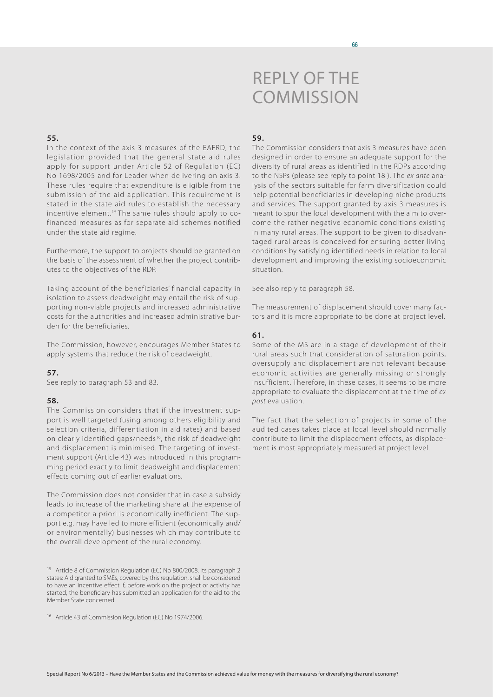### **55.**

In the context of the axis 3 measures of the EAFRD, the legislation provided that the general state aid rules apply for support under Article 52 of Regulation (EC) No 1698/2005 and for Leader when delivering on axis 3. These rules require that expenditure is eligible from the submission of the aid application. This requirement is stated in the state aid rules to establish the necessary incentive element.<sup>15</sup> The same rules should apply to cofinanced measures as for separate aid schemes notified under the state aid regime.

Furthermore, the support to projects should be granted on the basis of the assessment of whether the project contributes to the objectives of the RDP.

Taking account of the beneficiaries' financial capacity in isolation to assess deadweight may entail the risk of supporting non-viable projects and increased administrative costs for the authorities and increased administrative burden for the beneficiaries.

The Commission, however, encourages Member States to apply systems that reduce the risk of deadweight.

## **57.**

See reply to paragraph 53 and 83.

## **58.**

The Commission considers that if the investment support is well targeted (using among others eligibility and selection criteria, differentiation in aid rates) and based on clearly identified gaps/needs<sup>16</sup>, the risk of deadweight and displacement is minimised. The targeting of investment support (Article 43) was introduced in this programming period exactly to limit deadweight and displacement effects coming out of earlier evaluations.

The Commission does not consider that in case a subsidy leads to increase of the marketing share at the expense of a competitor a priori is economically inefficient. The support e.g. may have led to more efficient (economically and/ or environmentally) businesses which may contribute to the overall development of the rural economy.

<sup>15</sup> Article 8 of Commission Regulation (EC) No 800/2008. Its paragraph 2 states: Aid granted to SMEs, covered by this regulation, shall be considered to have an incentive effect if, before work on the project or activity has started, the beneficiary has submitted an application for the aid to the Member State concerned.

<sup>16</sup> Article 43 of Commission Regulation (EC) No 1974/2006.

#### **59.**

The Commission considers that axis 3 measures have been designed in order to ensure an adequate support for the diversity of rural areas as identified in the RDPs according to the NSPs (please see reply to point 18 ). The *ex ante* analysis of the sectors suitable for farm diversification could help potential beneficiaries in developing niche products and services. The support granted by axis 3 measures is meant to spur the local development with the aim to overcome the rather negative economic conditions existing in many rural areas. The support to be given to disadvantaged rural areas is conceived for ensuring better living conditions by satisfying identified needs in relation to local development and improving the existing socioeconomic situation.

See also reply to paragraph 58.

The measurement of displacement should cover many factors and it is more appropriate to be done at project level.

#### **61.**

Some of the MS are in a stage of development of their rural areas such that consideration of saturation points, oversupply and displacement are not relevant because economic activities are generally missing or strongly insufficient. Therefore, in these cases, it seems to be more appropriate to evaluate the displacement at the time of *ex post* evaluation.

The fact that the selection of projects in some of the audited cases takes place at local level should normally contribute to limit the displacement effects, as displacement is most appropriately measured at project level.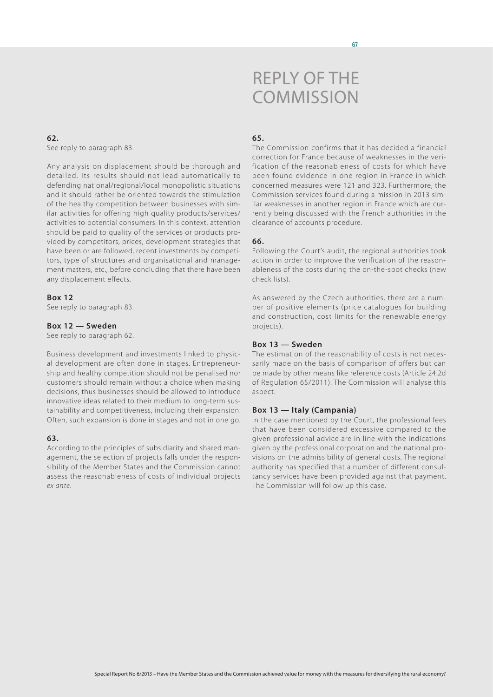#### 67

## Reply of the **COMMISSION**

#### **62.** See reply to paragraph 83.

Any analysis on displacement should be thorough and detailed. Its results should not lead automatically to defending national/regional/local monopolistic situations and it should rather be oriented towards the stimulation of the healthy competition between businesses with similar activities for offering high quality products/services/ activities to potential consumers. In this context, attention should be paid to quality of the services or products provided by competitors, prices, development strategies that have been or are followed, recent investments by competitors, type of structures and organisational and management matters, etc., before concluding that there have been any displacement effects.

## **Box 12**

See reply to paragraph 83.

## **Box 12 — Sweden**

See reply to paragraph 62.

Business development and investments linked to physical development are often done in stages. Entrepreneurship and healthy competition should not be penalised nor customers should remain without a choice when making decisions, thus businesses should be allowed to introduce innovative ideas related to their medium to long-term sustainability and competitiveness, including their expansion. Often, such expansion is done in stages and not in one go.

## **63.**

According to the principles of subsidiarity and shared management, the selection of projects falls under the responsibility of the Member States and the Commission cannot assess the reasonableness of costs of individual projects *ex ante*.

## **65.**

The Commission confirms that it has decided a financial correction for France because of weaknesses in the verification of the reasonableness of costs for which have been found evidence in one region in France in which concerned measures were 121 and 323. Furthermore, the Commission services found during a mission in 2013 similar weaknesses in another region in France which are currently being discussed with the French authorities in the clearance of accounts procedure.

## **66.**

Following the Court's audit, the regional authorities took action in order to improve the verification of the reasonableness of the costs during the on-the-spot checks (new check lists).

As answered by the Czech authorities, there are a number of positive elements (price catalogues for building and construction, cost limits for the renewable energy projects).

#### **Box 13 — Sweden**

The estimation of the reasonability of costs is not necessarily made on the basis of comparison of offers but can be made by other means like reference costs (Article 24.2d of Regulation 65/2011). The Commission will analyse this aspect.

#### **Box 13 — Italy (Campania)**

In the case mentioned by the Court, the professional fees that have been considered excessive compared to the given professional advice are in line with the indications given by the professional corporation and the national provisions on the admissibility of general costs. The regional authority has specified that a number of different consultancy services have been provided against that payment. The Commission will follow up this case.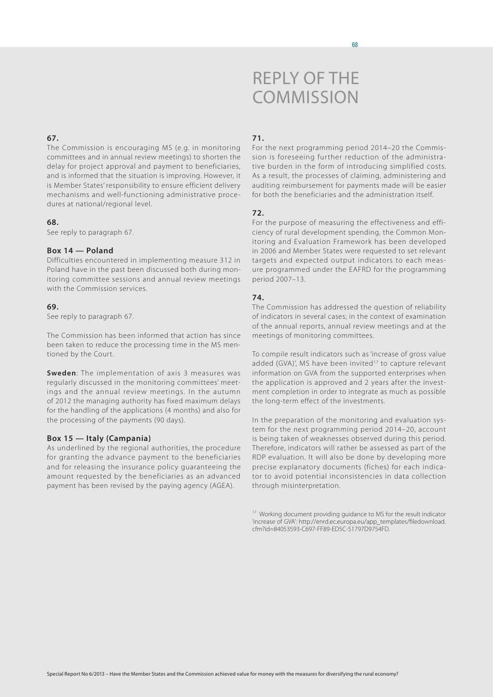### **67.**

The Commission is encouraging MS (e.g. in monitoring committees and in annual review meetings) to shorten the delay for project approval and payment to beneficiaries, and is informed that the situation is improving. However, it is Member States' responsibility to ensure efficient delivery mechanisms and well-functioning administrative procedures at national/regional level.

#### **68.**

See reply to paragraph 67.

## **Box 14 — Poland**

Difficulties encountered in implementing measure 312 in Poland have in the past been discussed both during monitoring committee sessions and annual review meetings with the Commission services.

#### **69.**

See reply to paragraph 67.

The Commission has been informed that action has since been taken to reduce the processing time in the MS mentioned by the Court.

**Sweden**: The implementation of axis 3 measures was regularly discussed in the monitoring committees' meetings and the annual review meetings. In the autumn of 2012 the managing authority has fixed maximum delays for the handling of the applications (4 months) and also for the processing of the payments (90 days).

#### **Box 15 — Italy (Campania)**

As underlined by the regional authorities, the procedure for granting the advance payment to the beneficiaries and for releasing the insurance policy guaranteeing the amount requested by the beneficiaries as an advanced payment has been revised by the paying agency (AGEA).

### **71.**

For the next programming period 2014–20 the Commission is foreseeing further reduction of the administrative burden in the form of introducing simplified costs. As a result, the processes of claiming, administering and auditing reimbursement for payments made will be easier for both the beneficiaries and the administration itself.

### **72.**

For the purpose of measuring the effectiveness and efficiency of rural development spending, the Common Monitoring and Evaluation Framework has been developed in 2006 and Member States were requested to set relevant targets and expected output indicators to each measure programmed under the EAFRD for the programming period 2007–13.

#### **74.**

The Commission has addressed the question of reliability of indicators in several cases; in the context of examination of the annual reports, annual review meetings and at the meetings of monitoring committees.

To compile result indicators such as 'increase of gross value added (GVA)', MS have been invited<sup>17</sup> to capture relevant information on GVA from the supported enterprises when the application is approved and 2 years after the investment completion in order to integrate as much as possible the long-term effect of the investments.

In the preparation of the monitoring and evaluation system for the next programming period 2014–20, account is being taken of weaknesses observed during this period. Therefore, indicators will rather be assessed as part of the RDP evaluation. It will also be done by developing more precise explanatory documents (fiches) for each indicator to avoid potential inconsistencies in data collection through misinterpretation.

<sup>&</sup>lt;sup>17</sup> Working document providing guidance to MS for the result indicator 'increase of GVA': [http://enrd.ec.europa.eu/app\\_templates/filedownload.](http://enrd.ec.europa.eu/app_templates/filedownload.cfm?id=84053593-C697-FF89-ED5C-51797D9754FD) [cfm?id=84053593-C697-FF89-ED5C-51797D9754FD](http://enrd.ec.europa.eu/app_templates/filedownload.cfm?id=84053593-C697-FF89-ED5C-51797D9754FD).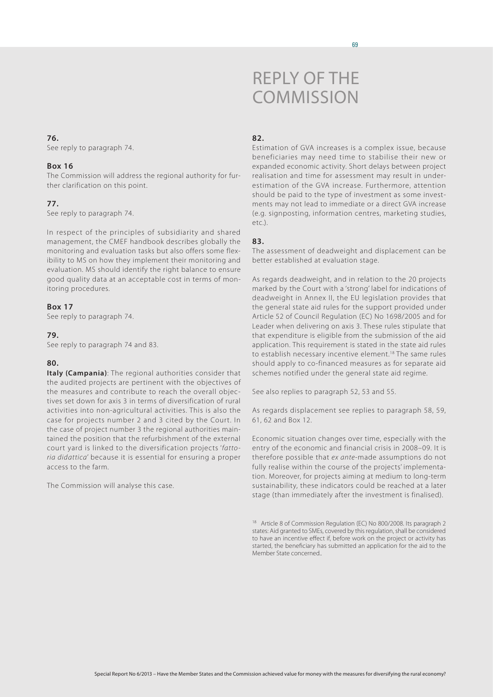See reply to paragraph 74.

#### **Box 16**

The Commission will address the regional authority for further clarification on this point.

## **77.**

See reply to paragraph 74.

In respect of the principles of subsidiarity and shared management, the CMEF handbook describes globally the monitoring and evaluation tasks but also offers some flexibility to MS on how they implement their monitoring and evaluation. MS should identify the right balance to ensure good quality data at an acceptable cost in terms of monitoring procedures.

#### **Box 17**

See reply to paragraph 74.

## **79.**

See reply to paragraph 74 and 83.

## **80.**

**Italy (Campania)**: The regional authorities consider that the audited projects are pertinent with the objectives of the measures and contribute to reach the overall objectives set down for axis 3 in terms of diversification of rural activities into non-agricultural activities. This is also the case for projects number 2 and 3 cited by the Court. In the case of project number 3 the regional authorities maintained the position that the refurbishment of the external court yard is linked to the diversification projects '*fattoria didattica*' because it is essential for ensuring a proper access to the farm.

The Commission will analyse this case.

# Reply of the **COMMISSION**

#### **82.**

Estimation of GVA increases is a complex issue, because beneficiaries may need time to stabilise their new or expanded economic activity. Short delays between project realisation and time for assessment may result in underestimation of the GVA increase. Furthermore, attention should be paid to the type of investment as some investments may not lead to immediate or a direct GVA increase (e.g. signposting, information centres, marketing studies, etc.).

## **83.**

The assessment of deadweight and displacement can be better established at evaluation stage.

As regards deadweight, and in relation to the 20 projects marked by the Court with a 'strong' label for indications of deadweight in Annex II, the EU legislation provides that the general state aid rules for the support provided under Article 52 of Council Regulation (EC) No 1698/2005 and for Leader when delivering on axis 3. These rules stipulate that that expenditure is eligible from the submission of the aid application. This requirement is stated in the state aid rules to establish necessary incentive element.18 The same rules should apply to co-financed measures as for separate aid schemes notified under the general state aid regime.

See also replies to paragraph 52, 53 and 55.

As regards displacement see replies to paragraph 58, 59, 61, 62 and Box 12.

Economic situation changes over time, especially with the entry of the economic and financial crisis in 2008–09. It is therefore possible that *ex ante*-made assumptions do not fully realise within the course of the projects' implementation. Moreover, for projects aiming at medium to long-term sustainability, these indicators could be reached at a later stage (than immediately after the investment is finalised).

<sup>&</sup>lt;sup>18</sup> Article 8 of Commission Regulation (EC) No 800/2008. Its paragraph 2 states: Aid granted to SMEs, covered by this regulation, shall be considered to have an incentive effect if, before work on the project or activity has started, the beneficiary has submitted an application for the aid to the Member State concerned..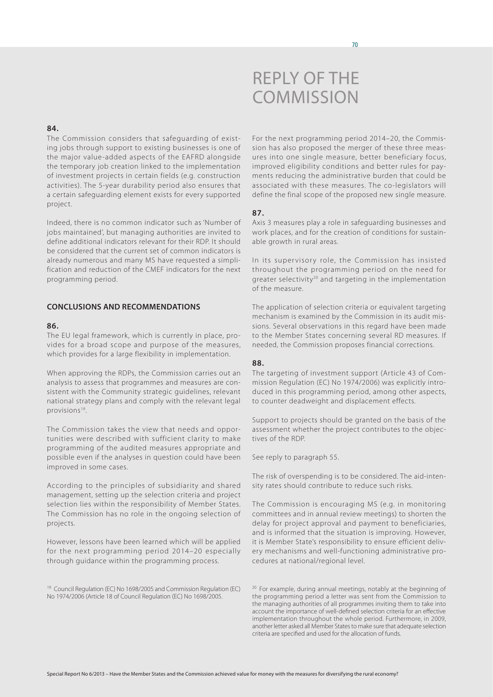

### **84.**

The Commission considers that safeguarding of existing jobs through support to existing businesses is one of the major value-added aspects of the EAFRD alongside the temporary job creation linked to the implementation of investment projects in certain fields (e.g. construction activities). The 5-year durability period also ensures that a certain safeguarding element exists for every supported project.

Indeed, there is no common indicator such as 'Number of jobs maintained', but managing authorities are invited to define additional indicators relevant for their RDP. It should be considered that the current set of common indicators is already numerous and many MS have requested a simplification and reduction of the CMEF indicators for the next programming period.

## **CONCLUSIONS AND RECOMMENDATIONS**

#### **86.**

The EU legal framework, which is currently in place, provides for a broad scope and purpose of the measures, which provides for a large flexibility in implementation.

When approving the RDPs, the Commission carries out an analysis to assess that programmes and measures are consistent with the Community strategic guidelines, relevant national strategy plans and comply with the relevant legal provisions<sup>19</sup>.

The Commission takes the view that needs and opportunities were described with sufficient clarity to make programming of the audited measures appropriate and possible even if the analyses in question could have been improved in some cases.

According to the principles of subsidiarity and shared management, setting up the selection criteria and project selection lies within the responsibility of Member States. The Commission has no role in the ongoing selection of projects.

However, lessons have been learned which will be applied for the next programming period 2014–20 especially through guidance within the programming process.

<sup>19</sup> Council Regulation (EC) No 1698/2005 and Commission Regulation (EC) No 1974/2006 (Article 18 of Council Regulation (EC) No 1698/2005.

For the next programming period 2014–20, the Commission has also proposed the merger of these three measures into one single measure, better beneficiary focus, improved eligibility conditions and better rules for payments reducing the administrative burden that could be associated with these measures. The co-legislators will define the final scope of the proposed new single measure.

#### **87.**

Axis 3 measures play a role in safeguarding businesses and work places, and for the creation of conditions for sustainable growth in rural areas.

In its supervisory role, the Commission has insisted throughout the programming period on the need for greater selectivity<sup>20</sup> and targeting in the implementation of the measure.

The application of selection criteria or equivalent targeting mechanism is examined by the Commission in its audit missions. Several observations in this regard have been made to the Member States concerning several RD measures. If needed, the Commission proposes financial corrections.

#### **88.**

The targeting of investment support (Article 43 of Commission Regulation (EC) No 1974/2006) was explicitly introduced in this programming period, among other aspects, to counter deadweight and displacement effects.

Support to projects should be granted on the basis of the assessment whether the project contributes to the objectives of the RDP.

See reply to paragraph 55.

The risk of overspending is to be considered. The aid-intensity rates should contribute to reduce such risks.

The Commission is encouraging MS (e.g. in monitoring committees and in annual review meetings) to shorten the delay for project approval and payment to beneficiaries, and is informed that the situation is improving. However, it is Member State's responsibility to ensure efficient delivery mechanisms and well-functioning administrative procedures at national/regional level.

<sup>20</sup> For example, during annual meetings, notably at the beginning of the programming period a letter was sent from the Commission to the managing authorities of all programmes inviting them to take into account the importance of well-defined selection criteria for an effective implementation throughout the whole period. Furthermore, in 2009, another letter asked all Member States to make sure that adequate selection criteria are specified and used for the allocation of funds.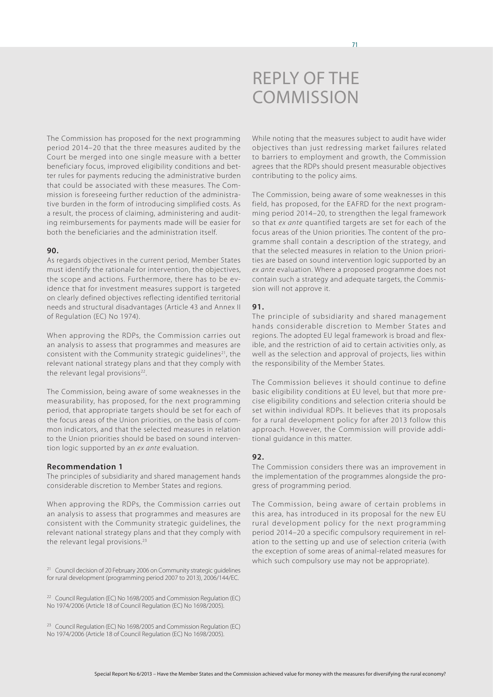

The Commission has proposed for the next programming period 2014–20 that the three measures audited by the Court be merged into one single measure with a better beneficiary focus, improved eligibility conditions and better rules for payments reducing the administrative burden that could be associated with these measures. The Commission is foreseeing further reduction of the administrative burden in the form of introducing simplified costs. As a result, the process of claiming, administering and auditing reimbursements for payments made will be easier for both the beneficiaries and the administration itself.

#### **90.**

As regards objectives in the current period, Member States must identify the rationale for intervention, the objectives, the scope and actions. Furthermore, there has to be evidence that for investment measures support is targeted on clearly defined objectives reflecting identified territorial needs and structural disadvantages (Article 43 and Annex II of Regulation (EC) No 1974).

When approving the RDPs, the Commission carries out an analysis to assess that programmes and measures are consistent with the Community strategic guidelines<sup>21</sup>, the relevant national strategy plans and that they comply with the relevant legal provisions<sup>22</sup>.

The Commission, being aware of some weaknesses in the measurability, has proposed, for the next programming period, that appropriate targets should be set for each of the focus areas of the Union priorities, on the basis of common indicators, and that the selected measures in relation to the Union priorities should be based on sound intervention logic supported by an *ex ante* evaluation.

#### **Recommendation 1**

The principles of subsidiarity and shared management hands considerable discretion to Member States and regions.

When approving the RDPs, the Commission carries out an analysis to assess that programmes and measures are consistent with the Community strategic guidelines, the relevant national strategy plans and that they comply with the relevant legal provisions.23

<sup>21</sup> Council decision of 20 February 2006 on Community strategic guidelines for rural development (programming period 2007 to 2013), 2006/144/EC.

<sup>22</sup> Council Regulation (EC) No 1698/2005 and Commission Regulation (EC) No 1974/2006 (Article 18 of Council Regulation (EC) No 1698/2005).

<sup>23</sup> Council Regulation (EC) No 1698/2005 and Commission Regulation (EC) No 1974/2006 (Article 18 of Council Regulation (EC) No 1698/2005).

While noting that the measures subject to audit have wider objectives than just redressing market failures related to barriers to employment and growth, the Commission agrees that the RDPs should present measurable objectives contributing to the policy aims.

The Commission, being aware of some weaknesses in this field, has proposed, for the EAFRD for the next programming period 2014–20, to strengthen the legal framework so that *ex ante* quantified targets are set for each of the focus areas of the Union priorities. The content of the programme shall contain a description of the strategy, and that the selected measures in relation to the Union priorities are based on sound intervention logic supported by an *ex ante* evaluation. Where a proposed programme does not contain such a strategy and adequate targets, the Commission will not approve it.

#### **91.**

The principle of subsidiarity and shared management hands considerable discretion to Member States and regions. The adopted EU legal framework is broad and flexible, and the restriction of aid to certain activities only, as well as the selection and approval of projects, lies within the responsibility of the Member States.

The Commission believes it should continue to define basic eligibility conditions at EU level, but that more precise eligibility conditions and selection criteria should be set within individual RDPs. It believes that its proposals for a rural development policy for after 2013 follow this approach. However, the Commission will provide additional guidance in this matter.

#### **92.**

The Commission considers there was an improvement in the implementation of the programmes alongside the progress of programming period.

The Commission, being aware of certain problems in this area, has introduced in its proposal for the new EU rural development policy for the next programming period 2014–20 a specific compulsory requirement in relation to the setting up and use of selection criteria (with the exception of some areas of animal-related measures for which such compulsory use may not be appropriate).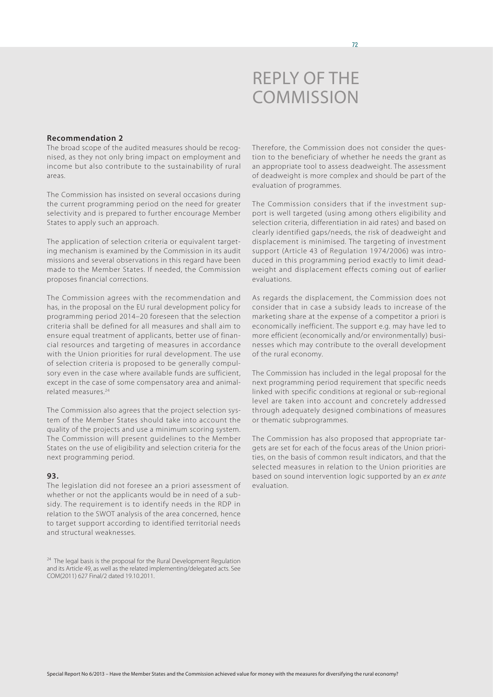

### **Recommendation 2**

The broad scope of the audited measures should be recognised, as they not only bring impact on employment and income but also contribute to the sustainability of rural areas.

The Commission has insisted on several occasions during the current programming period on the need for greater selectivity and is prepared to further encourage Member States to apply such an approach.

The application of selection criteria or equivalent targeting mechanism is examined by the Commission in its audit missions and several observations in this regard have been made to the Member States. If needed, the Commission proposes financial corrections.

The Commission agrees with the recommendation and has, in the proposal on the EU rural development policy for programming period 2014–20 foreseen that the selection criteria shall be defined for all measures and shall aim to ensure equal treatment of applicants, better use of financial resources and targeting of measures in accordance with the Union priorities for rural development. The use of selection criteria is proposed to be generally compulsory even in the case where available funds are sufficient, except in the case of some compensatory area and animalrelated measures.24

The Commission also agrees that the project selection system of the Member States should take into account the quality of the projects and use a minimum scoring system. The Commission will present guidelines to the Member States on the use of eligibility and selection criteria for the next programming period.

#### **93.**

The legislation did not foresee an a priori assessment of whether or not the applicants would be in need of a subsidy. The requirement is to identify needs in the RDP in relation to the SWOT analysis of the area concerned, hence to target support according to identified territorial needs and structural weaknesses.

Therefore, the Commission does not consider the question to the beneficiary of whether he needs the grant as an appropriate tool to assess deadweight. The assessment of deadweight is more complex and should be part of the evaluation of programmes.

The Commission considers that if the investment support is well targeted (using among others eligibility and selection criteria, differentiation in aid rates) and based on clearly identified gaps/needs, the risk of deadweight and displacement is minimised. The targeting of investment support (Article 43 of Regulation 1974/2006) was introduced in this programming period exactly to limit deadweight and displacement effects coming out of earlier evaluations.

As regards the displacement, the Commission does not consider that in case a subsidy leads to increase of the marketing share at the expense of a competitor a priori is economically inefficient. The support e.g. may have led to more efficient (economically and/or environmentally) businesses which may contribute to the overall development of the rural economy.

The Commission has included in the legal proposal for the next programming period requirement that specific needs linked with specific conditions at regional or sub-regional level are taken into account and concretely addressed through adequately designed combinations of measures or thematic subprogrammes.

The Commission has also proposed that appropriate targets are set for each of the focus areas of the Union priorities, on the basis of common result indicators, and that the selected measures in relation to the Union priorities are based on sound intervention logic supported by an *ex ante* evaluation.

<sup>&</sup>lt;sup>24</sup> The legal basis is the proposal for the Rural Development Regulation and its Article 49, as well as the related implementing/delegated acts. See COM(2011) 627 Final/2 dated 19.10.2011.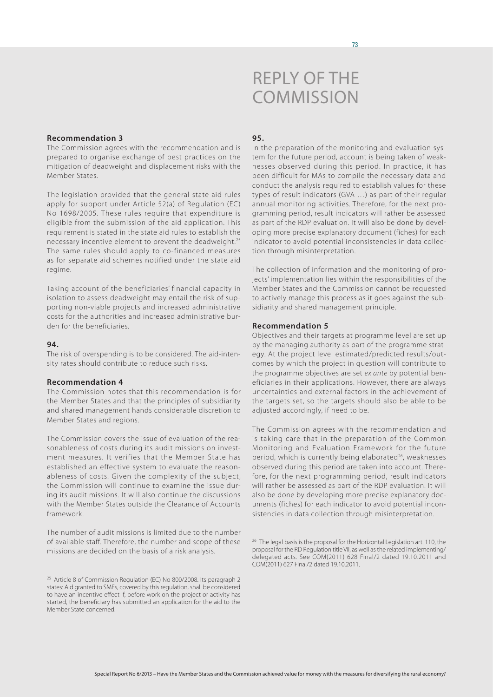# Reply of the **COMMISSION**

#### **Recommendation 3**

The Commission agrees with the recommendation and is prepared to organise exchange of best practices on the mitigation of deadweight and displacement risks with the Member States.

The legislation provided that the general state aid rules apply for support under Article 52(a) of Regulation (EC) No 1698/2005. These rules require that expenditure is eligible from the submission of the aid application. This requirement is stated in the state aid rules to establish the necessary incentive element to prevent the deadweight.25 The same rules should apply to co-financed measures as for separate aid schemes notified under the state aid regime.

Taking account of the beneficiaries' financial capacity in isolation to assess deadweight may entail the risk of supporting non-viable projects and increased administrative costs for the authorities and increased administrative burden for the beneficiaries.

# **94.**

The risk of overspending is to be considered. The aid-intensity rates should contribute to reduce such risks.

#### **Recommendation 4**

The Commission notes that this recommendation is for the Member States and that the principles of subsidiarity and shared management hands considerable discretion to Member States and regions.

The Commission covers the issue of evaluation of the reasonableness of costs during its audit missions on investment measures. It verifies that the Member State has established an effective system to evaluate the reasonableness of costs. Given the complexity of the subject, the Commission will continue to examine the issue during its audit missions. It will also continue the discussions with the Member States outside the Clearance of Accounts framework.

The number of audit missions is limited due to the number of available staff. Therefore, the number and scope of these missions are decided on the basis of a risk analysis.

# **95.**

In the preparation of the monitoring and evaluation system for the future period, account is being taken of weaknesses observed during this period. In practice, it has been difficult for MAs to compile the necessary data and conduct the analysis required to establish values for these types of result indicators (GVA …) as part of their regular annual monitoring activities. Therefore, for the next programming period, result indicators will rather be assessed as part of the RDP evaluation. It will also be done by developing more precise explanatory document (fiches) for each indicator to avoid potential inconsistencies in data collection through misinterpretation.

The collection of information and the monitoring of projects' implementation lies within the responsibilities of the Member States and the Commission cannot be requested to actively manage this process as it goes against the subsidiarity and shared management principle.

# **Recommendation 5**

Objectives and their targets at programme level are set up by the managing authority as part of the programme strategy. At the project level estimated/predicted results/outcomes by which the project in question will contribute to the programme objectives are set *ex ante* by potential beneficiaries in their applications. However, there are always uncertainties and external factors in the achievement of the targets set, so the targets should also be able to be adjusted accordingly, if need to be.

The Commission agrees with the recommendation and is taking care that in the preparation of the Common Monitoring and Evaluation Framework for the future period, which is currently being elaborated<sup>26</sup>, weaknesses observed during this period are taken into account. Therefore, for the next programming period, result indicators will rather be assessed as part of the RDP evaluation. It will also be done by developing more precise explanatory documents (fiches) for each indicator to avoid potential inconsistencies in data collection through misinterpretation.

<sup>&</sup>lt;sup>25</sup> Article 8 of Commission Regulation (EC) No 800/2008. Its paragraph 2 states: Aid granted to SMEs, covered by this regulation, shall be considered to have an incentive effect if, before work on the project or activity has started, the beneficiary has submitted an application for the aid to the Member State concerned.

<sup>&</sup>lt;sup>26</sup> The legal basis is the proposal for the Horizontal Legislation art. 110, the proposal for the RD Regulation title VII, as well as the related implementing/ delegated acts. See COM(2011) 628 Final/2 dated 19.10.2011 and COM(2011) 627 Final/2 dated 19.10.2011.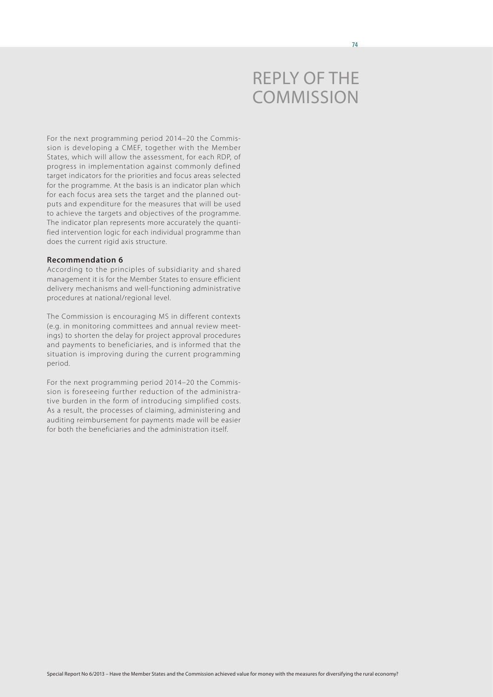# Reply of the **COMMISSION**

For the next programming period 2014–20 the Commission is developing a CMEF, together with the Member States, which will allow the assessment, for each RDP, of progress in implementation against commonly defined target indicators for the priorities and focus areas selected for the programme. At the basis is an indicator plan which for each focus area sets the target and the planned outputs and expenditure for the measures that will be used to achieve the targets and objectives of the programme. The indicator plan represents more accurately the quantified intervention logic for each individual programme than does the current rigid axis structure.

#### **Recommendation 6**

According to the principles of subsidiarity and shared management it is for the Member States to ensure efficient delivery mechanisms and well-functioning administrative procedures at national/regional level.

The Commission is encouraging MS in different contexts (e.g. in monitoring committees and annual review meetings) to shorten the delay for project approval procedures and payments to beneficiaries, and is informed that the situation is improving during the current programming period.

For the next programming period 2014–20 the Commission is foreseeing further reduction of the administrative burden in the form of introducing simplified costs. As a result, the processes of claiming, administering and auditing reimbursement for payments made will be easier for both the beneficiaries and the administration itself.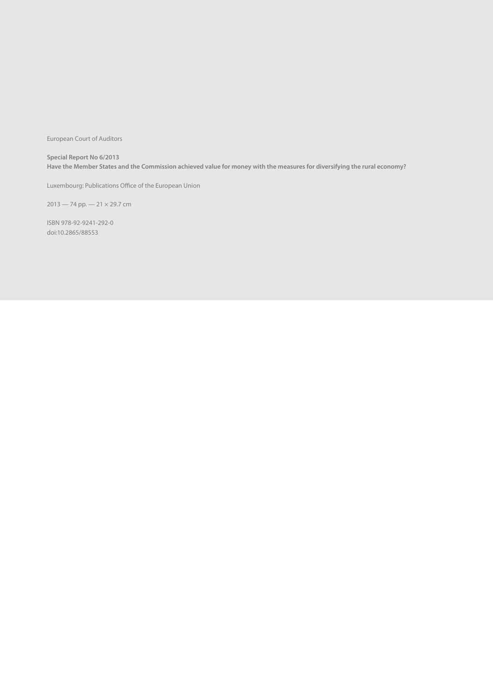European Court of Auditors

**Special Report No 6/2013 Have the Member States and the Commission achieved value for money with the measures for diversifying the rural economy?** 

Luxembourg: Publications Office of the European Union

2013 — 74 pp. — 21 × 29.7 cm

ISBN 978-92-9241-292-0 doi:10.2865/88553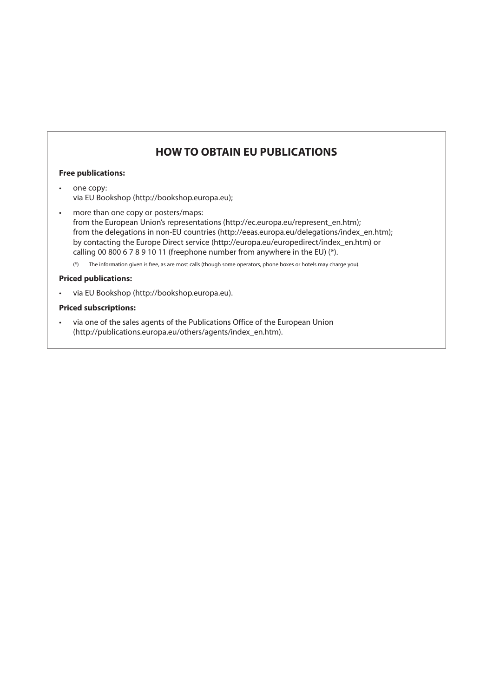# **HOW TO OBTAIN EU PUBLICATIONS**

# **Free publications:**

- one copy: via EU Bookshop (http://bookshop.europa.eu);
- • more than one copy or posters/maps: from the European Union's representations (http://ec.europa.eu/represent\_en.htm); from the delegations in non-EU countries (http://eeas.europa.eu/delegations/index\_en.htm); by contacting the Europe Direct service (http://europa.eu/europedirect/index\_en.htm) or calling 00 800 6 7 8 9 10 11 (freephone number from anywhere in the EU) (\*).
	- (\*) The information given is free, as are most calls (though some operators, phone boxes or hotels may charge you).

# **Priced publications:**

via EU Bookshop (http://bookshop.europa.eu).

# **Priced subscriptions:**

• via one of the sales agents of the Publications Office of the European Union (http://publications.europa.eu/others/agents/index\_en.htm).